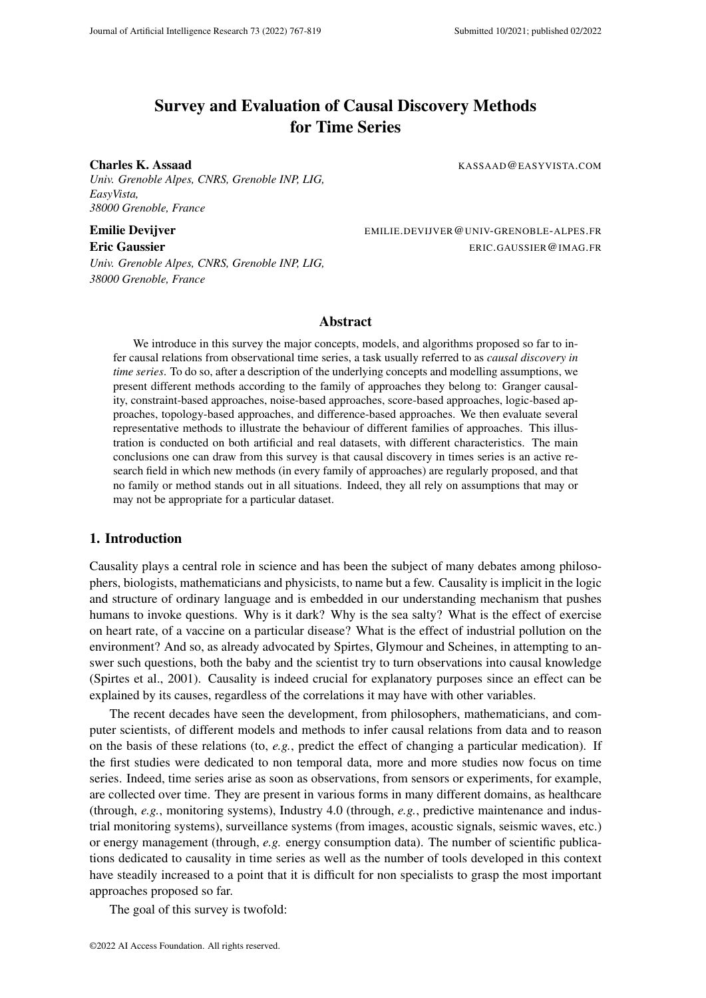# Survey and Evaluation of Causal Discovery Methods for Time Series

Charles K. Assaad KASSAAD@EASYVISTA.COM

*Univ. Grenoble Alpes, CNRS, Grenoble INP, LIG, EasyVista, 38000 Grenoble, France*

Emilie Devijver EMILIE.DEVIJVER@UNIV-GRENOBLE-ALPES.FR

*Univ. Grenoble Alpes, CNRS, Grenoble INP, LIG, 38000 Grenoble, France*

Eric Gaussier ERIC.GAUSSIER @IMAG.FR

# Abstract

We introduce in this survey the major concepts, models, and algorithms proposed so far to infer causal relations from observational time series, a task usually referred to as *causal discovery in time series*. To do so, after a description of the underlying concepts and modelling assumptions, we present different methods according to the family of approaches they belong to: Granger causality, constraint-based approaches, noise-based approaches, score-based approaches, logic-based approaches, topology-based approaches, and difference-based approaches. We then evaluate several representative methods to illustrate the behaviour of different families of approaches. This illustration is conducted on both artificial and real datasets, with different characteristics. The main conclusions one can draw from this survey is that causal discovery in times series is an active research field in which new methods (in every family of approaches) are regularly proposed, and that no family or method stands out in all situations. Indeed, they all rely on assumptions that may or may not be appropriate for a particular dataset.

# 1. Introduction

Causality plays a central role in science and has been the subject of many debates among philosophers, biologists, mathematicians and physicists, to name but a few. Causality is implicit in the logic and structure of ordinary language and is embedded in our understanding mechanism that pushes humans to invoke questions. Why is it dark? Why is the sea salty? What is the effect of exercise on heart rate, of a vaccine on a particular disease? What is the effect of industrial pollution on the environment? And so, as already advocated by Spirtes, Glymour and Scheines, in attempting to answer such questions, both the baby and the scientist try to turn observations into causal knowledge (Spirtes et al., 2001). Causality is indeed crucial for explanatory purposes since an effect can be explained by its causes, regardless of the correlations it may have with other variables.

The recent decades have seen the development, from philosophers, mathematicians, and computer scientists, of different models and methods to infer causal relations from data and to reason on the basis of these relations (to, *e.g.*, predict the effect of changing a particular medication). If the first studies were dedicated to non temporal data, more and more studies now focus on time series. Indeed, time series arise as soon as observations, from sensors or experiments, for example, are collected over time. They are present in various forms in many different domains, as healthcare (through, *e.g.*, monitoring systems), Industry 4.0 (through, *e.g.*, predictive maintenance and industrial monitoring systems), surveillance systems (from images, acoustic signals, seismic waves, etc.) or energy management (through, *e.g.* energy consumption data). The number of scientific publications dedicated to causality in time series as well as the number of tools developed in this context have steadily increased to a point that it is difficult for non specialists to grasp the most important approaches proposed so far.

The goal of this survey is twofold: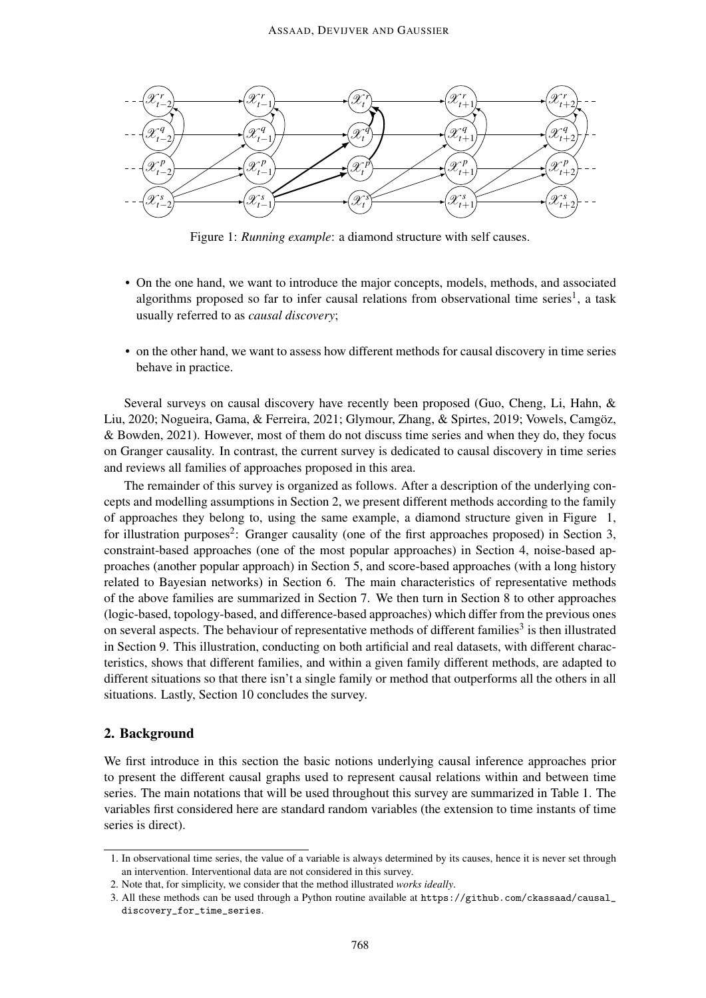

Figure 1: *Running example*: a diamond structure with self causes.

- On the one hand, we want to introduce the major concepts, models, methods, and associated algorithms proposed so far to infer causal relations from observational time series<sup>1</sup>, a task usually referred to as *causal discovery*;
- on the other hand, we want to assess how different methods for causal discovery in time series behave in practice.

Several surveys on causal discovery have recently been proposed (Guo, Cheng, Li, Hahn, & Liu, 2020; Nogueira, Gama, & Ferreira, 2021; Glymour, Zhang, & Spirtes, 2019; Vowels, Camgöz, & Bowden, 2021). However, most of them do not discuss time series and when they do, they focus on Granger causality. In contrast, the current survey is dedicated to causal discovery in time series and reviews all families of approaches proposed in this area.

The remainder of this survey is organized as follows. After a description of the underlying concepts and modelling assumptions in Section 2, we present different methods according to the family of approaches they belong to, using the same example, a diamond structure given in Figure 1, for illustration purposes<sup>2</sup>: Granger causality (one of the first approaches proposed) in Section 3, constraint-based approaches (one of the most popular approaches) in Section 4, noise-based approaches (another popular approach) in Section 5, and score-based approaches (with a long history related to Bayesian networks) in Section 6. The main characteristics of representative methods of the above families are summarized in Section 7. We then turn in Section 8 to other approaches (logic-based, topology-based, and difference-based approaches) which differ from the previous ones on several aspects. The behaviour of representative methods of different families<sup>3</sup> is then illustrated in Section 9. This illustration, conducting on both artificial and real datasets, with different characteristics, shows that different families, and within a given family different methods, are adapted to different situations so that there isn't a single family or method that outperforms all the others in all situations. Lastly, Section 10 concludes the survey.

### 2. Background

We first introduce in this section the basic notions underlying causal inference approaches prior to present the different causal graphs used to represent causal relations within and between time series. The main notations that will be used throughout this survey are summarized in Table 1. The variables first considered here are standard random variables (the extension to time instants of time series is direct).

<sup>1.</sup> In observational time series, the value of a variable is always determined by its causes, hence it is never set through an intervention. Interventional data are not considered in this survey.

<sup>2.</sup> Note that, for simplicity, we consider that the method illustrated *works ideally*.

<sup>3.</sup> All these methods can be used through a Python routine available at https://github.com/ckassaad/causal\_ discovery\_for\_time\_series.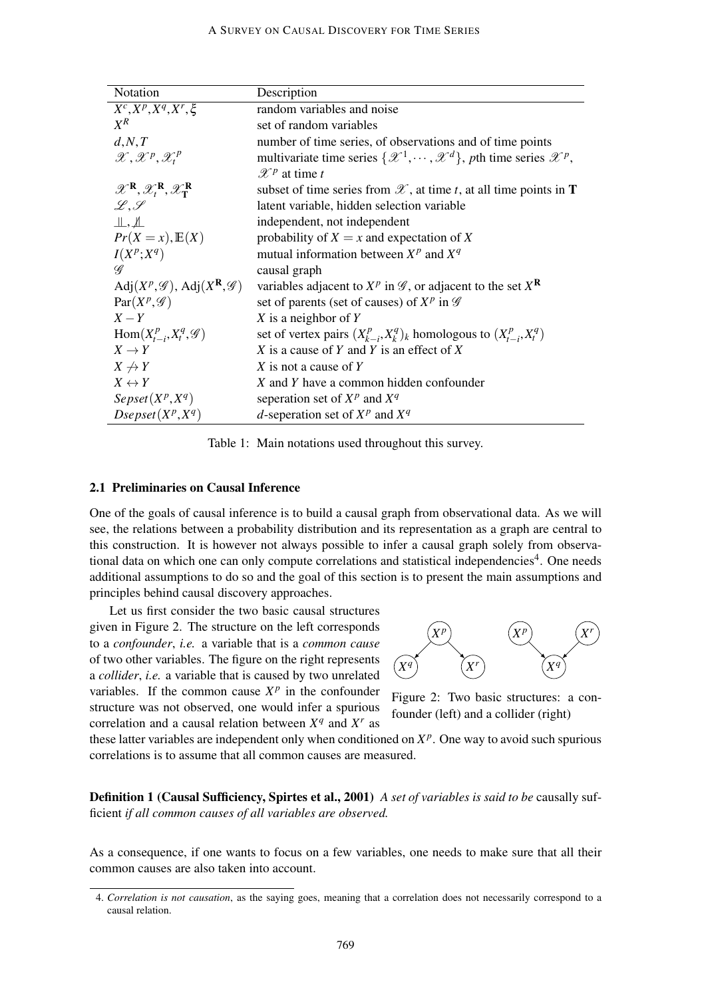| Notation                                                                                      | Description                                                                                             |
|-----------------------------------------------------------------------------------------------|---------------------------------------------------------------------------------------------------------|
| $X^c, X^p, X^q, X^r, \xi$                                                                     | random variables and noise                                                                              |
| $X^R$                                                                                         | set of random variables                                                                                 |
| d, N, T                                                                                       | number of time series, of observations and of time points                                               |
| $\mathscr{X}, \mathscr{X}^p, \mathscr{X}^p$                                                   | multivariate time series $\{\mathscr{X}^1, \cdots, \mathscr{X}^d\}$ , pth time series $\mathscr{X}^p$ , |
|                                                                                               | $\mathscr{X}^p$ at time t                                                                               |
| $\mathscr{X}^{\mathbf{R}}, \mathscr{X}^{\mathbf{R}}_t, \mathscr{X}^{\mathbf{R}}_{\mathbf{T}}$ | subset of time series from $\mathscr X$ , at time t, at all time points in <b>T</b>                     |
| $L.\mathscr{S}$                                                                               | latent variable, hidden selection variable                                                              |
| $\perp$ , $\perp$                                                                             | independent, not independent                                                                            |
| $Pr(X = x), E(X)$                                                                             | probability of $X = x$ and expectation of X                                                             |
| $I(X^p;X^q)$                                                                                  | mutual information between $X^p$ and $X^q$                                                              |
| $\mathscr{Q}$                                                                                 | causal graph                                                                                            |
| Adj $(X^p, \mathscr{G})$ , Adj $(X^{\mathbf{R}}, \mathscr{G})$                                | variables adjacent to $X^p$ in $\mathscr G$ , or adjacent to the set $X^{\mathbf R}$                    |
| $Par(XP, \mathscr{G})$                                                                        | set of parents (set of causes) of $X^p$ in $\mathscr G$                                                 |
| $X-Y$                                                                                         | X is a neighbor of $Y$                                                                                  |
| $Hom(X_{t-i}^p, X_t^q, \mathscr{G})$                                                          | set of vertex pairs $(X_{k-i}^p, X_k^q)$ <sub>k</sub> homologous to $(X_{t-i}^p, X_t^q)$                |
| $X \to Y$                                                                                     | X is a cause of Y and Y is an effect of X                                                               |
| $X \nrightarrow Y$                                                                            | X is not a cause of $Y$                                                                                 |
| $X \leftrightarrow Y$                                                                         | X and Y have a common hidden confounder                                                                 |
| $Sepset(X^p, X^q)$                                                                            | seperation set of $X^p$ and $X^q$                                                                       |
| $D$ sepset $(X^p, X^q)$                                                                       | d-seperation set of $X^p$ and $X^q$                                                                     |

Table 1: Main notations used throughout this survey.

# 2.1 Preliminaries on Causal Inference

One of the goals of causal inference is to build a causal graph from observational data. As we will see, the relations between a probability distribution and its representation as a graph are central to this construction. It is however not always possible to infer a causal graph solely from observational data on which one can only compute correlations and statistical independencies<sup>4</sup>. One needs additional assumptions to do so and the goal of this section is to present the main assumptions and principles behind causal discovery approaches.

Let us first consider the two basic causal structures given in Figure 2. The structure on the left corresponds to a *confounder*, *i.e.* a variable that is a *common cause* of two other variables. The figure on the right represents a *collider*, *i.e.* a variable that is caused by two unrelated variables. If the common cause  $X^p$  in the confounder structure was not observed, one would infer a spurious correlation and a causal relation between  $X^q$  and  $X^r$  as



Figure 2: Two basic structures: a confounder (left) and a collider (right)

these latter variables are independent only when conditioned on  $X^p$ . One way to avoid such spurious correlations is to assume that all common causes are measured.

Definition 1 (Causal Sufficiency, Spirtes et al., 2001) *A set of variables is said to be* causally sufficient *if all common causes of all variables are observed.*

As a consequence, if one wants to focus on a few variables, one needs to make sure that all their common causes are also taken into account.

<sup>4.</sup> *Correlation is not causation*, as the saying goes, meaning that a correlation does not necessarily correspond to a causal relation.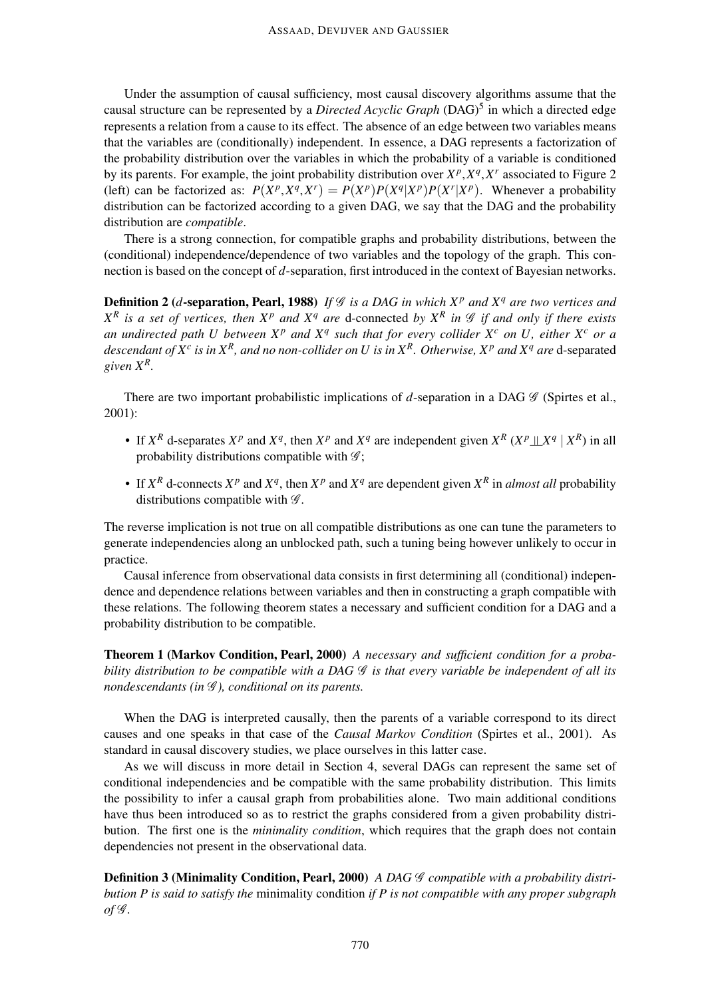Under the assumption of causal sufficiency, most causal discovery algorithms assume that the causal structure can be represented by a *Directed Acyclic Graph* (DAG)<sup>5</sup> in which a directed edge represents a relation from a cause to its effect. The absence of an edge between two variables means that the variables are (conditionally) independent. In essence, a DAG represents a factorization of the probability distribution over the variables in which the probability of a variable is conditioned by its parents. For example, the joint probability distribution over  $X^p$ ,  $X^q$ ,  $X^r$  associated to Figure 2 (left) can be factorized as:  $P(X^p, X^q, X^r) = P(X^p)P(X^q|X^p)P(X^r|X^p)$ . Whenever a probability distribution can be factorized according to a given DAG, we say that the DAG and the probability distribution are *compatible*.

There is a strong connection, for compatible graphs and probability distributions, between the (conditional) independence/dependence of two variables and the topology of the graph. This connection is based on the concept of *d*-separation, first introduced in the context of Bayesian networks.

**Definition 2** (*d*-separation, Pearl, 1988) If  $\mathcal G$  *is a DAG in which*  $X^p$  *and*  $X^q$  *are two vertices and*  $X^R$  *is a set of vertices, then*  $X^p$  *and*  $X^q$  *are* d-connected *by*  $X^R$  *in*  $\mathscr G$  *if and only if there exists an undirected path U between X<sup>p</sup> and X<sup>q</sup> such that for every collider X<sup>c</sup> on U, either X<sup>c</sup> or a* descendant of  $X^c$  is in  $X^R$ , and no non-collider on  $U$  is in  $X^R$ . Otherwise,  $X^p$  and  $X^q$  are  $d$ -separated *given X<sup>R</sup> .*

There are two important probabilistic implications of  $d$ -separation in a DAG  $\mathscr G$  (Spirtes et al., 2001):

- If  $X^R$  d-separates  $X^P$  and  $X^q$ , then  $X^P$  and  $X^q$  are independent given  $X^R$   $(X^P \perp X^q | X^R)$  in all probability distributions compatible with  $\mathscr{G}$ ;
- If  $X^R$  d-connects  $X^P$  and  $X^q$ , then  $X^P$  and  $X^q$  are dependent given  $X^R$  in *almost all* probability distributions compatible with  $\mathscr{G}$ .

The reverse implication is not true on all compatible distributions as one can tune the parameters to generate independencies along an unblocked path, such a tuning being however unlikely to occur in practice.

Causal inference from observational data consists in first determining all (conditional) independence and dependence relations between variables and then in constructing a graph compatible with these relations. The following theorem states a necessary and sufficient condition for a DAG and a probability distribution to be compatible.

Theorem 1 (Markov Condition, Pearl, 2000) *A necessary and sufficient condition for a probability distribution to be compatible with a DAG* G *is that every variable be independent of all its nondescendants (in*  $\mathcal G$ *), conditional on its parents.* 

When the DAG is interpreted causally, then the parents of a variable correspond to its direct causes and one speaks in that case of the *Causal Markov Condition* (Spirtes et al., 2001). As standard in causal discovery studies, we place ourselves in this latter case.

As we will discuss in more detail in Section 4, several DAGs can represent the same set of conditional independencies and be compatible with the same probability distribution. This limits the possibility to infer a causal graph from probabilities alone. Two main additional conditions have thus been introduced so as to restrict the graphs considered from a given probability distribution. The first one is the *minimality condition*, which requires that the graph does not contain dependencies not present in the observational data.

Definition 3 (Minimality Condition, Pearl, 2000) *A DAG*  $\mathscr G$  *compatible with a probability distribution P is said to satisfy the* minimality condition *if P is not compatible with any proper subgraph of* G *.*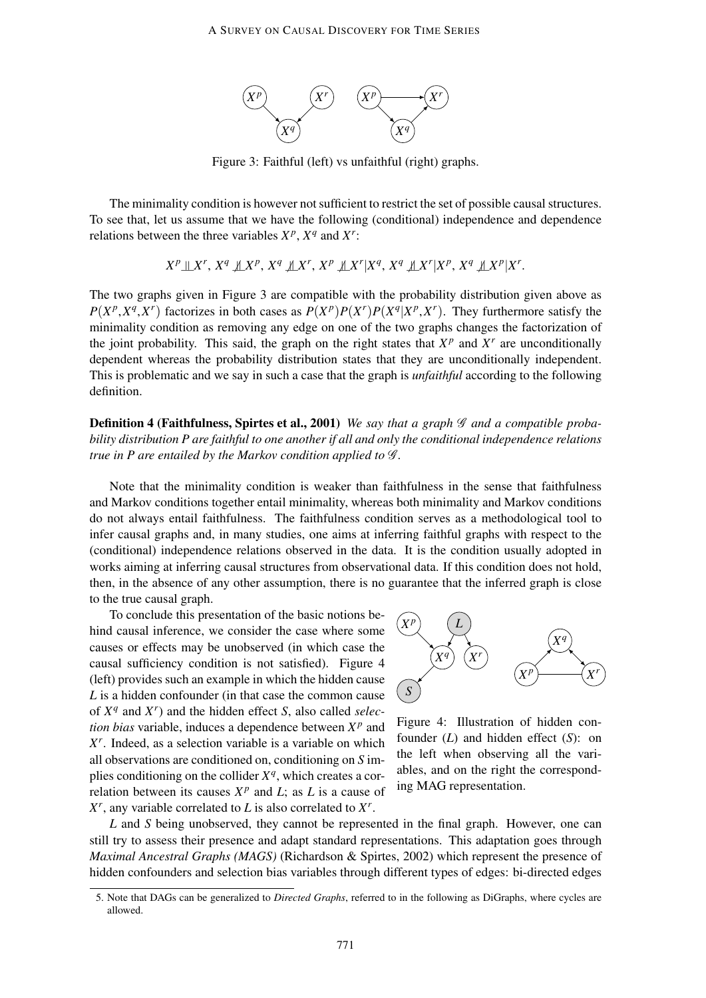

Figure 3: Faithful (left) vs unfaithful (right) graphs.

The minimality condition is however not sufficient to restrict the set of possible causal structures. To see that, let us assume that we have the following (conditional) independence and dependence relations between the three variables  $X^p$ ,  $X^q$  and  $X^r$ :

$$
X^p \perp\!\!\!\perp X^r,\, X^q \not\!\!\!\perp X^p,\, X^q \not\!\!\!\perp\!\!\!\perp X^r,\, X^p \not\!\!\!\perp\!\!\!\perp X^r | X^q,\, X^q \not\!\!\!\perp\!\!\!\perp X^r | X^p,\, X^q \not\!\!\!\perp\!\!\!\perp X^p | X^r.
$$

The two graphs given in Figure 3 are compatible with the probability distribution given above as  $P(X^p, X^q, X^r)$  factorizes in both cases as  $P(X^p)P(X^r)P(X^q|X^p, X^r)$ . They furthermore satisfy the minimality condition as removing any edge on one of the two graphs changes the factorization of the joint probability. This said, the graph on the right states that  $X^p$  and  $X^r$  are unconditionally dependent whereas the probability distribution states that they are unconditionally independent. This is problematic and we say in such a case that the graph is *unfaithful* according to the following definition.

Definition 4 (Faithfulness, Spirtes et al., 2001) *We say that a graph* G *and a compatible probability distribution P are faithful to one another if all and only the conditional independence relations true in P are entailed by the Markov condition applied to*  $\mathcal{G}$ *.* 

Note that the minimality condition is weaker than faithfulness in the sense that faithfulness and Markov conditions together entail minimality, whereas both minimality and Markov conditions do not always entail faithfulness. The faithfulness condition serves as a methodological tool to infer causal graphs and, in many studies, one aims at inferring faithful graphs with respect to the (conditional) independence relations observed in the data. It is the condition usually adopted in works aiming at inferring causal structures from observational data. If this condition does not hold, then, in the absence of any other assumption, there is no guarantee that the inferred graph is close to the true causal graph.

To conclude this presentation of the basic notions behind causal inference, we consider the case where some causes or effects may be unobserved (in which case the causal sufficiency condition is not satisfied). Figure 4 (left) provides such an example in which the hidden cause *L* is a hidden confounder (in that case the common cause of  $X^q$  and  $X^r$ ) and the hidden effect *S*, also called *selection bias* variable, induces a dependence between  $X^p$  and *X r* . Indeed, as a selection variable is a variable on which all observations are conditioned on, conditioning on *S* implies conditioning on the collider  $X<sup>q</sup>$ , which creates a correlation between its causes  $X^p$  and *L*; as *L* is a cause of  $X^r$ , any variable correlated to *L* is also correlated to  $X^r$ .



Figure 4: Illustration of hidden confounder (*L*) and hidden effect (*S*): on the left when observing all the variables, and on the right the corresponding MAG representation.

*L* and *S* being unobserved, they cannot be represented in the final graph. However, one can still try to assess their presence and adapt standard representations. This adaptation goes through *Maximal Ancestral Graphs (MAGS)* (Richardson & Spirtes, 2002) which represent the presence of hidden confounders and selection bias variables through different types of edges: bi-directed edges

<sup>5.</sup> Note that DAGs can be generalized to *Directed Graphs*, referred to in the following as DiGraphs, where cycles are allowed.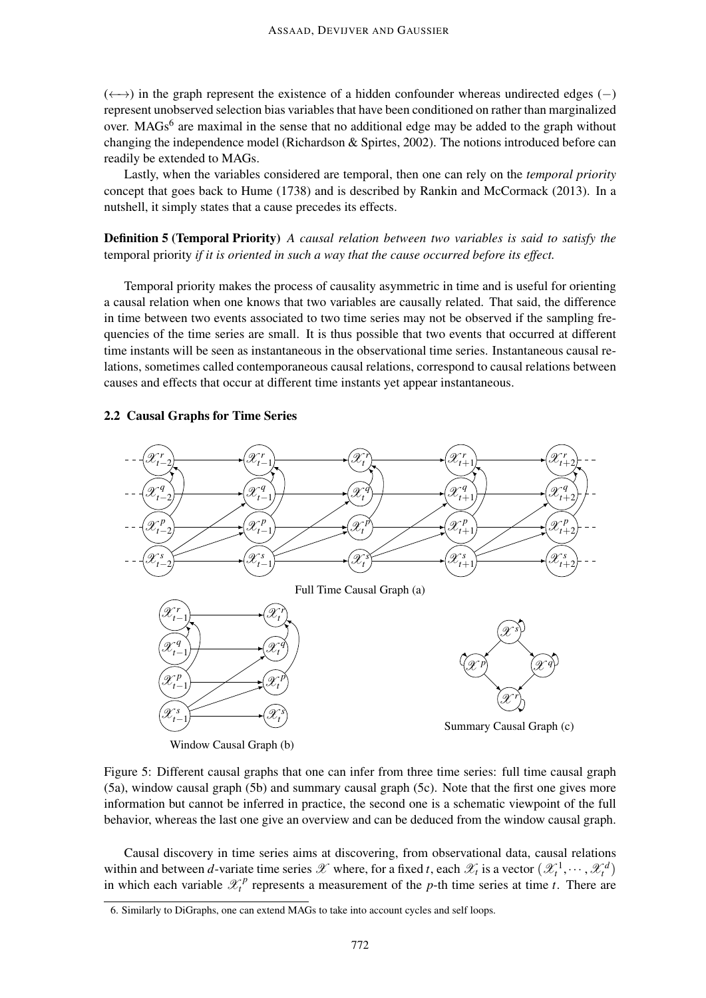$(\leftrightarrow)$  in the graph represent the existence of a hidden confounder whereas undirected edges (-) represent unobserved selection bias variables that have been conditioned on rather than marginalized over. MAGs<sup>6</sup> are maximal in the sense that no additional edge may be added to the graph without changing the independence model (Richardson & Spirtes, 2002). The notions introduced before can readily be extended to MAGs.

Lastly, when the variables considered are temporal, then one can rely on the *temporal priority* concept that goes back to Hume (1738) and is described by Rankin and McCormack (2013). In a nutshell, it simply states that a cause precedes its effects.

Definition 5 (Temporal Priority) *A causal relation between two variables is said to satisfy the* temporal priority *if it is oriented in such a way that the cause occurred before its effect.*

Temporal priority makes the process of causality asymmetric in time and is useful for orienting a causal relation when one knows that two variables are causally related. That said, the difference in time between two events associated to two time series may not be observed if the sampling frequencies of the time series are small. It is thus possible that two events that occurred at different time instants will be seen as instantaneous in the observational time series. Instantaneous causal relations, sometimes called contemporaneous causal relations, correspond to causal relations between causes and effects that occur at different time instants yet appear instantaneous.

# 2.2 Causal Graphs for Time Series



Figure 5: Different causal graphs that one can infer from three time series: full time causal graph (5a), window causal graph (5b) and summary causal graph (5c). Note that the first one gives more information but cannot be inferred in practice, the second one is a schematic viewpoint of the full behavior, whereas the last one give an overview and can be deduced from the window causal graph.

Causal discovery in time series aims at discovering, from observational data, causal relations within and between *d*-variate time series X where, for a fixed *t*, each  $\mathcal{X}_t$  is a vector  $(\mathcal{X}_t^1, \dots, \mathcal{X}_t^d)$ in which each variable  $\mathcal{X}_t^p$  represents a measurement of the *p*-th time series at time *t*. There are

<sup>6.</sup> Similarly to DiGraphs, one can extend MAGs to take into account cycles and self loops.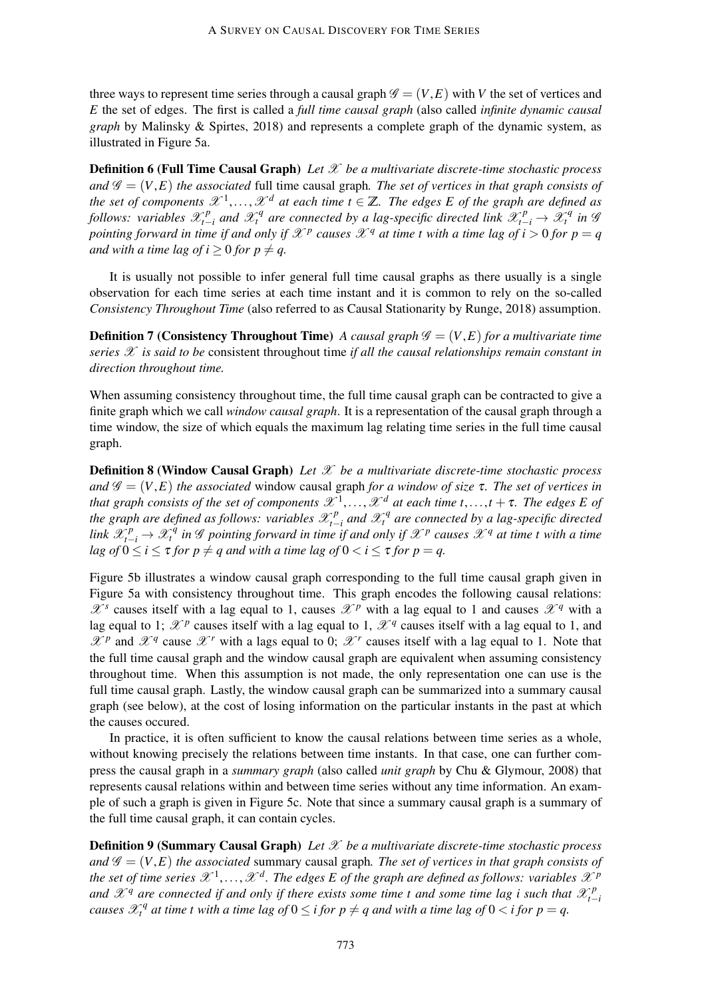three ways to represent time series through a causal graph  $\mathscr{G} = (V, E)$  with *V* the set of vertices and *E* the set of edges. The first is called a *full time causal graph* (also called *infinite dynamic causal graph* by Malinsky & Spirtes, 2018) and represents a complete graph of the dynamic system, as illustrated in Figure 5a.

Definition 6 (Full Time Causal Graph) *Let* X *be a multivariate discrete-time stochastic process and*  $\mathscr{G} = (V, E)$  *the associated* full time causal graph. The set of vertices in that graph consists of *the set of components*  $\mathscr{X}^1, \ldots, \mathscr{X}^d$  at each time  $t \in \mathbb{Z}$ . The edges E of the graph are defined as *follows:* variables  $\mathscr{X}_{t-1}^p$  $\chi_{t-i}^p$  and  $\mathscr{X}_t^q$  are connected by a lag-specific directed link  $\mathscr{X}_{t-i}^p \to \mathscr{X}_t^q$  in  $\mathscr{G}_t$ *pointing forward in time if and only if*  $\mathscr{X}^p$  causes  $\mathscr{X}^q$  at time t with a time lag of  $i > 0$  for  $p = q$ *and with a time lag of i*  $\geq 0$  *for p*  $\neq$  *q.* 

It is usually not possible to infer general full time causal graphs as there usually is a single observation for each time series at each time instant and it is common to rely on the so-called *Consistency Throughout Time* (also referred to as Causal Stationarity by Runge, 2018) assumption.

**Definition 7 (Consistency Throughout Time)** *A causal graph*  $\mathscr{G} = (V, E)$  *for a multivariate time series*  $\mathscr X$  *is said to be* consistent throughout time *if all the causal relationships remain constant in direction throughout time.*

When assuming consistency throughout time, the full time causal graph can be contracted to give a finite graph which we call *window causal graph*. It is a representation of the causal graph through a time window, the size of which equals the maximum lag relating time series in the full time causal graph.

Definition 8 (Window Causal Graph) *Let* X *be a multivariate discrete-time stochastic process and*  $\mathscr{G} = (V, E)$  *the associated* window causal graph *for a window of size*  $\tau$ *. The set of vertices in that graph consists of the set of components*  $\mathscr{X}^1, \ldots, \mathscr{X}^d$  *at each time t*,..., $t + \tau$ *. The edges E of the graph are defined as follows: variables*  $\mathscr{X}_{t-1}^p$ *t*−*i and* X *q <sup>t</sup> are connected by a lag-specific directed link*  $\mathscr{X}_{t-i}^p \to \mathscr{X}_t^q$  *in*  $\mathscr{G}$  pointing forward in time if and only if  $\mathscr{X}^p$  causes  $\mathscr{X}^q$  at time t with a time *lag of*  $0 \le i \le \tau$  *for*  $p \ne q$  *and with a time lag of*  $0 \lt i \le \tau$  *for*  $p = q$ *.* 

Figure 5b illustrates a window causal graph corresponding to the full time causal graph given in Figure 5a with consistency throughout time. This graph encodes the following causal relations:  $\mathscr{X}^s$  causes itself with a lag equal to 1, causes  $\mathscr{X}^p$  with a lag equal to 1 and causes  $\mathscr{X}^q$  with a lag equal to 1;  $\mathscr{X}^p$  causes itself with a lag equal to 1,  $\mathscr{X}^q$  causes itself with a lag equal to 1, and  $\mathscr{X}^p$  and  $\mathscr{X}^q$  cause  $\mathscr{X}^r$  with a lags equal to 0;  $\mathscr{X}^r$  causes itself with a lag equal to 1. Note that the full time causal graph and the window causal graph are equivalent when assuming consistency throughout time. When this assumption is not made, the only representation one can use is the full time causal graph. Lastly, the window causal graph can be summarized into a summary causal graph (see below), at the cost of losing information on the particular instants in the past at which the causes occured.

In practice, it is often sufficient to know the causal relations between time series as a whole, without knowing precisely the relations between time instants. In that case, one can further compress the causal graph in a *summary graph* (also called *unit graph* by Chu & Glymour, 2008) that represents causal relations within and between time series without any time information. An example of such a graph is given in Figure 5c. Note that since a summary causal graph is a summary of the full time causal graph, it can contain cycles.

Definition 9 (Summary Causal Graph) *Let* X *be a multivariate discrete-time stochastic process and*  $\mathscr{G} = (V, E)$  *the associated* summary causal graph. The set of vertices in that graph consists of the set of time series  $\mathscr{X}^1,\ldots,\mathscr{X}^d.$  The edges E of the graph are defined as follows: variables  $\mathscr{X}^p$ and  $\mathscr{X}^q$  are connected if and only if there exists some time t and some time lag i such that  $\mathscr{X}^p_{t-1}$ *t*−*i causes*  $\mathscr{X}_t^q$  at time t with a time lag of  $0 \leq i$  for  $p \neq q$  and with a time lag of  $0 < i$  for  $p = q$ .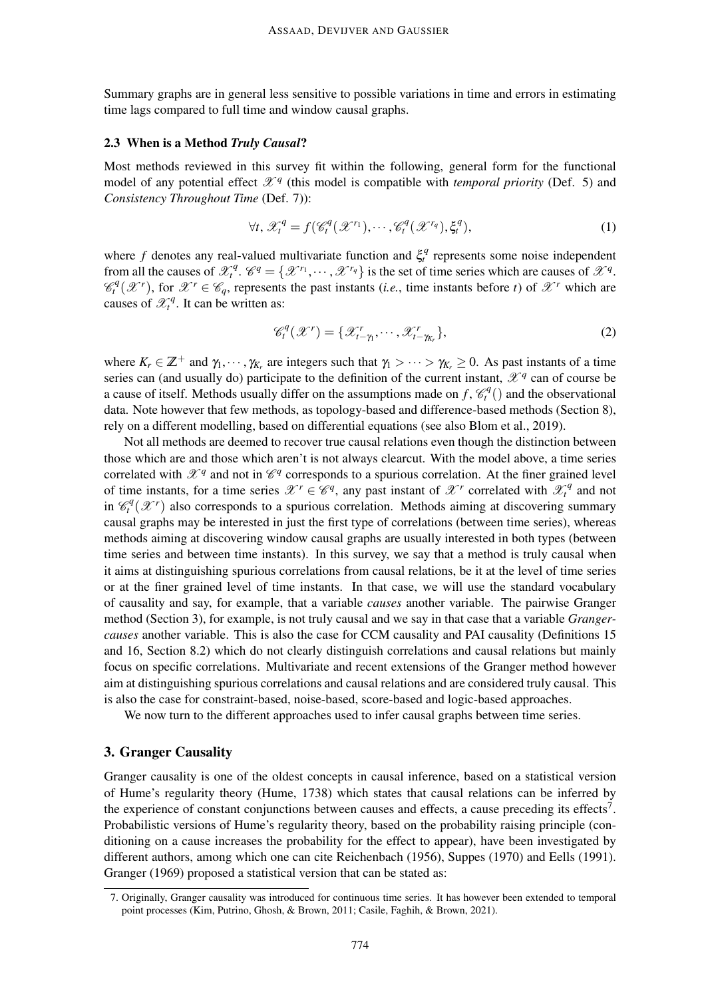Summary graphs are in general less sensitive to possible variations in time and errors in estimating time lags compared to full time and window causal graphs.

### 2.3 When is a Method *Truly Causal*?

Most methods reviewed in this survey fit within the following, general form for the functional model of any potential effect  $\mathcal{X}^q$  (this model is compatible with *temporal priority* (Def. 5) and *Consistency Throughout Time* (Def. 7)):

$$
\forall t, \mathscr{X}_t^q = f(\mathscr{C}_t^q(\mathscr{X}^{r_1}), \cdots, \mathscr{C}_t^q(\mathscr{X}^{r_q}), \xi_t^q), \tag{1}
$$

where f denotes any real-valued multivariate function and  $\xi_t^q$  represents some noise independent from all the causes of  $\mathscr{X}_t^q$ .  $\mathscr{C}^q = \{ \mathscr{X}^{r_1}, \cdots, \mathscr{X}^{r_q} \}$  is the set of time series which are causes of  $\mathscr{X}^q$ .  $\mathscr{C}_t^q(\mathscr{X}^r)$ , for  $\mathscr{X}^r \in \mathscr{C}_q$ , represents the past instants (*i.e.*, time instants before *t*) of  $\mathscr{X}^r$  which are causes of  $\mathcal{X}^q_t$ . It can be written as:

$$
\mathcal{C}_t^q(\mathcal{X}^r) = \{ \mathcal{X}_{t-\gamma_1}^r, \cdots, \mathcal{X}_{t-\gamma_{K_r}}^r \},\tag{2}
$$

where  $K_r \in \mathbb{Z}^+$  and  $\gamma_1, \dots, \gamma_{K_r}$  are integers such that  $\gamma_1 > \dots > \gamma_{K_r} \geq 0$ . As past instants of a time series can (and usually do) participate to the definition of the current instant,  $\mathscr{X}^q$  can of course be a cause of itself. Methods usually differ on the assumptions made on  $f, \mathcal{C}_t^q()$  and the observational data. Note however that few methods, as topology-based and difference-based methods (Section 8), rely on a different modelling, based on differential equations (see also Blom et al., 2019).

Not all methods are deemed to recover true causal relations even though the distinction between those which are and those which aren't is not always clearcut. With the model above, a time series correlated with  $\mathscr{X}^q$  and not in  $\mathscr{C}^q$  corresponds to a spurious correlation. At the finer grained level of time instants, for a time series  $\mathscr{X}^r \in \mathscr{C}^q$ , any past instant of  $\mathscr{X}^r$  correlated with  $\mathscr{X}^q_t$  and not in  $\mathcal{C}_t^q(\mathcal{X}^r)$  also corresponds to a spurious correlation. Methods aiming at discovering summary causal graphs may be interested in just the first type of correlations (between time series), whereas methods aiming at discovering window causal graphs are usually interested in both types (between time series and between time instants). In this survey, we say that a method is truly causal when it aims at distinguishing spurious correlations from causal relations, be it at the level of time series or at the finer grained level of time instants. In that case, we will use the standard vocabulary of causality and say, for example, that a variable *causes* another variable. The pairwise Granger method (Section 3), for example, is not truly causal and we say in that case that a variable *Grangercauses* another variable. This is also the case for CCM causality and PAI causality (Definitions 15 and 16, Section 8.2) which do not clearly distinguish correlations and causal relations but mainly focus on specific correlations. Multivariate and recent extensions of the Granger method however aim at distinguishing spurious correlations and causal relations and are considered truly causal. This is also the case for constraint-based, noise-based, score-based and logic-based approaches.

We now turn to the different approaches used to infer causal graphs between time series.

### 3. Granger Causality

Granger causality is one of the oldest concepts in causal inference, based on a statistical version of Hume's regularity theory (Hume, 1738) which states that causal relations can be inferred by the experience of constant conjunctions between causes and effects, a cause preceding its effects<sup>7</sup>. Probabilistic versions of Hume's regularity theory, based on the probability raising principle (conditioning on a cause increases the probability for the effect to appear), have been investigated by different authors, among which one can cite Reichenbach (1956), Suppes (1970) and Eells (1991). Granger (1969) proposed a statistical version that can be stated as:

<sup>7.</sup> Originally, Granger causality was introduced for continuous time series. It has however been extended to temporal point processes (Kim, Putrino, Ghosh, & Brown, 2011; Casile, Faghih, & Brown, 2021).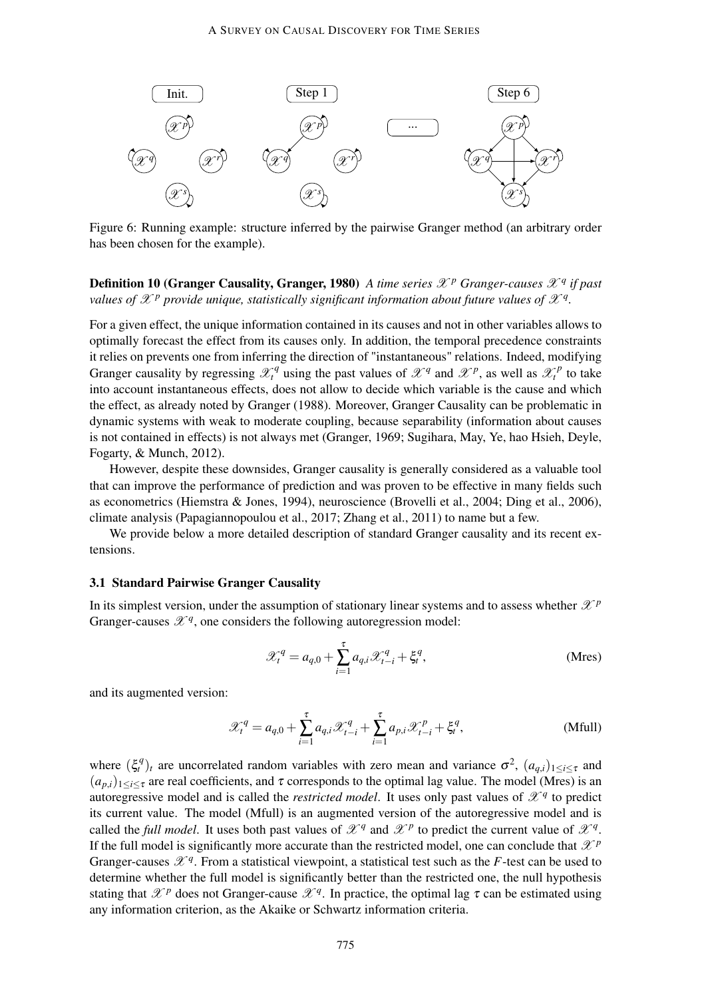

Figure 6: Running example: structure inferred by the pairwise Granger method (an arbitrary order has been chosen for the example).

# Definition 10 (Granger Causality, Granger, 1980) *A time series* X *<sup>p</sup> Granger-causes* X *<sup>q</sup> if past values of*  $\mathscr{X}^p$  *provide unique, statistically significant information about future values of*  $\mathscr{X}^q$ *.*

For a given effect, the unique information contained in its causes and not in other variables allows to optimally forecast the effect from its causes only. In addition, the temporal precedence constraints it relies on prevents one from inferring the direction of "instantaneous" relations. Indeed, modifying Granger causality by regressing  $\mathcal{X}^q_t$  using the past values of  $\mathcal{X}^q$  and  $\mathcal{X}^p$ , as well as  $\mathcal{X}^p_t$  to take into account instantaneous effects, does not allow to decide which variable is the cause and which the effect, as already noted by Granger (1988). Moreover, Granger Causality can be problematic in dynamic systems with weak to moderate coupling, because separability (information about causes is not contained in effects) is not always met (Granger, 1969; Sugihara, May, Ye, hao Hsieh, Deyle, Fogarty, & Munch, 2012).

However, despite these downsides, Granger causality is generally considered as a valuable tool that can improve the performance of prediction and was proven to be effective in many fields such as econometrics (Hiemstra & Jones, 1994), neuroscience (Brovelli et al., 2004; Ding et al., 2006), climate analysis (Papagiannopoulou et al., 2017; Zhang et al., 2011) to name but a few.

We provide below a more detailed description of standard Granger causality and its recent extensions.

# 3.1 Standard Pairwise Granger Causality

In its simplest version, under the assumption of stationary linear systems and to assess whether  $\mathcal{X}^p$ Granger-causes  $\mathscr{X}^q$ , one considers the following autoregression model:

$$
\mathcal{X}_t^q = a_{q,0} + \sum_{i=1}^{\tau} a_{q,i} \mathcal{X}_{t-i}^q + \xi_t^q, \tag{Mres}
$$

and its augmented version:

$$
\mathcal{X}_t^q = a_{q,0} + \sum_{i=1}^{\tau} a_{q,i} \mathcal{X}_{t-i}^q + \sum_{i=1}^{\tau} a_{p,i} \mathcal{X}_{t-i}^p + \xi_t^q,
$$
 (Mfull)

where  $(\xi_t^q)_t$  are uncorrelated random variables with zero mean and variance  $\sigma^2$ ,  $(a_{q,i})_{1\leq i\leq \tau}$  and  $(a_{p,i})_{1\leq i\leq \tau}$  are real coefficients, and  $\tau$  corresponds to the optimal lag value. The model (Mres) is an autoregressive model and is called the *restricted model*. It uses only past values of  $\mathcal{X}^q$  to predict its current value. The model (Mfull) is an augmented version of the autoregressive model and is called the *full model*. It uses both past values of  $\mathcal{X}^q$  and  $\mathcal{X}^p$  to predict the current value of  $\mathcal{X}^q$ . If the full model is significantly more accurate than the restricted model, one can conclude that  $\mathcal{X}^p$ Granger-causes  $\mathscr{X}^q$ . From a statistical viewpoint, a statistical test such as the *F*-test can be used to determine whether the full model is significantly better than the restricted one, the null hypothesis stating that  $\mathscr{X}^p$  does not Granger-cause  $\mathscr{X}^q$ . In practice, the optimal lag  $\tau$  can be estimated using any information criterion, as the Akaike or Schwartz information criteria.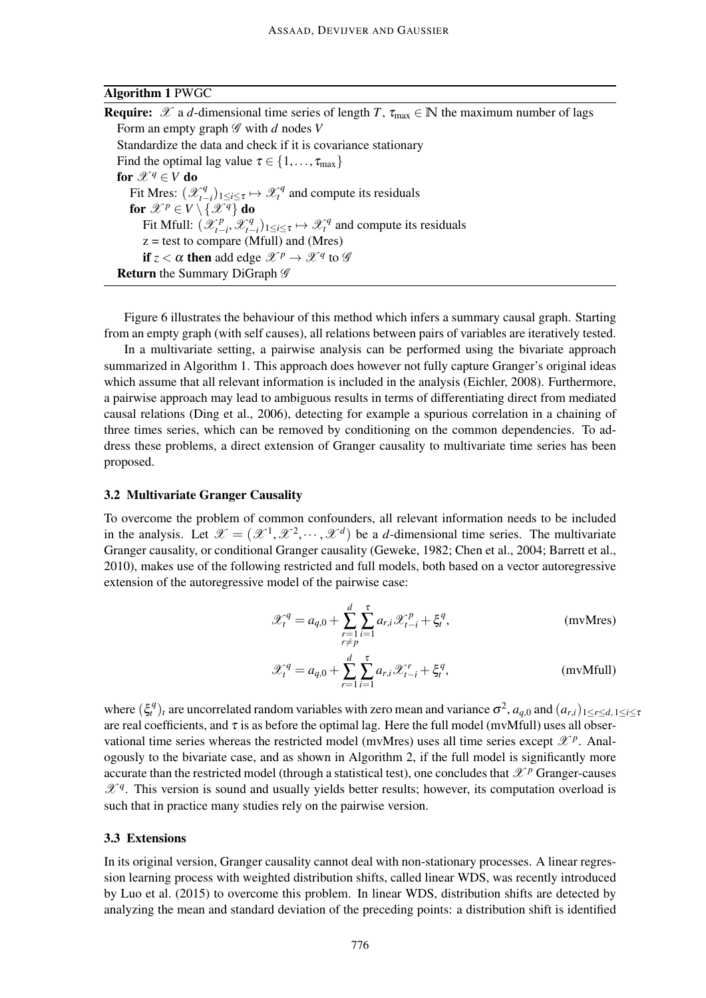### Algorithm 1 PWGC

**Require:**  $\mathscr X$  a *d*-dimensional time series of length *T*,  $\tau_{\text{max}} \in \mathbb N$  the maximum number of lags Form an empty graph G with *d* nodes *V* Standardize the data and check if it is covariance stationary Find the optimal lag value  $\tau \in \{1, \ldots, \tau_{\text{max}}\}\$ for  $\mathscr{X}^q \in V$  do Fit Mres:  $(\mathscr{X}_{t-1}^q)$  $\chi^q_{t-i}$ ) 1≤*i*≤τ  $\mapsto \mathcal{X}_t^q$  and compute its residuals for  $\mathscr{X}^p \in V \setminus \{ \mathscr{X}^q \}$  do Fit Mfull:  $(\mathscr{X}_{t-1}^p)$  $\mathscr{X}_{t-i}^p$ ,  $\mathscr{X}_{t-1}^q$  $\chi^q_{t-i}$ )<sub>1≤*i*≤τ</sub>  $\mapsto$   $\mathcal{X}_t^q$  and compute its residuals  $z =$  test to compare (Mfull) and (Mres) if  $z < \alpha$  then add edge  $\mathscr{X}^p \to \mathscr{X}^q$  to  $\mathscr{G}$ Return the Summary DiGraph  $\mathscr G$ 

Figure 6 illustrates the behaviour of this method which infers a summary causal graph. Starting from an empty graph (with self causes), all relations between pairs of variables are iteratively tested.

In a multivariate setting, a pairwise analysis can be performed using the bivariate approach summarized in Algorithm 1. This approach does however not fully capture Granger's original ideas which assume that all relevant information is included in the analysis (Eichler, 2008). Furthermore, a pairwise approach may lead to ambiguous results in terms of differentiating direct from mediated causal relations (Ding et al., 2006), detecting for example a spurious correlation in a chaining of three times series, which can be removed by conditioning on the common dependencies. To address these problems, a direct extension of Granger causality to multivariate time series has been proposed.

### 3.2 Multivariate Granger Causality

To overcome the problem of common confounders, all relevant information needs to be included in the analysis. Let  $\mathscr{X} = (\mathscr{X}^1, \mathscr{X}^2, \cdots, \mathscr{X}^d)$  be a *d*-dimensional time series. The multivariate Granger causality, or conditional Granger causality (Geweke, 1982; Chen et al., 2004; Barrett et al., 2010), makes use of the following restricted and full models, both based on a vector autoregressive extension of the autoregressive model of the pairwise case:

$$
\mathcal{X}_t^q = a_{q,0} + \sum_{\substack{r=1 \ r \neq p}}^d \sum_{i=1}^\tau a_{r,i} \mathcal{X}_{t-i}^p + \xi_t^q,
$$
 (mvMres)  

$$
\mathcal{X}_t^q = \xi - \sum_{r=1}^d \sum_{i=1}^\tau \xi_{r,i} \mathcal{X}_{t-i}^r + \xi_t^q
$$
 (mvMres)

$$
\mathcal{X}_t^q = a_{q,0} + \sum_{r=1}^a \sum_{i=1}^r a_{r,i} \mathcal{X}_{t-i}^r + \xi_t^q, \qquad (\text{mvMfull})
$$

where  $(\xi_t^q)_t$  are uncorrelated random variables with zero mean and variance  $\sigma^2$ ,  $a_{q,0}$  and  $(a_{r,i})_{1 \leq r \leq d, 1 \leq i \leq n}$ are real coefficients, and  $\tau$  is as before the optimal lag. Here the full model (mvMfull) uses all observational time series whereas the restricted model (mvMres) uses all time series except  $\mathscr{X}^p$ . Analogously to the bivariate case, and as shown in Algorithm 2, if the full model is significantly more accurate than the restricted model (through a statistical test), one concludes that  $\mathscr{X}^p$  Granger-causes  $\mathscr{X}^q$ . This version is sound and usually yields better results; however, its computation overload is such that in practice many studies rely on the pairwise version.

### 3.3 Extensions

In its original version, Granger causality cannot deal with non-stationary processes. A linear regression learning process with weighted distribution shifts, called linear WDS, was recently introduced by Luo et al. (2015) to overcome this problem. In linear WDS, distribution shifts are detected by analyzing the mean and standard deviation of the preceding points: a distribution shift is identified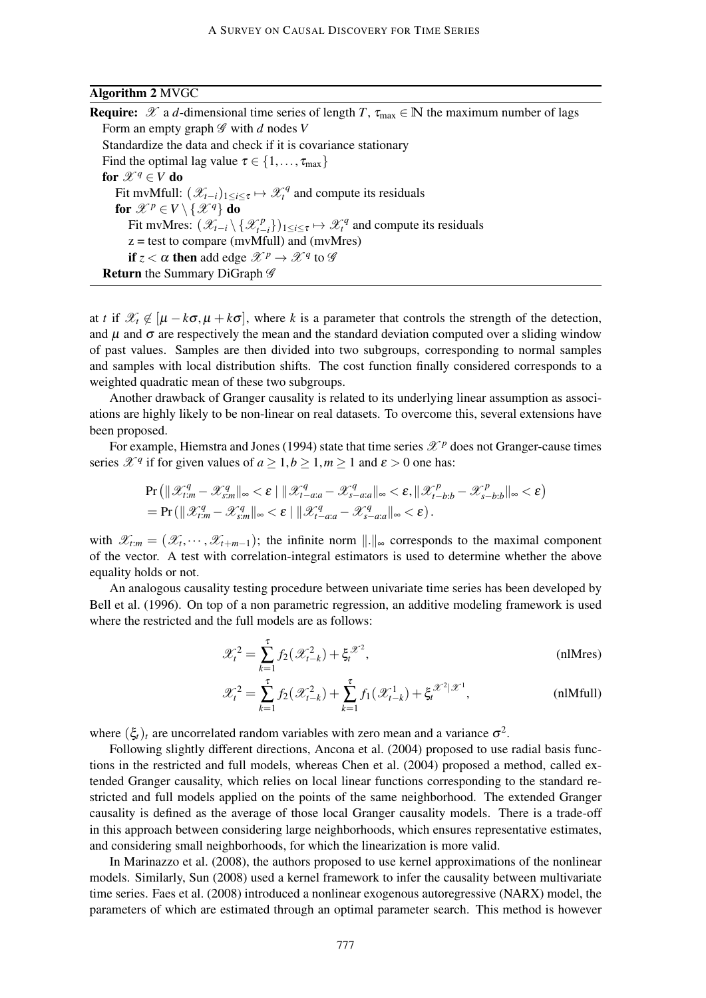### Algorithm 2 MVGC

**Require:**  $\mathscr X$  a *d*-dimensional time series of length *T*,  $\tau_{\text{max}} \in \mathbb N$  the maximum number of lags Form an empty graph G with *d* nodes *V* Standardize the data and check if it is covariance stationary Find the optimal lag value  $\tau \in \{1, \ldots, \tau_{\text{max}}\}\$ for  $\mathscr{X}^q \in V$  do Fit mvMfull:  $(\mathscr{X}_{t-i})_{1 \leq i \leq \tau} \mapsto \mathscr{X}_t^q$  and compute its residuals for  $\mathscr{X}^p \in V \setminus \{ \mathscr{X}^q \}$  do Fit mvMres:  $(\mathscr{X}_{t-i} \setminus {\mathscr{X}_{t-1}^p})$  $\mathcal{L}^p_{t-i}$ })<sub>1≤*i*≤τ</sub>  $\mapsto \mathcal{X}^q_t$  and compute its residuals  $z =$  test to compare (mvMfull) and (mvMres) if  $z < \alpha$  then add edge  $\mathscr{X}^p \to \mathscr{X}^q$  to  $\mathscr{G}$ Return the Summary DiGraph  $\mathscr G$ 

at *t* if  $\mathcal{X}_t \notin [\mu - k\sigma, \mu + k\sigma]$ , where *k* is a parameter that controls the strength of the detection, and  $\mu$  and  $\sigma$  are respectively the mean and the standard deviation computed over a sliding window of past values. Samples are then divided into two subgroups, corresponding to normal samples and samples with local distribution shifts. The cost function finally considered corresponds to a weighted quadratic mean of these two subgroups.

Another drawback of Granger causality is related to its underlying linear assumption as associations are highly likely to be non-linear on real datasets. To overcome this, several extensions have been proposed.

For example, Hiemstra and Jones (1994) state that time series  $\mathcal{X}^p$  does not Granger-cause times series  $\mathcal{X}^q$  if for given values of  $a \geq 1, b \geq 1, m \geq 1$  and  $\varepsilon > 0$  one has:

$$
\Pr\left(\|\mathcal{X}_{t:m}^q - \mathcal{X}_{s:m}^q\|_{\infty} < \varepsilon \mid \|\mathcal{X}_{t- a:a}^q - \mathcal{X}_{s-a:a}^q\|_{\infty} < \varepsilon, \|\mathcal{X}_{t-b:b}^p - \mathcal{X}_{s-b:b}^p\|_{\infty} < \varepsilon\right) \\
= \Pr\left(\|\mathcal{X}_{t:m}^q - \mathcal{X}_{s:m}^q\|_{\infty} < \varepsilon \mid \|\mathcal{X}_{t-a:a}^q - \mathcal{X}_{s-a:a}^q\|_{\infty} < \varepsilon\right).
$$

with  $\mathscr{X}_{t:m} = (\mathscr{X}_t, \dots, \mathscr{X}_{t+m-1})$ ; the infinite norm  $\|\cdot\|_{\infty}$  corresponds to the maximal component of the vector. A test with correlation-integral estimators is used to determine whether the above equality holds or not.

An analogous causality testing procedure between univariate time series has been developed by Bell et al. (1996). On top of a non parametric regression, an additive modeling framework is used where the restricted and the full models are as follows:

$$
\mathcal{X}_t^2 = \sum_{k=1}^{\tau} f_2(\mathcal{X}_{t-k}^2) + \xi_t^{\mathcal{X}^2},
$$
 (nlMres)

$$
\mathcal{X}_t^2 = \sum_{k=1}^{\tau} f_2(\mathcal{X}_{t-k}^2) + \sum_{k=1}^{\tau} f_1(\mathcal{X}_{t-k}^1) + \xi_t^{\mathcal{X}^2|\mathcal{X}^1}, \tag{nlMfull}
$$

where  $(\xi_t)_t$  are uncorrelated random variables with zero mean and a variance  $\sigma^2$ .

Following slightly different directions, Ancona et al. (2004) proposed to use radial basis functions in the restricted and full models, whereas Chen et al. (2004) proposed a method, called extended Granger causality, which relies on local linear functions corresponding to the standard restricted and full models applied on the points of the same neighborhood. The extended Granger causality is defined as the average of those local Granger causality models. There is a trade-off in this approach between considering large neighborhoods, which ensures representative estimates, and considering small neighborhoods, for which the linearization is more valid.

In Marinazzo et al. (2008), the authors proposed to use kernel approximations of the nonlinear models. Similarly, Sun (2008) used a kernel framework to infer the causality between multivariate time series. Faes et al. (2008) introduced a nonlinear exogenous autoregressive (NARX) model, the parameters of which are estimated through an optimal parameter search. This method is however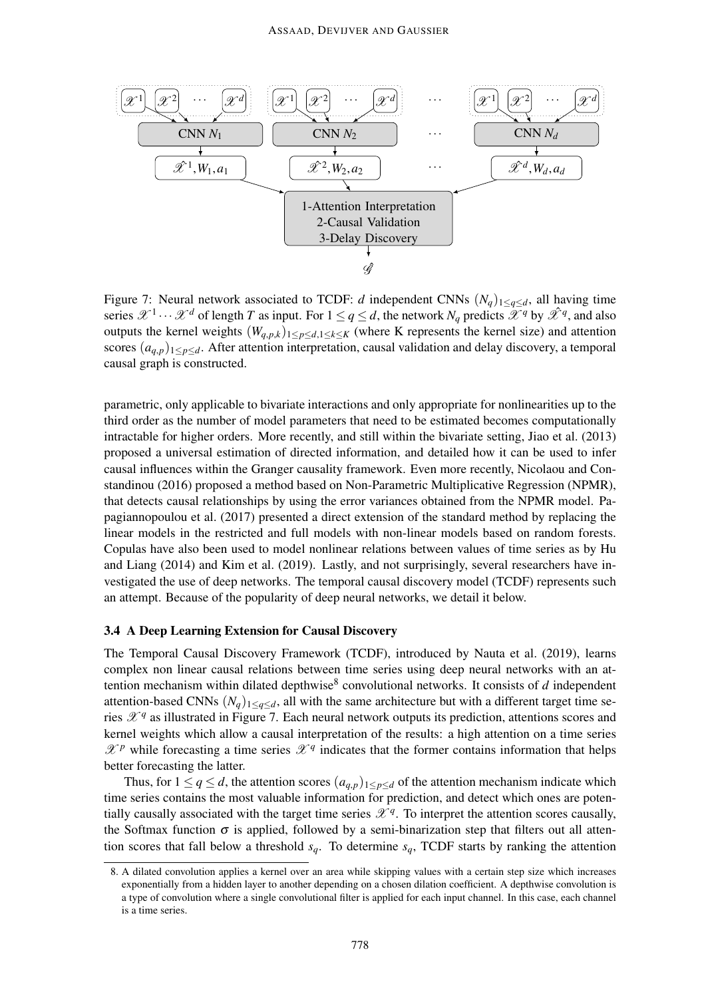

Figure 7: Neural network associated to TCDF: *d* independent CNNs  $(N_q)_{1 \leq q \leq d}$ , all having time series  $\mathscr{X}^1 \cdots \mathscr{X}^d$  of length *T* as input. For  $1 \le q \le d$ , the network  $N_q$  predicts  $\mathscr{X}^q$  by  $\mathscr{X}^q$ , and also outputs the kernel weights  $(W_{q,p,k})_{1 \leq p \leq d, 1 \leq k \leq K}$  (where K represents the kernel size) and attention scores  $(a_{q,p})_{1 \leq p \leq d}$ . After attention interpretation, causal validation and delay discovery, a temporal causal graph is constructed.

parametric, only applicable to bivariate interactions and only appropriate for nonlinearities up to the third order as the number of model parameters that need to be estimated becomes computationally intractable for higher orders. More recently, and still within the bivariate setting, Jiao et al. (2013) proposed a universal estimation of directed information, and detailed how it can be used to infer causal influences within the Granger causality framework. Even more recently, Nicolaou and Constandinou (2016) proposed a method based on Non-Parametric Multiplicative Regression (NPMR), that detects causal relationships by using the error variances obtained from the NPMR model. Papagiannopoulou et al. (2017) presented a direct extension of the standard method by replacing the linear models in the restricted and full models with non-linear models based on random forests. Copulas have also been used to model nonlinear relations between values of time series as by Hu and Liang (2014) and Kim et al. (2019). Lastly, and not surprisingly, several researchers have investigated the use of deep networks. The temporal causal discovery model (TCDF) represents such an attempt. Because of the popularity of deep neural networks, we detail it below.

# 3.4 A Deep Learning Extension for Causal Discovery

The Temporal Causal Discovery Framework (TCDF), introduced by Nauta et al. (2019), learns complex non linear causal relations between time series using deep neural networks with an attention mechanism within dilated depthwise<sup>8</sup> convolutional networks. It consists of *d* independent attention-based CNNs  $(N_q)_{1 \leq q \leq d}$ , all with the same architecture but with a different target time series  $\mathscr{X}^q$  as illustrated in Figure 7. Each neural network outputs its prediction, attentions scores and kernel weights which allow a causal interpretation of the results: a high attention on a time series  $\mathscr{X}^p$  while forecasting a time series  $\mathscr{X}^q$  indicates that the former contains information that helps better forecasting the latter.

Thus, for  $1 \le q \le d$ , the attention scores  $(a_{q,p})_{1 \le p \le d}$  of the attention mechanism indicate which time series contains the most valuable information for prediction, and detect which ones are potentially causally associated with the target time series  $\mathscr{X}^q$ . To interpret the attention scores causally, the Softmax function  $\sigma$  is applied, followed by a semi-binarization step that filters out all attention scores that fall below a threshold  $s_q$ . To determine  $s_q$ , TCDF starts by ranking the attention

<sup>8.</sup> A dilated convolution applies a kernel over an area while skipping values with a certain step size which increases exponentially from a hidden layer to another depending on a chosen dilation coefficient. A depthwise convolution is a type of convolution where a single convolutional filter is applied for each input channel. In this case, each channel is a time series.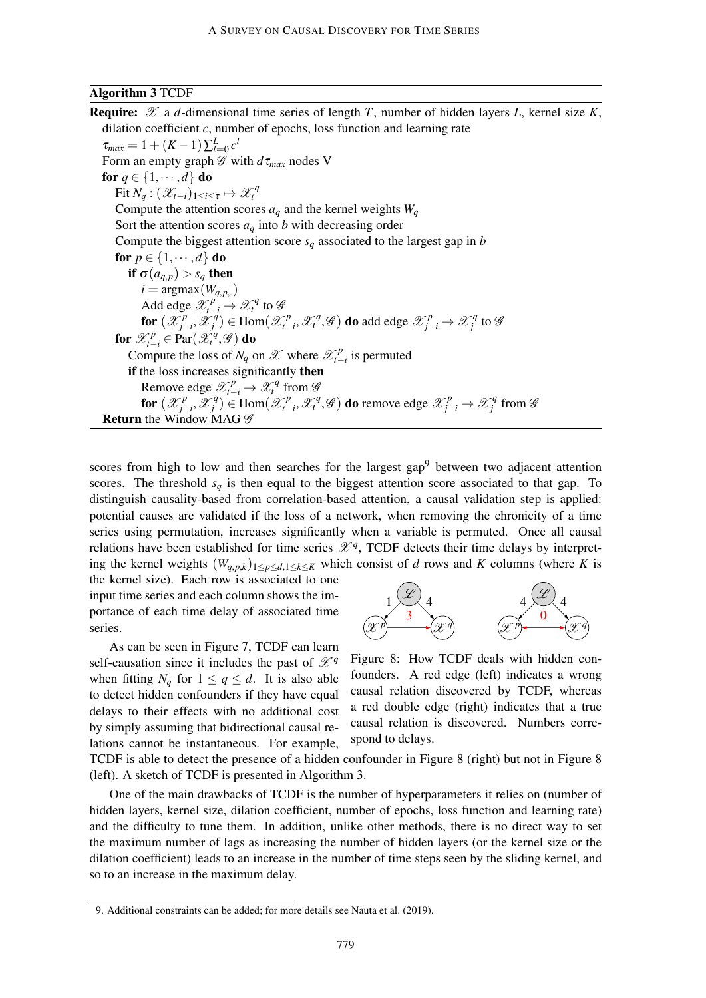### Algorithm 3 TCDF

**Require:**  $\mathscr X$  a *d*-dimensional time series of length *T*, number of hidden layers *L*, kernel size *K*, dilation coefficient *c*, number of epochs, loss function and learning rate  $\tau_{max} = 1 + (K - 1) \sum_{l=0}^{L} c^{l}$ Form an empty graph  $\mathscr G$  with  $d\tau_{max}$  nodes V for  $q \in \{1, \dots, d\}$  do Fit  $N_q$  :  $(\mathscr{X}_{t-i})_{1\leq i\leq \tau} \mapsto \mathscr{X}_t^q$ Compute the attention scores  $a_q$  and the kernel weights  $W_q$ Sort the attention scores  $a_q$  into *b* with decreasing order Compute the biggest attention score  $s_q$  associated to the largest gap in *b* for  $p \in \{1, \dots, d\}$  do if  $\sigma(a_{q,p}) > s_q$  then  $i = \text{argmax}(W_{q,p,})$ Add edge  $\mathscr{X}_{t-i}^{p} \to \mathscr{X}_{t}^{q}$  to  $\mathscr{G}$ for  $(\mathscr{X}_{i}^p)$ *<i><sup>p</sup>*<sub>*i*</sub>−*i*</sub>, X<sup>*q*</sup></del>  $f_j^{(q)}$ )  $\in$  Hom $(\mathscr{X}_{t-1}^p)$  $\mathcal{X}_{t-i}^p$ ,  $\mathcal{X}_t^q$ ,  $\mathcal{G}$ ) do add edge  $\mathcal{X}_{j-i}^p$  →  $\mathcal{X}_j^q$  $f: (\mathcal{X}_{j-i}^p, \mathcal{X}_j^q) \in \text{Hom}(\mathcal{X}_{t-i}^p, \mathcal{X}_t^q, \mathcal{G})$  do add edge  $\mathcal{X}_{j-i}^p \to \mathcal{X}_j^q$  to  $\mathcal{G}$ <br>  $f \subset \text{Bar}(\mathcal{X}_j^q, \mathcal{G})$  do for  $\mathscr{X}_{t-i}^p \in \mathrm{Par}(\mathscr{X}_t^q, \mathscr{G})$  do Compute the loss of  $N_q$  on  $\mathscr X$  where  $\mathscr X_{t-1}^p$  $\int_{t-i}^{p}$  is permuted if the loss increases significantly then Remove edge  $\mathcal{X}_{t-i}^p \to \mathcal{X}_t^q$  from  $\mathcal{Y}_t^p$ for  $(\mathscr{X}_{i}^{p})$ *j*−*i* ,X *q*  $\mathcal{F}_j^q$ )  $\in$  Hom $(\mathcal{X}_{t-1}^p)$ *t*−*i*</sub>,  $\mathscr{X}_t^q$ ,  $\mathscr{G}$  ) do remove edge  $\mathscr{X}_{j-i}^p$  →  $\mathscr{X}_j^q$ *j* from G **Return** the Window MAG  $\mathscr G$ 

scores from high to low and then searches for the largest  $\text{gap}^9$  between two adjacent attention scores. The threshold  $s_q$  is then equal to the biggest attention score associated to that gap. To distinguish causality-based from correlation-based attention, a causal validation step is applied: potential causes are validated if the loss of a network, when removing the chronicity of a time series using permutation, increases significantly when a variable is permuted. Once all causal relations have been established for time series  $\mathscr{X}^q$ , TCDF detects their time delays by interpreting the kernel weights  $(W_{q,p,k})_{1 \leq p \leq d, 1 \leq k \leq K}$  which consist of *d* rows and *K* columns (where *K* is

the kernel size). Each row is associated to one input time series and each column shows the importance of each time delay of associated time series.

As can be seen in Figure 7, TCDF can learn self-causation since it includes the past of  $\mathscr{X}^q$ when fitting  $N_q$  for  $1 \le q \le d$ . It is also able to detect hidden confounders if they have equal delays to their effects with no additional cost by simply assuming that bidirectional causal relations cannot be instantaneous. For example,



Figure 8: How TCDF deals with hidden confounders. A red edge (left) indicates a wrong causal relation discovered by TCDF, whereas a red double edge (right) indicates that a true causal relation is discovered. Numbers correspond to delays.

TCDF is able to detect the presence of a hidden confounder in Figure 8 (right) but not in Figure 8 (left). A sketch of TCDF is presented in Algorithm 3.

One of the main drawbacks of TCDF is the number of hyperparameters it relies on (number of hidden layers, kernel size, dilation coefficient, number of epochs, loss function and learning rate) and the difficulty to tune them. In addition, unlike other methods, there is no direct way to set the maximum number of lags as increasing the number of hidden layers (or the kernel size or the dilation coefficient) leads to an increase in the number of time steps seen by the sliding kernel, and so to an increase in the maximum delay.

<sup>9.</sup> Additional constraints can be added; for more details see Nauta et al. (2019).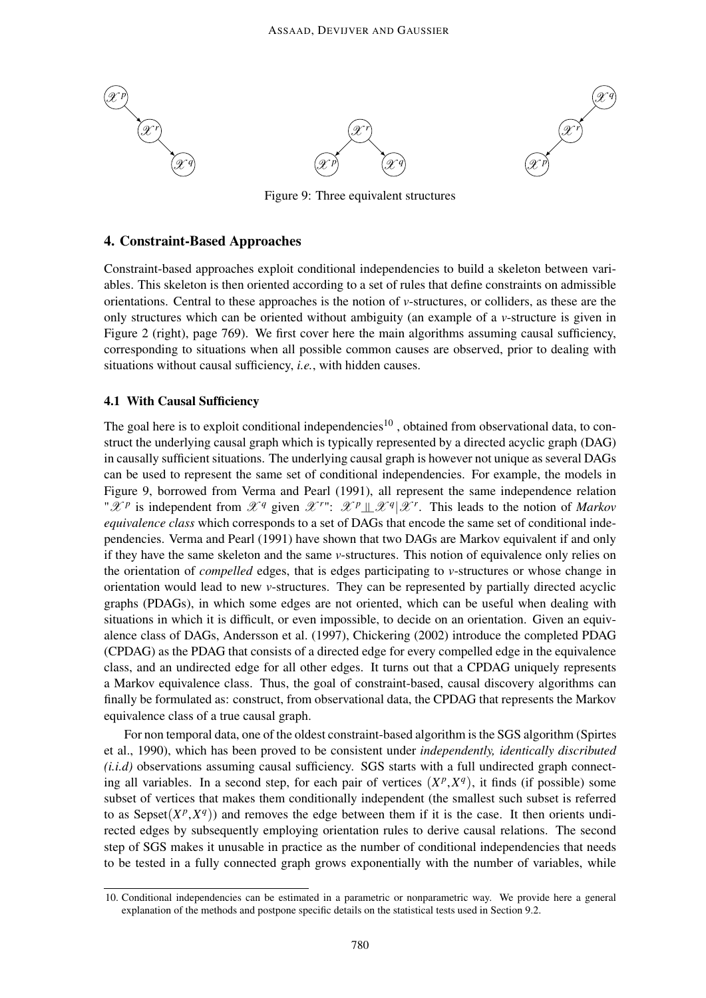

Figure 9: Three equivalent structures

# 4. Constraint-Based Approaches

Constraint-based approaches exploit conditional independencies to build a skeleton between variables. This skeleton is then oriented according to a set of rules that define constraints on admissible orientations. Central to these approaches is the notion of *v*-structures, or colliders, as these are the only structures which can be oriented without ambiguity (an example of a *v*-structure is given in Figure 2 (right), page 769). We first cover here the main algorithms assuming causal sufficiency, corresponding to situations when all possible common causes are observed, prior to dealing with situations without causal sufficiency, *i.e.*, with hidden causes.

# 4.1 With Causal Sufficiency

The goal here is to exploit conditional independencies<sup>10</sup>, obtained from observational data, to construct the underlying causal graph which is typically represented by a directed acyclic graph (DAG) in causally sufficient situations. The underlying causal graph is however not unique as several DAGs can be used to represent the same set of conditional independencies. For example, the models in Figure 9, borrowed from Verma and Pearl (1991), all represent the same independence relation " $\mathscr{X}^p$  is independent from  $\mathscr{X}^q$  given  $\mathscr{X}^{r}$ ":  $\mathscr{X}^p \perp \mathscr{X}^q | \mathscr{X}^r$ . This leads to the notion of *Markov equivalence class* which corresponds to a set of DAGs that encode the same set of conditional independencies. Verma and Pearl (1991) have shown that two DAGs are Markov equivalent if and only if they have the same skeleton and the same *v*-structures. This notion of equivalence only relies on the orientation of *compelled* edges, that is edges participating to *v*-structures or whose change in orientation would lead to new *v*-structures. They can be represented by partially directed acyclic graphs (PDAGs), in which some edges are not oriented, which can be useful when dealing with situations in which it is difficult, or even impossible, to decide on an orientation. Given an equivalence class of DAGs, Andersson et al. (1997), Chickering (2002) introduce the completed PDAG (CPDAG) as the PDAG that consists of a directed edge for every compelled edge in the equivalence class, and an undirected edge for all other edges. It turns out that a CPDAG uniquely represents a Markov equivalence class. Thus, the goal of constraint-based, causal discovery algorithms can finally be formulated as: construct, from observational data, the CPDAG that represents the Markov equivalence class of a true causal graph.

For non temporal data, one of the oldest constraint-based algorithm is the SGS algorithm (Spirtes et al., 1990), which has been proved to be consistent under *independently, identically discributed (i.i.d)* observations assuming causal sufficiency. SGS starts with a full undirected graph connecting all variables. In a second step, for each pair of vertices  $(X^p, X^q)$ , it finds (if possible) some subset of vertices that makes them conditionally independent (the smallest such subset is referred to as Sepset $(X^p, X^q)$ ) and removes the edge between them if it is the case. It then orients undirected edges by subsequently employing orientation rules to derive causal relations. The second step of SGS makes it unusable in practice as the number of conditional independencies that needs to be tested in a fully connected graph grows exponentially with the number of variables, while

<sup>10.</sup> Conditional independencies can be estimated in a parametric or nonparametric way. We provide here a general explanation of the methods and postpone specific details on the statistical tests used in Section 9.2.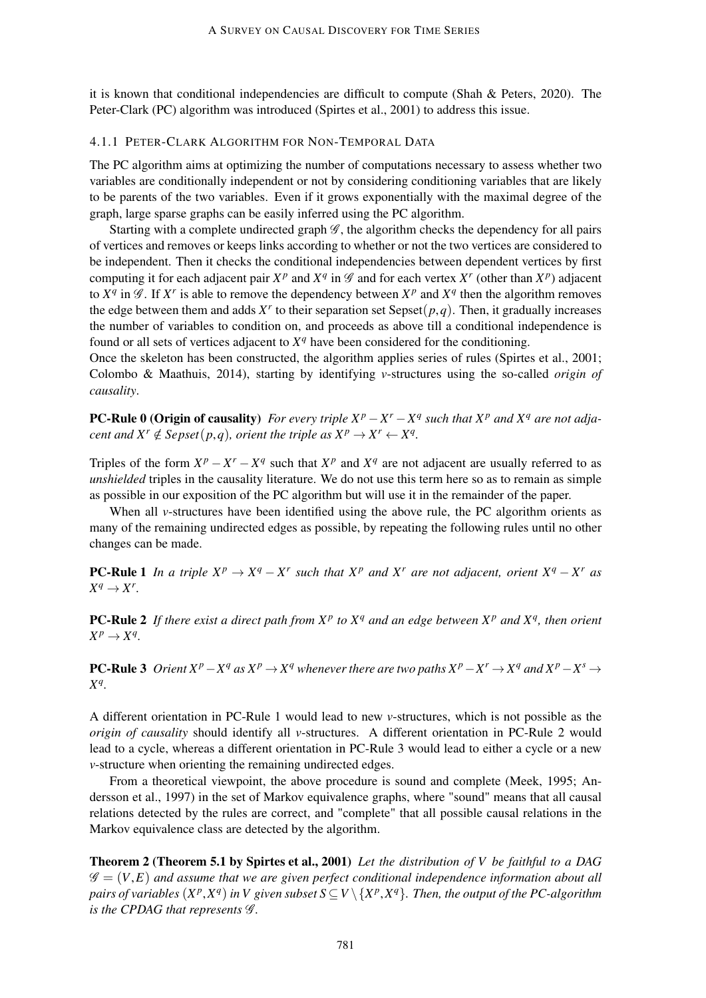it is known that conditional independencies are difficult to compute (Shah & Peters, 2020). The Peter-Clark (PC) algorithm was introduced (Spirtes et al., 2001) to address this issue.

### 4.1.1 PETER-CLARK ALGORITHM FOR NON-TEMPORAL DATA

The PC algorithm aims at optimizing the number of computations necessary to assess whether two variables are conditionally independent or not by considering conditioning variables that are likely to be parents of the two variables. Even if it grows exponentially with the maximal degree of the graph, large sparse graphs can be easily inferred using the PC algorithm.

Starting with a complete undirected graph  $\mathscr G$ , the algorithm checks the dependency for all pairs of vertices and removes or keeps links according to whether or not the two vertices are considered to be independent. Then it checks the conditional independencies between dependent vertices by first computing it for each adjacent pair  $X^p$  and  $X^q$  in  $\mathscr G$  and for each vertex  $X^r$  (other than  $X^p$ ) adjacent to  $X^q$  in  $\mathscr G$ . If  $X^r$  is able to remove the dependency between  $X^p$  and  $X^q$  then the algorithm removes the edge between them and adds  $X<sup>r</sup>$  to their separation set Sepset $(p,q)$ . Then, it gradually increases the number of variables to condition on, and proceeds as above till a conditional independence is found or all sets of vertices adjacent to  $X<sup>q</sup>$  have been considered for the conditioning.

Once the skeleton has been constructed, the algorithm applies series of rules (Spirtes et al., 2001; Colombo & Maathuis, 2014), starting by identifying *v*-structures using the so-called *origin of causality*.

**PC-Rule 0 (Origin of causality)** For every triple  $X^p - X^r - X^q$  such that  $X^p$  and  $X^q$  are not adja*cent and*  $X^r \notin \text{Sepset}(p,q)$ , *orient the triple as*  $X^p \to X^r \leftarrow X^q$ .

Triples of the form  $X^p - X^r - X^q$  such that  $X^p$  and  $X^q$  are not adjacent are usually referred to as *unshielded* triples in the causality literature. We do not use this term here so as to remain as simple as possible in our exposition of the PC algorithm but will use it in the remainder of the paper.

When all *v*-structures have been identified using the above rule, the PC algorithm orients as many of the remaining undirected edges as possible, by repeating the following rules until no other changes can be made.

**PC-Rule 1** *In a triple*  $X^p \to X^q - X^r$  *such that*  $X^p$  *and*  $X^r$  *are not adjacent, orient*  $X^q - X^r$  *as*  $X^q \rightarrow X^r$ .

PC-Rule 2 *If there exist a direct path from X<sup>p</sup> to X<sup>q</sup> and an edge between X<sup>p</sup> and X<sup>q</sup> , then orient*  $X^p \rightarrow X^q$ .

**PC-Rule 3** Orient  $X^p - X^q$  as  $X^p \to X^q$  whenever there are two paths  $X^p - X^r \to X^q$  and  $X^p - X^s \to X^q$ *X q .*

A different orientation in PC-Rule 1 would lead to new *v*-structures, which is not possible as the *origin of causality* should identify all *v*-structures. A different orientation in PC-Rule 2 would lead to a cycle, whereas a different orientation in PC-Rule 3 would lead to either a cycle or a new *v*-structure when orienting the remaining undirected edges.

From a theoretical viewpoint, the above procedure is sound and complete (Meek, 1995; Andersson et al., 1997) in the set of Markov equivalence graphs, where "sound" means that all causal relations detected by the rules are correct, and "complete" that all possible causal relations in the Markov equivalence class are detected by the algorithm.

Theorem 2 (Theorem 5.1 by Spirtes et al., 2001) *Let the distribution of V be faithful to a DAG*  $\mathscr{G} = (V, E)$  and assume that we are given perfect conditional independence information about all pairs of variables  $(X^p, X^q)$  in V given subset  $S \subseteq V \setminus \{X^p, X^q\}$ . Then, the output of the PC-algorithm *is the CPDAG that represents* G *.*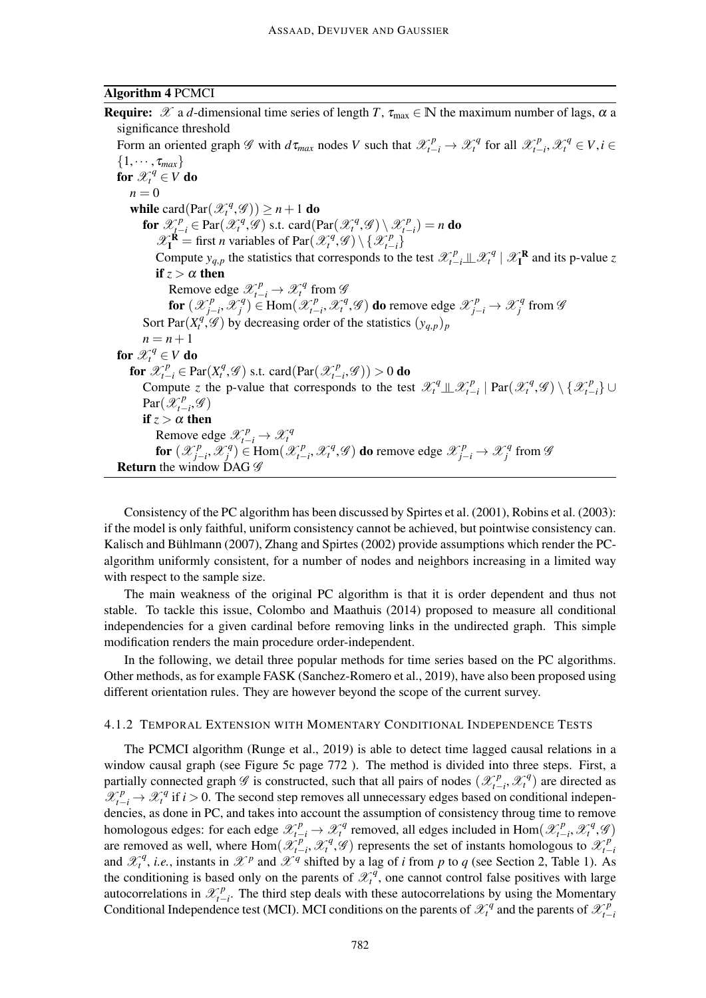### Algorithm 4 PCMCI

**Require:**  $\mathscr X$  a *d*-dimensional time series of length *T*,  $\tau_{\text{max}} \in \mathbb N$  the maximum number of lags,  $\alpha$  a significance threshold Form an oriented graph  $\mathscr G$  with  $d\tau_{max}$  nodes *V* such that  $\mathscr X_{t-i}^p \to \mathscr X_t^q$  for all  $\mathscr X_{t-1}^p$  $\mathscr{X}_t^p$ ,  $\mathscr{X}_t^q$  ∈  $V, i$  ∈  $\{1,\cdots,\tau_{max}\}$ for  $\mathscr{X}_t^q \in V$  do  $n = 0$ while card( $\text{Par}(\mathcal{X}^q_t, \mathcal{G})$ )  $\geq n+1$  do for  $\mathscr{X}_{t-i}^p \in \text{Par}(\mathscr{X}_t^q, \mathscr{G})$  s.t. card( $\text{Par}(\mathscr{X}_t^q, \mathscr{G}) \setminus \mathscr{X}_{t-i}^p$  $f_{t-i}^{(p)}$  $= n \textbf{ do}$  $\mathscr{X}_{\mathbf{I}}^{\mathbf{R}}$  = first *n* variables of Par $(\mathscr{X}_t^q, \mathscr{G}) \setminus {\mathscr{X}_{t-1}^p}$ *t*−*i* } Compute  $y_{q,p}$  the statistics that corresponds to the test  $\mathcal{X}_{t-i}^p \perp \mathcal{X}_t^q \mid \mathcal{X}_t^R$  and its p-value *z* if  $z > \alpha$  then Remove edge  $\mathscr{X}_{t-i}^p \to \mathscr{X}_t^q$  from  $\mathscr{G}$ for  $(\mathscr{X}_{i}^{p})$ *j*−*i* ,X *q*  $\mathcal{F}_j^q$ )  $\in$  Hom $(\mathcal{X}_{t-1}^p)$  $\mathscr{X}_{t-i}^p$ ,  $\mathscr{X}_t^q$ ,  $\mathscr{G}$ ) do remove edge  $\mathscr{X}_{j-i}^p$  →  $\mathscr{X}_j^q$  $\int\limits_{j}^{q}$  from  $\mathscr G$ Sort Par $(X_t^q, \mathscr{G})$  by decreasing order of the statistics  $(y_{q,p})_p$  $n = n + 1$ for  $\mathscr{X}^q_t \in V$  do for  $\mathscr{X}_{t-i}^p \in \text{Par}(X_t^q, \mathscr{G})$  s.t. card(Par( $\mathscr{X}_{t-i}^p$  $\binom{p}{t-i}$ , $\mathscr{G}$ )) > 0 do Compute *z* the p-value that corresponds to the test  $\mathscr{X}_t^q \perp \hspace*{-0.1cm} \perp \mathscr{X}_t^p$  $\mathcal{L}_{t-i}^p | \text{Par}(\mathcal{X}_t^q, \mathcal{G}) \setminus \{\mathcal{X}_{t-1}^p\}$ *t*−*i* } ∪  $Par(\mathscr{X}^p_{t-})$  $r_{t-i}^p$ , $\mathscr{G})$ if  $z > \alpha$  then Remove edge  $\mathscr{X}_{t-i}^p \to \mathscr{X}_t^q$ for  $(\mathscr{X}_{i}^{p})$ *j*−*i* ,X *q*  $\mathcal{F}_j^q$ )  $\in$  Hom $(\mathcal{X}_{t-1}^p)$  $\mathscr{X}_{t-i}^p$ ,  $\mathscr{X}_t^q$ ,  $\mathscr{G}$ ) **do** remove edge  $\mathscr{X}_{j-i}^p$  →  $\mathscr{X}_j^q$  $j^q$  from  $\mathscr G$ **Return** the window DAG  $\mathscr G$ 

Consistency of the PC algorithm has been discussed by Spirtes et al. (2001), Robins et al. (2003): if the model is only faithful, uniform consistency cannot be achieved, but pointwise consistency can. Kalisch and Bühlmann (2007), Zhang and Spirtes (2002) provide assumptions which render the PCalgorithm uniformly consistent, for a number of nodes and neighbors increasing in a limited way with respect to the sample size.

The main weakness of the original PC algorithm is that it is order dependent and thus not stable. To tackle this issue, Colombo and Maathuis (2014) proposed to measure all conditional independencies for a given cardinal before removing links in the undirected graph. This simple modification renders the main procedure order-independent.

In the following, we detail three popular methods for time series based on the PC algorithms. Other methods, as for example FASK (Sanchez-Romero et al., 2019), have also been proposed using different orientation rules. They are however beyond the scope of the current survey.

### 4.1.2 TEMPORAL EXTENSION WITH MOMENTARY CONDITIONAL INDEPENDENCE TESTS

The PCMCI algorithm (Runge et al., 2019) is able to detect time lagged causal relations in a window causal graph (see Figure 5c page 772 ). The method is divided into three steps. First, a partially connected graph  $\mathscr G$  is constructed, such that all pairs of nodes  $(\mathscr X_t^p)$  $\mathcal{X}_{t-i}^p$ ,  $\mathcal{X}_t^q$ ) are directed as  $\mathcal{X}_{t-i}^p \to \mathcal{X}_t^q$  if  $i > 0$ . The second step removes all unnecessary edges based on conditional independencies, as done in PC, and takes into account the assumption of consistency throug time to remove homologous edges: for each edge  $\mathcal{X}_{t-i}^p \to \mathcal{X}_t^q$  removed, all edges included in Hom $(\mathcal{X}_{t-i}^p)$  $\mathscr{X}_t^p$ , $\mathscr{X}_t^q$ , $\mathscr{G}$ are removed as well, where Hom $(\mathscr{X}_{t-1}^p)$  $\mathcal{L}_{t-i}^p$ ,  $\mathcal{X}_t^q$ ,  $\mathcal{G}$ ) represents the set of instants homologous to  $\mathcal{X}_t^p$ *t*−*i* and  $\mathcal{X}_t^q$ , *i.e.*, instants in  $\mathcal{X}^p$  and  $\mathcal{X}^q$  shifted by a lag of *i* from *p* to *q* (see Section 2, Table 1). As the conditioning is based only on the parents of  $\mathcal{X}^q$ , one cannot control false positives with large autocorrelations in  $\mathscr{X}^p_{t-}$ *t*−*i* . The third step deals with these autocorrelations by using the Momentary Conditional Independence test (MCI). MCI conditions on the parents of  $\mathcal{X}^q_t$  and the parents of  $\mathcal{X}^p_t$ *t*−*i*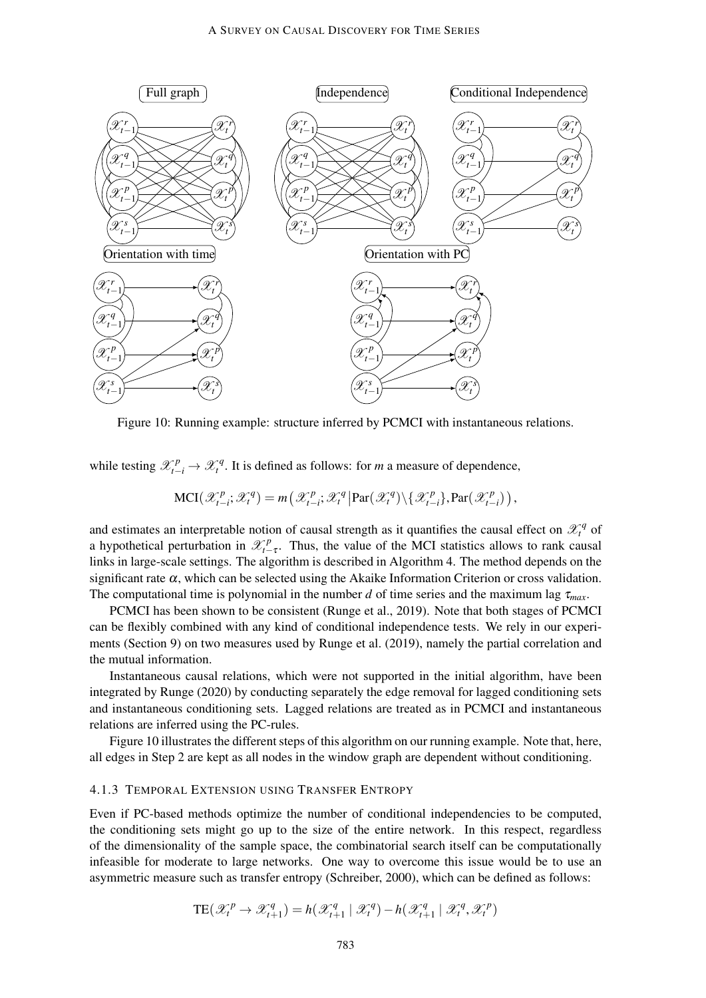

Figure 10: Running example: structure inferred by PCMCI with instantaneous relations.

while testing  $\mathscr{X}_{t-i}^p \to \mathscr{X}_{t}^q$ . It is defined as follows: for *m* a measure of dependence,

$$
\text{MCI}(\mathcal{X}_{t-i}^p; \mathcal{X}_t^q) = m\left(\mathcal{X}_{t-i}^p; \mathcal{X}_t^q \middle| \text{Par}(\mathcal{X}_t^q) \backslash \{\mathcal{X}_{t-i}^p\}, \text{Par}(\mathcal{X}_{t-i}^p)\right),
$$

and estimates an interpretable notion of causal strength as it quantifies the causal effect on  $\mathcal{X}_t^q$  of a hypothetical perturbation in  $\mathcal{X}_{t-\tau}^p$ . Thus, the value of the MCI statistics allows to rank causal links in large-scale settings. The algorithm is described in Algorithm 4. The method depends on the significant rate  $\alpha$ , which can be selected using the Akaike Information Criterion or cross validation. The computational time is polynomial in the number *d* of time series and the maximum lag  $\tau_{max}$ .

PCMCI has been shown to be consistent (Runge et al., 2019). Note that both stages of PCMCI can be flexibly combined with any kind of conditional independence tests. We rely in our experiments (Section 9) on two measures used by Runge et al. (2019), namely the partial correlation and the mutual information.

Instantaneous causal relations, which were not supported in the initial algorithm, have been integrated by Runge (2020) by conducting separately the edge removal for lagged conditioning sets and instantaneous conditioning sets. Lagged relations are treated as in PCMCI and instantaneous relations are inferred using the PC-rules.

Figure 10 illustrates the different steps of this algorithm on our running example. Note that, here, all edges in Step 2 are kept as all nodes in the window graph are dependent without conditioning.

### 4.1.3 TEMPORAL EXTENSION USING TRANSFER ENTROPY

Even if PC-based methods optimize the number of conditional independencies to be computed, the conditioning sets might go up to the size of the entire network. In this respect, regardless of the dimensionality of the sample space, the combinatorial search itself can be computationally infeasible for moderate to large networks. One way to overcome this issue would be to use an asymmetric measure such as transfer entropy (Schreiber, 2000), which can be defined as follows:

$$
TE(\mathcal{X}_t^p \rightarrow \mathcal{X}_{t+1}^q) = h(\mathcal{X}_{t+1}^q \mid \mathcal{X}_t^q) - h(\mathcal{X}_{t+1}^q \mid \mathcal{X}_t^q, \mathcal{X}_t^p)
$$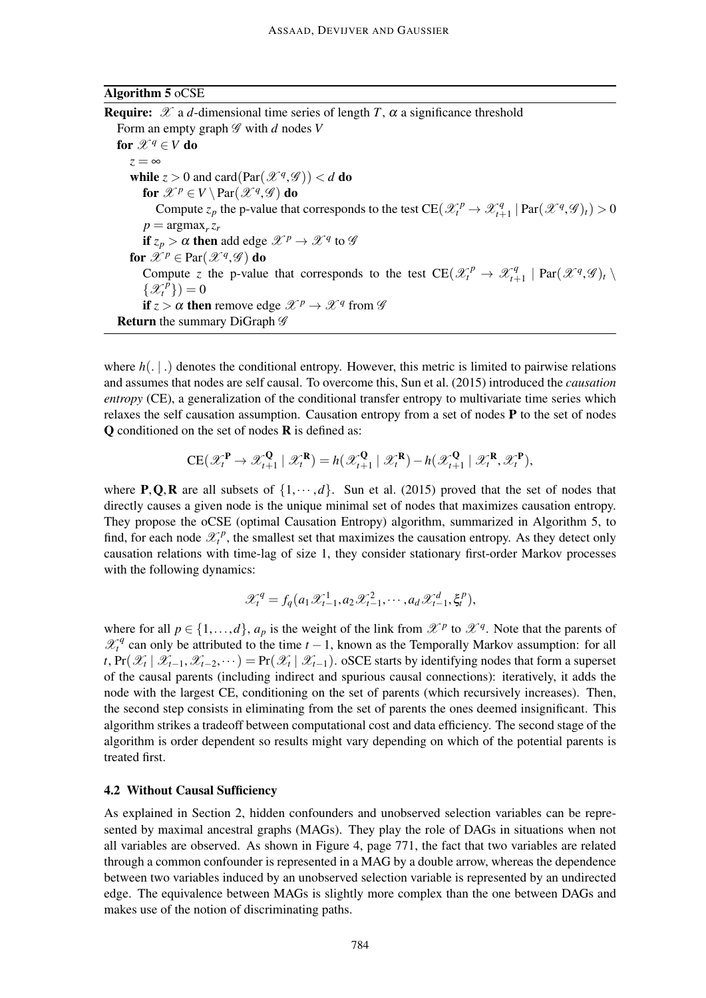### Algorithm 5 oCSE

**Require:**  $\mathscr X$  a *d*-dimensional time series of length *T*,  $\alpha$  a significance threshold Form an empty graph  $\mathscr G$  with *d* nodes *V* for  $\mathscr{X}^q \in V$  do  $z = \infty$ while  $z > 0$  and card $(Par(\mathcal{X}^q, \mathcal{G})) < d$  do for  $\mathscr{X}^p \in V \setminus \text{Par}(\mathscr{X}^q, \mathscr{G})$  do Compute  $z_p$  the p-value that corresponds to the test  $CE(\mathcal{X}_t^p \to \mathcal{X}_{t+1}^q)$  $\int_{t+1}^{q} | \text{Par}(\mathcal{X}^q, \mathcal{G})_t) > 0$  $p = \argmax_r z_r$ if  $z_p > \alpha$  then add edge  $\mathscr{X}^p \to \mathscr{X}^q$  to  $\mathscr{G}$ for  $\mathscr{X}^p \in \mathrm{Par}(\mathscr{X}^q, \mathscr{G})$  do Compute *z* the p-value that corresponds to the test  $CE(\mathcal{X}_t^p \rightarrow \mathcal{X}_{t+1}^q)$  $\chi_{t+1}^q$  | Par $(\mathscr{X}^q,\mathscr{G})_t \setminus$  $\{\mathscr{X}_t^{\tilde{p}}\}$  = 0 if  $z > \alpha$  then remove edge  $\mathscr{X}^p \to \mathscr{X}^q$  from  $\mathscr{G}$ **Return** the summary DiGraph  $\mathscr G$ 

where  $h(. | .)$  denotes the conditional entropy. However, this metric is limited to pairwise relations and assumes that nodes are self causal. To overcome this, Sun et al. (2015) introduced the *causation entropy* (CE), a generalization of the conditional transfer entropy to multivariate time series which relaxes the self causation assumption. Causation entropy from a set of nodes  $P$  to the set of nodes Q conditioned on the set of nodes R is defined as:

$$
CE(\mathscr{X}_t^{\mathbf{P}} \to \mathscr{X}_{t+1}^{\mathbf{Q}} \mid \mathscr{X}_t^{\mathbf{R}}) = h(\mathscr{X}_{t+1}^{\mathbf{Q}} \mid \mathscr{X}_t^{\mathbf{R}}) - h(\mathscr{X}_{t+1}^{\mathbf{Q}} \mid \mathscr{X}_t^{\mathbf{R}}, \mathscr{X}_t^{\mathbf{P}}),
$$

where **P**, **Q**, **R** are all subsets of  $\{1, \dots, d\}$ . Sun et al. (2015) proved that the set of nodes that directly causes a given node is the unique minimal set of nodes that maximizes causation entropy. They propose the oCSE (optimal Causation Entropy) algorithm, summarized in Algorithm 5, to find, for each node  $\mathcal{X}_t^p$ , the smallest set that maximizes the causation entropy. As they detect only causation relations with time-lag of size 1, they consider stationary first-order Markov processes with the following dynamics:

$$
\mathcal{X}_t^q = f_q(a_1 \mathcal{X}_{t-1}^1, a_2 \mathcal{X}_{t-1}^2, \cdots, a_d \mathcal{X}_{t-1}^d, \xi_t^p),
$$

where for all  $p \in \{1, ..., d\}$ ,  $a_p$  is the weight of the link from  $\mathcal{X}^p$  to  $\mathcal{X}^q$ . Note that the parents of  $\mathcal{X}_t^q$  can only be attributed to the time  $t-1$ , known as the Temporally Markov assumption: for all *t*, Pr( $\mathscr{X}_t$  |  $\mathscr{X}_{t-1}, \mathscr{X}_{t-2}, \dots$ ) = Pr( $\mathscr{X}_t$  |  $\mathscr{X}_{t-1}$ ). oSCE starts by identifying nodes that form a superset of the causal parents (including indirect and spurious causal connections): iteratively, it adds the node with the largest CE, conditioning on the set of parents (which recursively increases). Then, the second step consists in eliminating from the set of parents the ones deemed insignificant. This algorithm strikes a tradeoff between computational cost and data efficiency. The second stage of the algorithm is order dependent so results might vary depending on which of the potential parents is treated first.

# 4.2 Without Causal Sufficiency

As explained in Section 2, hidden confounders and unobserved selection variables can be represented by maximal ancestral graphs (MAGs). They play the role of DAGs in situations when not all variables are observed. As shown in Figure 4, page 771, the fact that two variables are related through a common confounder is represented in a MAG by a double arrow, whereas the dependence between two variables induced by an unobserved selection variable is represented by an undirected edge. The equivalence between MAGs is slightly more complex than the one between DAGs and makes use of the notion of discriminating paths.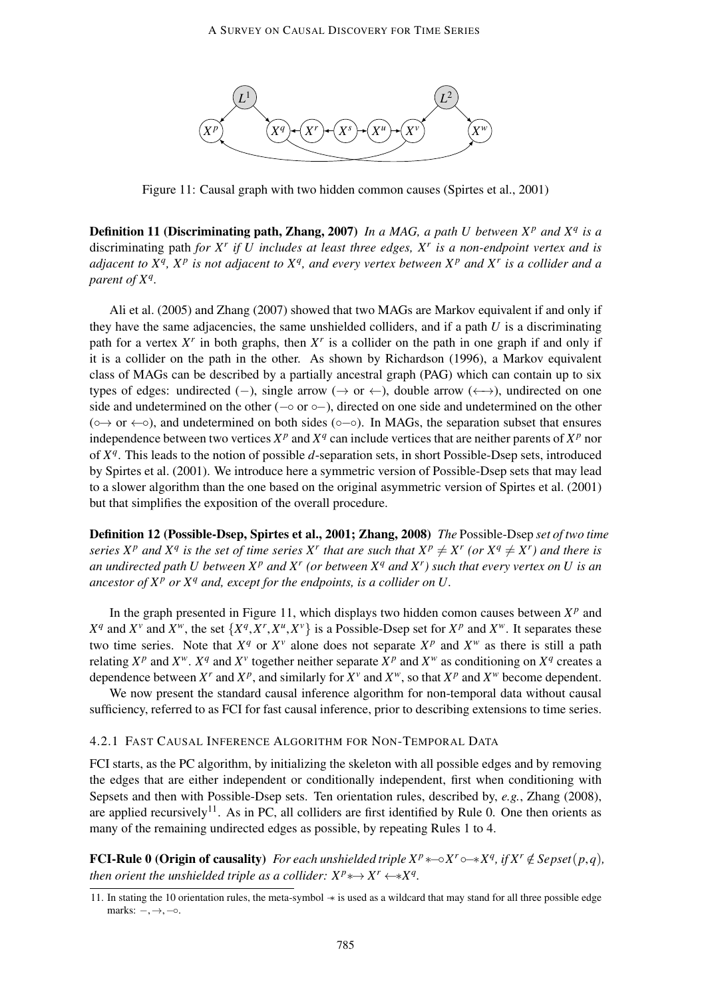

Figure 11: Causal graph with two hidden common causes (Spirtes et al., 2001)

Definition 11 (Discriminating path, Zhang, 2007) *In a MAG, a path U between X<sup>p</sup> and X<sup>q</sup> is a* discriminating path *for X<sup>r</sup> if U includes at least three edges, X<sup>r</sup> is a non-endpoint vertex and is adjacent to X<sup>q</sup> , X<sup>p</sup> is not adjacent to X<sup>q</sup> , and every vertex between X<sup>p</sup> and X<sup>r</sup> is a collider and a parent of X<sup>q</sup> .*

Ali et al. (2005) and Zhang (2007) showed that two MAGs are Markov equivalent if and only if they have the same adjacencies, the same unshielded colliders, and if a path *U* is a discriminating path for a vertex  $X^r$  in both graphs, then  $X^r$  is a collider on the path in one graph if and only if it is a collider on the path in the other. As shown by Richardson (1996), a Markov equivalent class of MAGs can be described by a partially ancestral graph (PAG) which can contain up to six types of edges: undirected (−), single arrow ( $\rightarrow$  or  $\leftarrow$ ), double arrow ( $\leftarrow$ ), undirected on one side and undetermined on the other ( $\sim$  or  $\sim$ ), directed on one side and undetermined on the other  $(○→ or ←○)$ , and undetermined on both sides  $(○−○)$ . In MAGs, the separation subset that ensures independence between two vertices  $X^p$  and  $X^q$  can include vertices that are neither parents of  $X^p$  nor of *X q* . This leads to the notion of possible *d*-separation sets, in short Possible-Dsep sets, introduced by Spirtes et al. (2001). We introduce here a symmetric version of Possible-Dsep sets that may lead to a slower algorithm than the one based on the original asymmetric version of Spirtes et al. (2001) but that simplifies the exposition of the overall procedure.

Definition 12 (Possible-Dsep, Spirtes et al., 2001; Zhang, 2008) *The* Possible-Dsep *set of two time series*  $X^p$  *and*  $X^q$  *is the set of time series*  $X^r$  *that are such that*  $X^p \neq X^r$  *(or*  $X^q \neq X^r$ *) and there is an undirected path U between*  $X^p$  *and*  $X^r$  (or between  $X^q$  *and*  $X^r$ ) such that every vertex on U is an *ancestor of*  $X^p$  *or*  $X^q$  *and, except for the endpoints, is a collider on U.* 

In the graph presented in Figure 11, which displays two hidden comon causes between  $X^p$  and  $X^q$  and  $X^v$  and  $X^w$ , the set  $\{X^q, X^r, X^u, X^v\}$  is a Possible-Dsep set for  $X^p$  and  $X^w$ . It separates these two time series. Note that  $X^q$  or  $X^v$  alone does not separate  $X^p$  and  $X^w$  as there is still a path relating  $X^p$  and  $X^w$ .  $X^q$  and  $X^v$  together neither separate  $X^p$  and  $X^w$  as conditioning on  $X^q$  creates a dependence between  $X^r$  and  $X^p$ , and similarly for  $X^v$  and  $X^w$ , so that  $X^p$  and  $X^w$  become dependent.

We now present the standard causal inference algorithm for non-temporal data without causal sufficiency, referred to as FCI for fast causal inference, prior to describing extensions to time series.

### 4.2.1 FAST CAUSAL INFERENCE ALGORITHM FOR NON-TEMPORAL DATA

FCI starts, as the PC algorithm, by initializing the skeleton with all possible edges and by removing the edges that are either independent or conditionally independent, first when conditioning with Sepsets and then with Possible-Dsep sets. Ten orientation rules, described by, *e.g.*, Zhang (2008), are applied recursively<sup>11</sup>. As in PC, all colliders are first identified by Rule 0. One then orients as many of the remaining undirected edges as possible, by repeating Rules 1 to 4.

**FCI-Rule 0 (Origin of causality)** For each unshielded triple  $X^p * \neg X^r \circ X^q$ , if  $X^r \notin \text{Sepset}(p,q)$ , *then orient the unshielded triple as a collider:*  $X^p$ \* $\rightarrow$   $X^r$  $\leftarrow$ \* $X^q$ .

<sup>11.</sup> In stating the 10 orientation rules, the meta-symbol −∗ is used as a wildcard that may stand for all three possible edge marks:  $-$ ,  $\rightarrow$ ,  $\circ$ .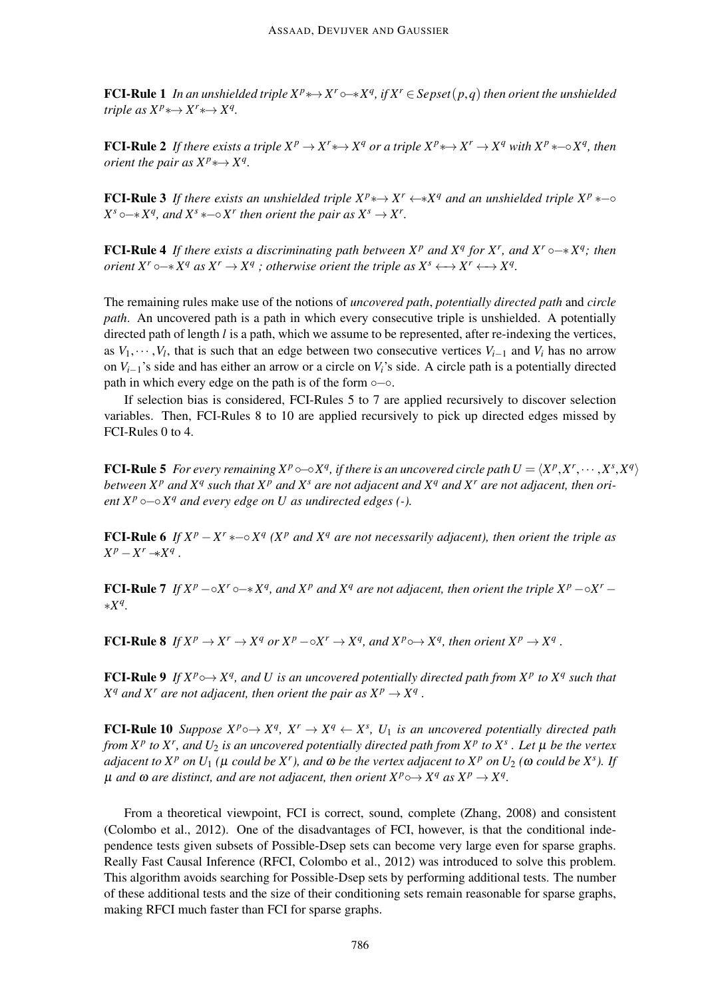**FCI-Rule 1** In an unshielded triple  $X^p \rightarrowtail X^r \rightarrowtail X^q$ , if  $X^r \in \text{Sepset}(p,q)$  then orient the unshielded *triple as*  $X^p \rightarrow X^r \rightarrow X^q$ .

**FCI-Rule 2** If there exists a triple  $X^p \to X^r \to X^q$  or a triple  $X^p \to X^r \to X^q$  with  $X^p \to X^q$ , then *orient the pair as*  $X^p \rightarrow X^q$ .

**FCI-Rule 3** If there exists an unshielded triple  $X^p \leftrightarrow X^r \leftrightarrow X^q$  and an unshielded triple  $X^p \leftarrow \infty$ *X*<sup>*s*</sup>  $\circ$  → *x*<sup>*q*</sup>, and *X*<sup>*s*</sup>  $\ast$  → *X<sup>r</sup> then orient the pair as*  $X$ *<sup><i>s*</sup> → *X<sup>r</sup>*.

**FCI-Rule 4** If there exists a discriminating path between  $X^p$  and  $X^q$  for  $X^r$ , and  $X^r \circ \rightarrow X^q$ ; then *orient*  $X^r \rightarrow X^q$  *as*  $X^r \rightarrow X^q$  *; otherwise orient the triple as*  $X^s \leftarrow X^r \leftarrow X^q$ .

The remaining rules make use of the notions of *uncovered path*, *potentially directed path* and *circle path*. An uncovered path is a path in which every consecutive triple is unshielded. A potentially directed path of length *l* is a path, which we assume to be represented, after re-indexing the vertices, as  $V_1, \dots, V_l$ , that is such that an edge between two consecutive vertices  $V_{i-1}$  and  $V_i$  has no arrow on  $V_{i-1}$ 's side and has either an arrow or a circle on  $V_i$ 's side. A circle path is a potentially directed path in which every edge on the path is of the form ∘−∘.

If selection bias is considered, FCI-Rules 5 to 7 are applied recursively to discover selection variables. Then, FCI-Rules 8 to 10 are applied recursively to pick up directed edges missed by FCI-Rules 0 to 4.

**FCI-Rule 5** For every remaining  $X^p \circ \sim \circ X^q$ , if there is an uncovered circle path  $U = \langle X^p, X^r, \cdots, X^s, X^q \rangle$ between  $X^p$  and  $X^q$  such that  $X^p$  and  $X^s$  are not adjacent and  $X^q$  and  $X^r$  are not adjacent, then ori*ent*  $X^p$   $\circ$   $\neg$   $\circ$   $X^q$  *and every edge on U as undirected edges (-).* 

**FCI-Rule 6** If  $X^p - X^r$  \*  $\sim \sim X^q$  ( $X^p$  and  $X^q$  are not necessarily adjacent), then orient the triple as  $X^p - X^r \rightarrow X^q$ .

**FCI-Rule 7** If  $X^p$   $\sim \sim X^r \circ X^q$ , and  $X^p$  and  $X^q$  are not adjacent, then orient the triple  $X^p$   $\sim \sim X^r$   $\sim$ ∗*X q .*

**FCI-Rule 8** If  $X^p \to X^r \to X^q$  or  $X^p - \circ X^r \to X^q$ , and  $X^p \to X^q$ , then orient  $X^p \to X^q$ .

**FCI-Rule 9** If  $X^p \circ \rightarrow X^q$ , and U is an uncovered potentially directed path from  $X^p$  to  $X^q$  such that  $X^q$  *and*  $X^r$  *are not adjacent, then orient the pair as*  $X^p \to X^q$ .

**FCI-Rule 10** *Suppose*  $X^p \circ \rightarrow X^q$ ,  $X^r \rightarrow X^q \leftarrow X^s$ ,  $U_1$  *is an uncovered potentially directed path from X<sup>p</sup> to X<sup>r</sup> , and U*<sup>2</sup> *is an uncovered potentially directed path from X<sup>p</sup> to X<sup>s</sup> . Let* µ *be the vertex adjacent to*  $X^p$  *on*  $U_1$  ( $\mu$  *could be*  $X^r$ ), and  $\omega$  *be the vertex adjacent to*  $X^p$  *on*  $U_2$  ( $\omega$  *could be*  $X^s$ ). If  $\mu$  *and*  $\omega$  *are distinct, and are not adjacent, then orient*  $X^p$  $\hookrightarrow$   $X^q$  *as*  $X^p$   $\rightarrow$   $X^q$ *.* 

From a theoretical viewpoint, FCI is correct, sound, complete (Zhang, 2008) and consistent (Colombo et al., 2012). One of the disadvantages of FCI, however, is that the conditional independence tests given subsets of Possible-Dsep sets can become very large even for sparse graphs. Really Fast Causal Inference (RFCI, Colombo et al., 2012) was introduced to solve this problem. This algorithm avoids searching for Possible-Dsep sets by performing additional tests. The number of these additional tests and the size of their conditioning sets remain reasonable for sparse graphs, making RFCI much faster than FCI for sparse graphs.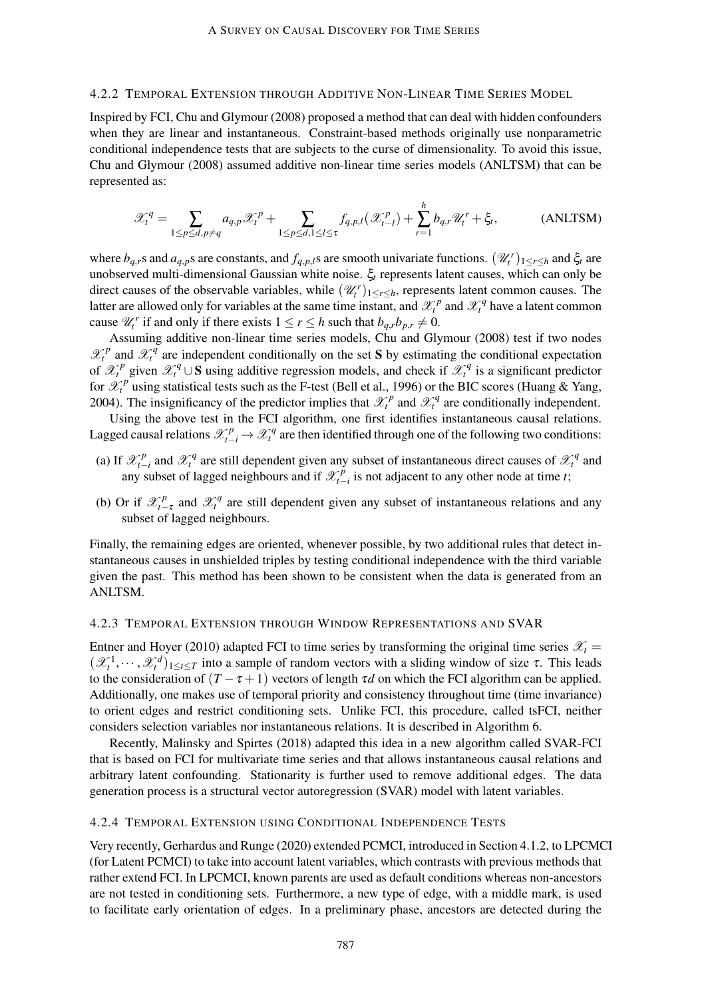### 4.2.2 TEMPORAL EXTENSION THROUGH ADDITIVE NON-LINEAR TIME SERIES MODEL

Inspired by FCI, Chu and Glymour (2008) proposed a method that can deal with hidden confounders when they are linear and instantaneous. Constraint-based methods originally use nonparametric conditional independence tests that are subjects to the curse of dimensionality. To avoid this issue, Chu and Glymour (2008) assumed additive non-linear time series models (ANLTSM) that can be represented as:

$$
\mathcal{X}_t^q = \sum_{1 \le p \le d, p \ne q} a_{q,p} \mathcal{X}_t^p + \sum_{1 \le p \le d, 1 \le l \le \tau} f_{q,p,l}(\mathcal{X}_{t-l}^p) + \sum_{r=1}^h b_{q,r} \mathcal{U}_t^r + \xi_t,
$$
 (ANLTSM)

where  $b_{q,r}$ s and  $a_{q,p}$ s are constants, and  $f_{q,p,l}$ s are smooth univariate functions.  $(\mathcal{U}_t^r)_{1 \le r \le h}$  and  $\xi_t$  are unobserved multi-dimensional Gaussian white noise. ξ*<sup>t</sup>* represents latent causes, which can only be direct causes of the observable variables, while  $(\mathcal{U}_t^r)_{1 \leq r \leq h}$ , represents latent common causes. The latter are allowed only for variables at the same time instant, and  $\mathcal{X}_t^p$  and  $\mathcal{X}_t^q$  have a latent common cause  $\mathcal{U}_t^r$  if and only if there exists  $1 \le r \le h$  such that  $b_{q,r}b_{p,r} \ne 0$ .

Assuming additive non-linear time series models, Chu and Glymour (2008) test if two nodes  $\mathcal{X}_t^p$  and  $\mathcal{X}_t^q$  are independent conditionally on the set S by estimating the conditional expectation of  $\mathcal{X}_t^p$  given  $\mathcal{X}_t^q \cup S$  using additive regression models, and check if  $\mathcal{X}_t^q$  is a significant predictor for  $\mathscr{X}_t^p$  using statistical tests such as the F-test (Bell et al., 1996) or the BIC scores (Huang & Yang, 2004). The insignificancy of the predictor implies that  $\mathcal{X}_t^p$  and  $\mathcal{X}_t^q$  are conditionally independent.

Using the above test in the FCI algorithm, one first identifies instantaneous causal relations. Lagged causal relations  $\mathcal{X}_{t-i}^p \to \mathcal{X}_t^q$  are then identified through one of the following two conditions:

- (a) If  $\mathscr{X}_{t-}^p$  $\chi^p_{t-i}$  and  $\mathscr{X}^q_t$  are still dependent given any subset of instantaneous direct causes of  $\mathscr{X}^q_t$  and any subset of lagged neighbours and if  $\mathcal{X}_{t-1}^p$ *t*−*i* is not adjacent to any other node at time *t*;
- (b) Or if  $\mathcal{X}_{t-\tau}^p$  and  $\mathcal{X}_t^q$  are still dependent given any subset of instantaneous relations and any subset of lagged neighbours.

Finally, the remaining edges are oriented, whenever possible, by two additional rules that detect instantaneous causes in unshielded triples by testing conditional independence with the third variable given the past. This method has been shown to be consistent when the data is generated from an ANLTSM.

#### 4.2.3 TEMPORAL EXTENSION THROUGH WINDOW REPRESENTATIONS AND SVAR

Entner and Hoyer (2010) adapted FCI to time series by transforming the original time series  $\mathcal{X}_t$  =  $(\mathscr{X}_t^1,\dots,\mathscr{X}_t^d)_{1\leq t\leq T}$  into a sample of random vectors with a sliding window of size  $\tau$ . This leads to the consideration of  $(T - \tau + 1)$  vectors of length  $\tau d$  on which the FCI algorithm can be applied. Additionally, one makes use of temporal priority and consistency throughout time (time invariance) to orient edges and restrict conditioning sets. Unlike FCI, this procedure, called tsFCI, neither considers selection variables nor instantaneous relations. It is described in Algorithm 6.

Recently, Malinsky and Spirtes (2018) adapted this idea in a new algorithm called SVAR-FCI that is based on FCI for multivariate time series and that allows instantaneous causal relations and arbitrary latent confounding. Stationarity is further used to remove additional edges. The data generation process is a structural vector autoregression (SVAR) model with latent variables.

# 4.2.4 TEMPORAL EXTENSION USING CONDITIONAL INDEPENDENCE TESTS

Very recently, Gerhardus and Runge (2020) extended PCMCI, introduced in Section 4.1.2, to LPCMCI (for Latent PCMCI) to take into account latent variables, which contrasts with previous methods that rather extend FCI. In LPCMCI, known parents are used as default conditions whereas non-ancestors are not tested in conditioning sets. Furthermore, a new type of edge, with a middle mark, is used to facilitate early orientation of edges. In a preliminary phase, ancestors are detected during the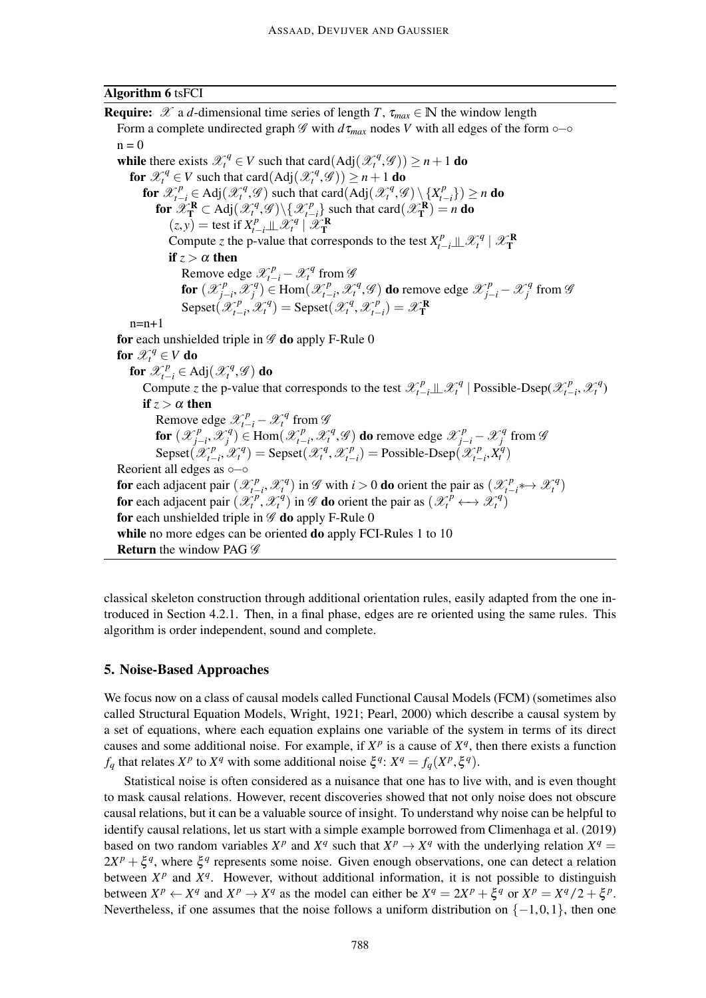### Algorithm 6 tsFCI

**Require:**  $\mathscr X$  a *d*-dimensional time series of length *T*,  $\tau_{max} \in \mathbb N$  the window length Form a complete undirected graph  $\mathscr G$  with  $d\tau_{max}$  nodes *V* with all edges of the form  $\circ$ − $\circ$  $n = 0$ while there exists  $\mathcal{X}_t^q \in V$  such that card(Adj( $\mathcal{X}_t^q$ , $\mathcal{G}$ ))  $\geq n+1$  do for  $\mathscr{X}_t^q \in V$  such that card $(Adj(\mathscr{X}_t^q, \mathscr{G})) \ge n+1$  do *t* for  $\mathscr{X}_{t-i}^p \in \text{Adj}(\mathscr{X}_t^q, \mathscr{G})$  such that card(Adj( $\mathscr{X}_t^q, \mathscr{G}) \setminus \{X_{t-i}^p\}$ *t*−*i* }) ≥ *n* do for  $\mathscr{X}_{\mathbf{T}}^{\mathbf{R}} \subset \mathrm{Adj}(\mathscr{X}_{t}^{q}, \mathscr{G}) \backslash \{\mathscr{X}_{t-1}^{p}\}$  $\binom{P}{t-i}$  such that card $(\mathscr{X}_{\mathbf{T}}^{\mathbf{R}})=n$  do  $(z, y)$  = test if  $X_{t-i}^p \perp \mathscr{X}_t^q \mid \mathscr{X}_T^R$ Compute *z* the p-value that corresponds to the test  $X_{t-i}^p \perp \mathcal{X}_t^q \mid \mathcal{X}_T^R$ if  $z > \alpha$  then Remove edge  $\mathscr{X}_{t-i}^p - \mathscr{X}_t^q$  from  $\mathscr{G}$ for  $(\mathscr{X}_{i}^{p})$ *j*−*i* ,X *q*  $f_j^q$ )  $\in$  Hom $(\mathscr{X}_{t-1}^p)$  $\mathcal{X}_{t-i}^p$ *,*  $\mathcal{X}_t^q$ *,*  $\mathcal{G}$ *) do remove edge*  $\mathcal{X}_{j-i}^p - \mathcal{X}_j^q$  $j^q$  from  $\mathscr G$ Sepset $(\mathscr{X}^p_{t-})$  $\mathscr{L}_{t-i}^p$ ,  $\mathscr{L}_t^q$ ) = Sepset( $\mathscr{L}_t^q$ ,  $\mathscr{L}_{t-i}^p$  $\binom{p}{t-i} = \mathscr{X}_{\mathbf{T}}^{\mathbf{R}}$  $n=n+1$ for each unshielded triple in  $\mathscr G$  do apply F-Rule 0 for  $\mathscr{X}^q_t \in V$  do for  $\mathscr{X}_{t-i}^p \in \text{Adj}(\mathscr{X}_t^q, \mathscr{G})$  do Compute *z* the p-value that corresponds to the test  $\mathscr{X}_{t-i}^p \perp \mathscr{X}_t^q$  | Possible-Dsep( $\mathscr{X}_{t-i}^p$  $\mathscr{X}_t^p$ ,  $\mathscr{X}_t^q$ if  $z > \alpha$  then Remove edge  $\mathscr{X}_{t-i}^p - \mathscr{X}_t^q$  from  $\mathscr{G}$ for  $(\mathscr{X}_{i}^{p})$ *j*−*i* ,X *q*  $\mathcal{F}_j^q$ )  $\in$  Hom $(\mathcal{X}_{t-1}^p)$ *t*−*i*</sub>,  $\mathscr{X}_t^q$ ,  $\mathscr{G}$ ) do remove edge  $\mathscr{X}_{j-i}^p - \mathscr{X}_j^q$ *j* from G Sepset $(\mathscr{X}^p_{t-})$  $\mathscr{L}_t^p$ ,  $\mathscr{L}_t^q$ ) = Sepset( $\mathscr{L}_t^q$ ,  $\mathscr{L}_{t-1}^p$  $f_{t-i}^{(p)}$  = Possible-Dsep $(\mathscr{X}_{t-1}^{(p)})$  $\binom{p}{t-i}$ ,  $\binom{q}{t}$ Reorient all edges as ∘−∘ for each adjacent pair  $(\mathcal{X}_{t-1}^p)$  $f_{t-i}^p$ ,  $\mathcal{X}_t^q$ ) in  $\mathcal G$  with *i* > 0 **do** orient the pair as  $(\mathcal{X}_t^p)$  $\mathscr{X}_{t-i}^p$   $\leftrightarrow \mathscr{X}_t^q$ for each adjacent pair  $(\mathcal{X}_t^p, \mathcal{X}_t^q)$  in  $\mathcal{Y}$  do orient the pair as  $(\mathcal{X}_t^p \leftrightarrow \mathcal{X}_t^q)$ for each unshielded triple in  $\mathscr G$  do apply F-Rule 0 while no more edges can be oriented **do** apply FCI-Rules 1 to 10 Return the window PAG  $\mathscr G$ 

classical skeleton construction through additional orientation rules, easily adapted from the one introduced in Section 4.2.1. Then, in a final phase, edges are re oriented using the same rules. This algorithm is order independent, sound and complete.

# 5. Noise-Based Approaches

We focus now on a class of causal models called Functional Causal Models (FCM) (sometimes also called Structural Equation Models, Wright, 1921; Pearl, 2000) which describe a causal system by a set of equations, where each equation explains one variable of the system in terms of its direct causes and some additional noise. For example, if  $X^p$  is a cause of  $X^q$ , then there exists a function *f*<sub>*q*</sub> that relates  $X^p$  to  $X^q$  with some additional noise  $\xi^q$ :  $X^q = f_q(X^p, \xi^q)$ .

Statistical noise is often considered as a nuisance that one has to live with, and is even thought to mask causal relations. However, recent discoveries showed that not only noise does not obscure causal relations, but it can be a valuable source of insight. To understand why noise can be helpful to identify causal relations, let us start with a simple example borrowed from Climenhaga et al. (2019) based on two random variables  $X^p$  and  $X^q$  such that  $X^p \to X^q$  with the underlying relation  $X^q =$  $2X^p + \xi^q$ , where  $\xi^q$  represents some noise. Given enough observations, one can detect a relation between  $X^p$  and  $X^q$ . However, without additional information, it is not possible to distinguish between  $X^p \leftarrow X^q$  and  $X^p \rightarrow X^q$  as the model can either be  $X^q = 2X^p + \xi^q$  or  $X^p = X^q/2 + \xi^p$ . Nevertheless, if one assumes that the noise follows a uniform distribution on  $\{-1,0,1\}$ , then one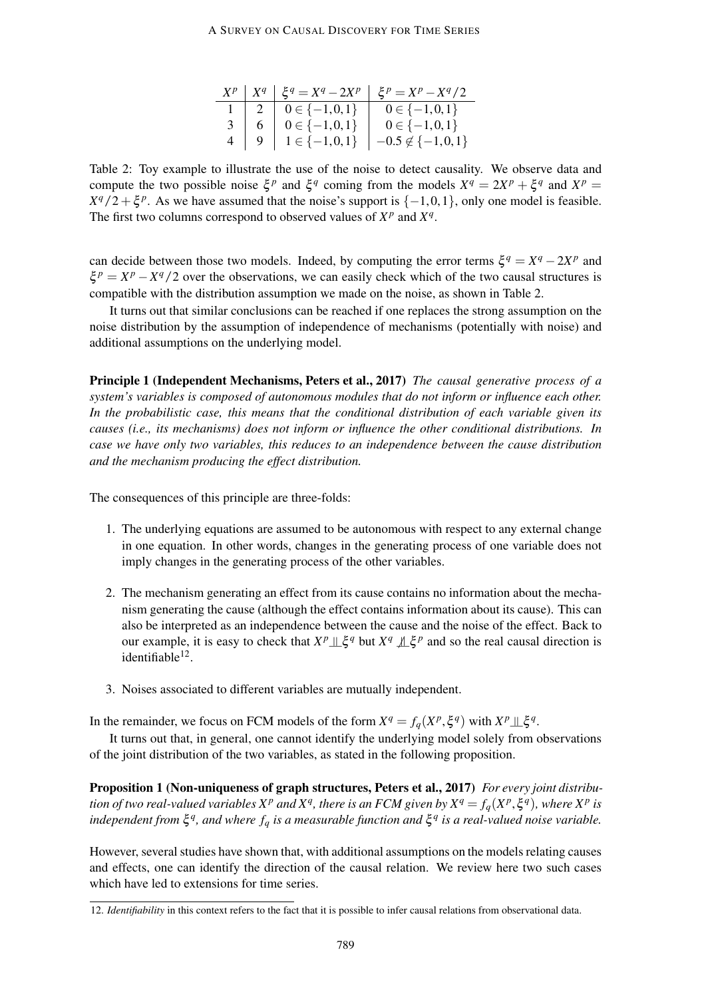#### A SURVEY ON CAUSAL DISCOVERY FOR TIME SERIES

|  |                                  | $X^p   X^q   \xi^q = X^q - 2X^p   \xi^p = X^p - X^q/2$ |
|--|----------------------------------|--------------------------------------------------------|
|  | $1 \mid 2 \mid 0 \in \{-1,0,1\}$ | $0 \in \{-1,0,1\}$                                     |
|  | $3 \mid 6 \mid 0 \in \{-1,0,1\}$ | $0 \in \{-1,0,1\}$                                     |
|  | $4   9   1 \in \{-1,0,1\}$       | $-0.5 \notin \{-1,0,1\}$                               |

Table 2: Toy example to illustrate the use of the noise to detect causality. We observe data and compute the two possible noise  $\xi^p$  and  $\xi^q$  coming from the models  $X^q = 2X^p + \xi^q$  and  $X^p =$  $X^q/2 + \xi^p$ . As we have assumed that the noise's support is  $\{-1,0,1\}$ , only one model is feasible. The first two columns correspond to observed values of  $X^p$  and  $X^q$ .

can decide between those two models. Indeed, by computing the error terms  $\xi^q = X^q - 2X^p$  and  $\xi^p = X^p - X^q/2$  over the observations, we can easily check which of the two causal structures is compatible with the distribution assumption we made on the noise, as shown in Table 2.

It turns out that similar conclusions can be reached if one replaces the strong assumption on the noise distribution by the assumption of independence of mechanisms (potentially with noise) and additional assumptions on the underlying model.

Principle 1 (Independent Mechanisms, Peters et al., 2017) *The causal generative process of a system's variables is composed of autonomous modules that do not inform or influence each other. In the probabilistic case, this means that the conditional distribution of each variable given its causes (i.e., its mechanisms) does not inform or influence the other conditional distributions. In case we have only two variables, this reduces to an independence between the cause distribution and the mechanism producing the effect distribution.*

The consequences of this principle are three-folds:

- 1. The underlying equations are assumed to be autonomous with respect to any external change in one equation. In other words, changes in the generating process of one variable does not imply changes in the generating process of the other variables.
- 2. The mechanism generating an effect from its cause contains no information about the mechanism generating the cause (although the effect contains information about its cause). This can also be interpreted as an independence between the cause and the noise of the effect. Back to our example, it is easy to check that  $X^p \perp \xi^q$  but  $X^q \perp \xi^p$  and so the real causal direction is identifiable<sup>12</sup>.
- 3. Noises associated to different variables are mutually independent.

In the remainder, we focus on FCM models of the form  $X^q = f_q(X^p, \xi^q)$  with  $X^p \perp \xi^q$ .

It turns out that, in general, one cannot identify the underlying model solely from observations of the joint distribution of the two variables, as stated in the following proposition.

Proposition 1 (Non-uniqueness of graph structures, Peters et al., 2017) *For every joint distribution of two real-valued variables*  $X^p$  *and*  $X^q$ *, there is an FCM given by*  $X^q = f_q(X^p, \xi^q)$ *, where*  $X^p$  *is independent from* ξ *q , and where f<sup>q</sup> is a measurable function and* ξ *q is a real-valued noise variable.*

However, several studies have shown that, with additional assumptions on the models relating causes and effects, one can identify the direction of the causal relation. We review here two such cases which have led to extensions for time series.

<sup>12.</sup> *Identifiability* in this context refers to the fact that it is possible to infer causal relations from observational data.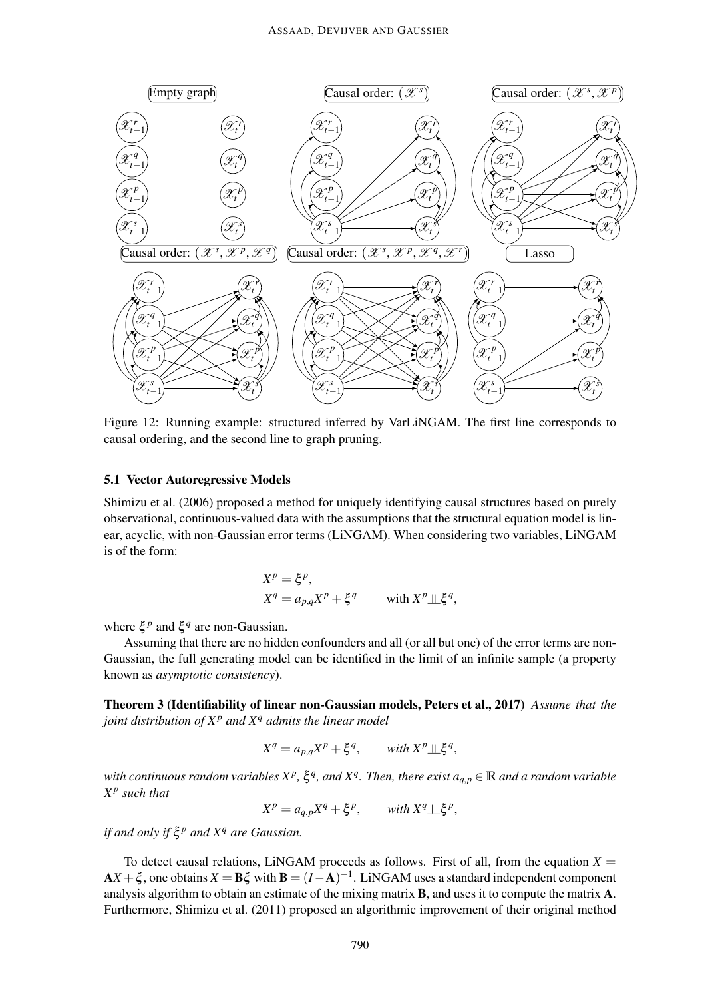

Figure 12: Running example: structured inferred by VarLiNGAM. The first line corresponds to causal ordering, and the second line to graph pruning.

# 5.1 Vector Autoregressive Models

Shimizu et al. (2006) proposed a method for uniquely identifying causal structures based on purely observational, continuous-valued data with the assumptions that the structural equation model is linear, acyclic, with non-Gaussian error terms (LiNGAM). When considering two variables, LiNGAM is of the form:

$$
X^{p} = \xi^{p},
$$
  
\n
$$
X^{q} = a_{p,q}X^{p} + \xi^{q} \quad \text{with } X^{p} \perp \xi^{q},
$$

where  $\xi^p$  and  $\xi^q$  are non-Gaussian.

Assuming that there are no hidden confounders and all (or all but one) of the error terms are non-Gaussian, the full generating model can be identified in the limit of an infinite sample (a property known as *asymptotic consistency*).

Theorem 3 (Identifiability of linear non-Gaussian models, Peters et al., 2017) *Assume that the joint distribution of X<sup>p</sup> and X<sup>q</sup> admits the linear model*

$$
X^q = a_{p,q}X^p + \xi^q, \quad \text{with } X^p \perp \!\!\! \perp \xi^q,
$$

with continuous random variables  $X^p$ ,  $\xi^q$ , and  $X^q$ . Then, there exist  $a_{q,p} \in \mathbb{R}$  and a random variable *X p such that*

 $X^p = a_{q,p} X^q + \xi^p$ , *with*  $X^q \perp \, \xi^p$ ,

*if and only if* ξ *<sup>p</sup> and X<sup>q</sup> are Gaussian.*

To detect causal relations, LiNGAM proceeds as follows. First of all, from the equation  $X =$  $AX + \xi$ , one obtains  $X = B\xi$  with  $B = (I - A)^{-1}$ . LiNGAM uses a standard independent component analysis algorithm to obtain an estimate of the mixing matrix B, and uses it to compute the matrix A. Furthermore, Shimizu et al. (2011) proposed an algorithmic improvement of their original method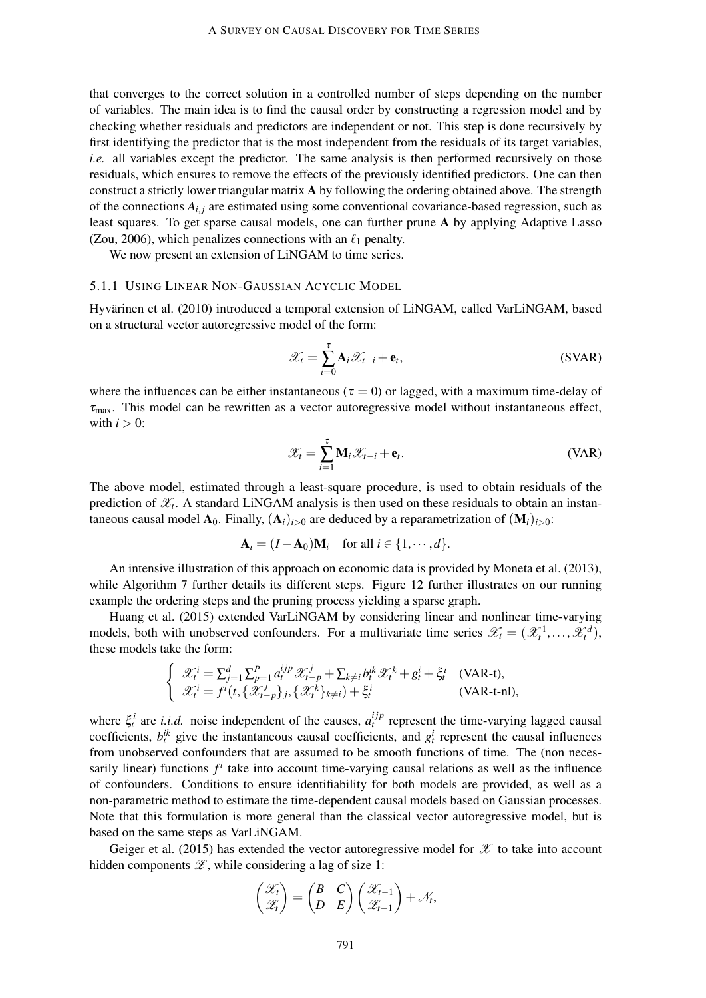that converges to the correct solution in a controlled number of steps depending on the number of variables. The main idea is to find the causal order by constructing a regression model and by checking whether residuals and predictors are independent or not. This step is done recursively by first identifying the predictor that is the most independent from the residuals of its target variables, *i.e.* all variables except the predictor. The same analysis is then performed recursively on those residuals, which ensures to remove the effects of the previously identified predictors. One can then construct a strictly lower triangular matrix A by following the ordering obtained above. The strength of the connections  $A_{i,j}$  are estimated using some conventional covariance-based regression, such as least squares. To get sparse causal models, one can further prune A by applying Adaptive Lasso (Zou, 2006), which penalizes connections with an  $\ell_1$  penalty.

We now present an extension of LiNGAM to time series.

### 5.1.1 USING LINEAR NON-GAUSSIAN ACYCLIC MODEL

Hyvärinen et al. (2010) introduced a temporal extension of LiNGAM, called VarLiNGAM, based on a structural vector autoregressive model of the form:

$$
\mathcal{X}_t = \sum_{i=0}^{\tau} \mathbf{A}_i \mathcal{X}_{t-i} + \mathbf{e}_t,
$$
 (SVAR)

where the influences can be either instantaneous ( $\tau = 0$ ) or lagged, with a maximum time-delay of  $\tau_{\text{max}}$ . This model can be rewritten as a vector autoregressive model without instantaneous effect, with  $i > 0$ :

$$
\mathcal{X}_t = \sum_{i=1}^{\tau} \mathbf{M}_i \mathcal{X}_{t-i} + \mathbf{e}_t.
$$
 (VAR)

The above model, estimated through a least-square procedure, is used to obtain residuals of the prediction of  $\mathscr{X}_t$ . A standard LiNGAM analysis is then used on these residuals to obtain an instantaneous causal model  $\mathbf{A}_0$ . Finally,  $(\mathbf{A}_i)_{i>0}$  are deduced by a reparametrization of  $(\mathbf{M}_i)_{i>0}$ :

$$
\mathbf{A}_i = (I - \mathbf{A}_0) \mathbf{M}_i \quad \text{for all } i \in \{1, \cdots, d\}.
$$

An intensive illustration of this approach on economic data is provided by Moneta et al. (2013), while Algorithm 7 further details its different steps. Figure 12 further illustrates on our running example the ordering steps and the pruning process yielding a sparse graph.

Huang et al. (2015) extended VarLiNGAM by considering linear and nonlinear time-varying models, both with unobserved confounders. For a multivariate time series  $\mathscr{X}_t = (\mathscr{X}_t^1, \dots, \mathscr{X}_t^d)$ , these models take the form:

$$
\begin{cases}\n\mathcal{X}_t^i = \sum_{j=1}^d \sum_{p=1}^P a_t^{ijp} \mathcal{X}_{t-p}^j + \sum_{k \neq i} b_t^{ik} \mathcal{X}_t^k + g_t^i + \xi_t^i \quad \text{(VAR-t)}, \\
\mathcal{X}_t^i = f^i(t, \{\mathcal{X}_{t-p}^j\}_j, \{\mathcal{X}_t^k\}_{k \neq i}) + \xi_t^i \quad \text{(VAR-t-n)},\n\end{cases}
$$

where  $\xi_t^i$  are *i.i.d.* noise independent of the causes,  $a_t^{ijp}$  represent the time-varying lagged causal coefficients,  $b_t^{ik}$  give the instantaneous causal coefficients, and  $g_t^i$  represent the causal influences from unobserved confounders that are assumed to be smooth functions of time. The (non necessarily linear) functions  $f^i$  take into account time-varying causal relations as well as the influence of confounders. Conditions to ensure identifiability for both models are provided, as well as a non-parametric method to estimate the time-dependent causal models based on Gaussian processes. Note that this formulation is more general than the classical vector autoregressive model, but is based on the same steps as VarLiNGAM.

Geiger et al. (2015) has extended the vector autoregressive model for  $\mathscr X$  to take into account hidden components  $\mathscr{Z}$ , while considering a lag of size 1:

$$
\begin{pmatrix} \mathscr{X}_t \\ \mathscr{Z}_t \end{pmatrix} = \begin{pmatrix} B & C \\ D & E \end{pmatrix} \begin{pmatrix} \mathscr{X}_{t-1} \\ \mathscr{Z}_{t-1} \end{pmatrix} + \mathscr{N}_t,
$$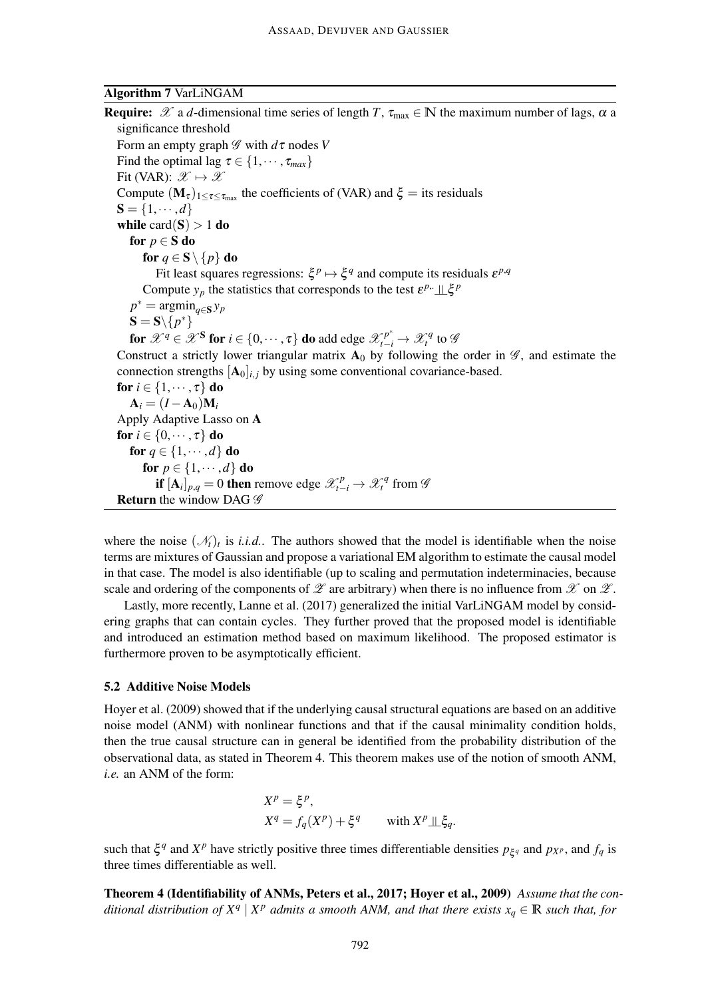# Algorithm 7 VarLiNGAM

**Require:**  $\mathscr X$  a *d*-dimensional time series of length *T*,  $\tau_{\text{max}} \in \mathbb N$  the maximum number of lags,  $\alpha$  a significance threshold Form an empty graph  $\mathscr G$  with  $d\tau$  nodes V Find the optimal lag  $\tau \in \{1, \dots, \tau_{max}\}\$ Fit (VAR):  $\mathscr{X} \mapsto \mathscr{X}$ Compute  $(M_{\tau})_{1 \leq \tau \leq \tau_{\text{max}}}$  the coefficients of (VAR) and  $\xi$  = its residuals  $S = \{1, \dots, d\}$ while  $card(S) > 1$  do for  $p \in S$  do for  $q \in \mathbf{S} \setminus \{p\}$  do Fit least squares regressions:  $\xi^p \mapsto \xi^q$  and compute its residuals  $\varepsilon^{p,q}$ Compute  $y_p$  the statistics that corresponds to the test  $\varepsilon^{p}$ .  $\mathcal{L}\xi^p$  $p^* = \operatorname{argmin}_{q \in \mathbf{S}} y_p$  $S = S \setminus \{p^*\}$ for  $\mathscr{X}^q \in \mathscr{X}^S$  for  $i \in \{0, \dots, \tau\}$  do add edge  $\mathscr{X}^{p^*}_{t-i} \to \mathscr{X}^q_t$  to  $\mathscr{G}$ Construct a strictly lower triangular matrix  $A_0$  by following the order in  $\mathscr{G}$ , and estimate the connection strengths  $[A_0]_{i,i}$  by using some conventional covariance-based. for  $i \in \{1, \dots, \tau\}$  do  $A_i = (I - A_0)M_i$ Apply Adaptive Lasso on A for  $i \in \{0, \dots, \tau\}$  do for  $q \in \{1, \dots, d\}$  do for  $p \in \{1, \dots, d\}$  do **if**  $[A_i]_{p,q} = 0$  then remove edge  $\mathcal{X}_{t-i}^p \to \mathcal{X}_t^q$  from  $\mathcal{Y}_t^p$ **Return** the window DAG  $\mathscr G$ 

where the noise  $(\mathcal{N}_t)_t$  is *i.i.d.*. The authors showed that the model is identifiable when the noise terms are mixtures of Gaussian and propose a variational EM algorithm to estimate the causal model in that case. The model is also identifiable (up to scaling and permutation indeterminacies, because scale and ordering of the components of  $\mathscr X$  are arbitrary) when there is no influence from  $\mathscr X$  on  $\mathscr X$ .

Lastly, more recently, Lanne et al. (2017) generalized the initial VarLiNGAM model by considering graphs that can contain cycles. They further proved that the proposed model is identifiable and introduced an estimation method based on maximum likelihood. The proposed estimator is furthermore proven to be asymptotically efficient.

### 5.2 Additive Noise Models

Hoyer et al. (2009) showed that if the underlying causal structural equations are based on an additive noise model (ANM) with nonlinear functions and that if the causal minimality condition holds, then the true causal structure can in general be identified from the probability distribution of the observational data, as stated in Theorem 4. This theorem makes use of the notion of smooth ANM, *i.e.* an ANM of the form:

$$
X^{p} = \xi^{p},
$$
  
\n
$$
X^{q} = f_{q}(X^{p}) + \xi^{q} \quad \text{with } X^{p} \perp \xi_{q}.
$$

such that  $\xi^q$  and  $X^p$  have strictly positive three times differentiable densities  $p_{\xi^q}$  and  $p_{X^p}$ , and  $f_q$  is three times differentiable as well.

Theorem 4 (Identifiability of ANMs, Peters et al., 2017; Hoyer et al., 2009) *Assume that the conditional distribution of*  $X^q | X^p$  *admits a smooth ANM, and that there exists*  $x_q \in \mathbb{R}$  *such that, for*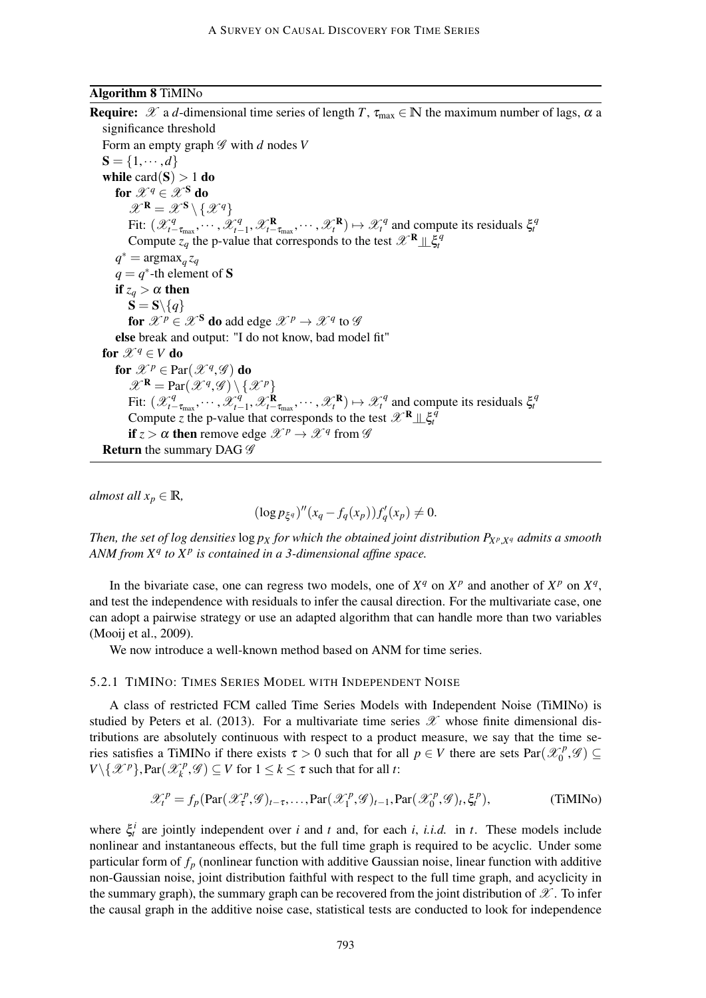# Algorithm 8 TiMINo

**Require:**  $\mathscr X$  a *d*-dimensional time series of length *T*,  $\tau_{\text{max}} \in \mathbb N$  the maximum number of lags,  $\alpha$  a significance threshold Form an empty graph  $\mathscr G$  with *d* nodes *V*  $S = \{1, \dots, d\}$ while  $card(S) > 1$  do for  $\mathscr{X}^q \in \mathscr{X}^S$  do  $\mathscr{X}^{\mathbf{R}} = \mathscr{X}^{\mathbf{S}} \setminus {\mathscr{X}^q}$ Fit:  $(\mathscr{X}^q_{t-\tau_{\text{max}}}, \cdots, \mathscr{X}^q_{t-\tau_{\text{max}}})$ Fit:  $(\mathscr{X}_{t-\tau_{\text{max}}}^q, \dots, \mathscr{X}_{t-1}^q, \mathscr{X}_{t-\tau_{\text{max}}}^R, \dots, \mathscr{X}_{t}^R) \mapsto \mathscr{X}_{t}^q$  and compute its residuals  $\xi_t^q$ <br>Compute  $z_q$  the p-value that corresponds to the test  $\mathscr{X}^R \perp \xi_t^q$  $q^* = \text{argmax}_q z_q$  $q = q^*$ -th element of S if  $z_q > \alpha$  then  $S = S \setminus \{q\}$ for  $\mathscr{X}^p \in \mathscr{X}^{\mathbf{S}}$  do add edge  $\mathscr{X}^p \to \mathscr{X}^q$  to  $\mathscr{G}$ else break and output: "I do not know, bad model fit" for  $\mathscr{X}^q \in V$  do for  $\mathscr{X}^p \in \mathrm{Par}(\mathscr{X}^q, \mathscr{G})$  do  $\mathscr{X}^{\mathbf{R}} = \text{Par}(\mathscr{X}^q, \mathscr{G}) \setminus {\{\mathscr{X}^p\}}$ Fit:  $(\mathscr{X}^q_{t-\tau_{\text{max}}},\cdots,\mathscr{X}^q_{t-\tau_{\text{max}}})$  $\mathcal{X}_{t-1}^q$ ,  $\mathcal{X}_{t-1}^{\mathbf{R}}$ ,  $\cdots$ ,  $\mathcal{X}_{t}^{\mathbf{R}}$   $\mapsto$   $\mathcal{X}_{t}^q$  and compute its residuals  $\xi_t^q$ Compute *z* the p-value that corresponds to the test  $\mathscr{X}^{\mathbf{R}} \perp \mathscr{L}^{\hat{q}}$ if  $z > \alpha$  then remove edge  $\mathscr{X}^p \to \mathscr{X}^q$  from  $\mathscr{G}$ **Return** the summary DAG  $\mathscr G$ 

*almost all*  $x_p \in \mathbb{R}$ *,* 

$$
(\log p_{\xi^q})''(x_q - f_q(x_p))f'_q(x_p) \neq 0.
$$

*Then, the set of log densities* log *p<sup>X</sup> for which the obtained joint distribution PX<sup>p</sup>* ,*X<sup>q</sup> admits a smooth ANM from X<sup>q</sup> to X<sup>p</sup> is contained in a 3-dimensional affine space.*

In the bivariate case, one can regress two models, one of  $X^q$  on  $X^p$  and another of  $X^p$  on  $X^q$ , and test the independence with residuals to infer the causal direction. For the multivariate case, one can adopt a pairwise strategy or use an adapted algorithm that can handle more than two variables (Mooij et al., 2009).

We now introduce a well-known method based on ANM for time series.

### 5.2.1 TIMINO: TIMES SERIES MODEL WITH INDEPENDENT NOISE

A class of restricted FCM called Time Series Models with Independent Noise (TiMINo) is studied by Peters et al. (2013). For a multivariate time series  $\mathscr X$  whose finite dimensional distributions are absolutely continuous with respect to a product measure, we say that the time series satisfies a TiMINo if there exists  $\tau > 0$  such that for all  $p \in V$  there are sets Par $(\mathcal{X}_0^p)$  $\binom{p}{0}, \mathscr{G} \subseteq$  $V \setminus {\mathcal X}^p$ , Par $({\mathcal X}^p_k)$  $K_k^p$ ,  $\mathscr{G}) \subseteq V$  for  $1 \leq k \leq \tau$  such that for all *t*:

$$
\mathcal{X}_t^p = f_p(\text{Par}(\mathcal{X}_\tau^p, \mathcal{G})_{t-\tau}, \dots, \text{Par}(\mathcal{X}_1^p, \mathcal{G})_{t-1}, \text{Par}(\mathcal{X}_0^p, \mathcal{G})_t, \xi_t^p), \tag{TiMINO}
$$

where  $\xi_i^i$  are jointly independent over *i* and *t* and, for each *i*, *i.i.d.* in *t*. These models include nonlinear and instantaneous effects, but the full time graph is required to be acyclic. Under some particular form of *f<sup>p</sup>* (nonlinear function with additive Gaussian noise, linear function with additive non-Gaussian noise, joint distribution faithful with respect to the full time graph, and acyclicity in the summary graph), the summary graph can be recovered from the joint distribution of  $\mathscr X$ . To infer the causal graph in the additive noise case, statistical tests are conducted to look for independence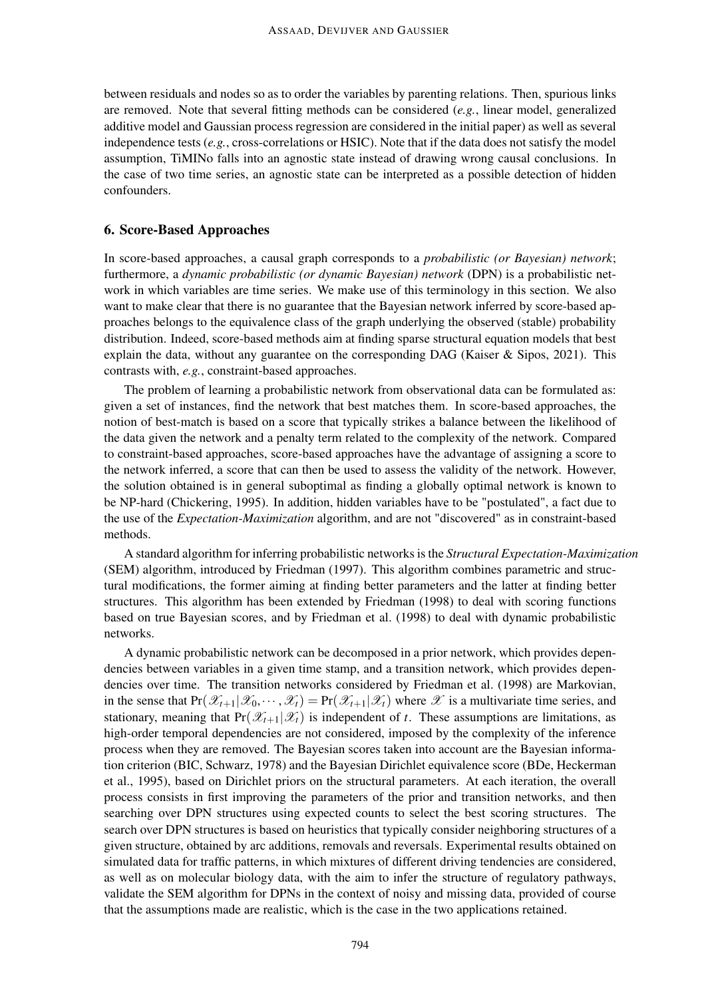between residuals and nodes so as to order the variables by parenting relations. Then, spurious links are removed. Note that several fitting methods can be considered (*e.g.*, linear model, generalized additive model and Gaussian process regression are considered in the initial paper) as well as several independence tests (*e.g.*, cross-correlations or HSIC). Note that if the data does not satisfy the model assumption, TiMINo falls into an agnostic state instead of drawing wrong causal conclusions. In the case of two time series, an agnostic state can be interpreted as a possible detection of hidden confounders.

# 6. Score-Based Approaches

In score-based approaches, a causal graph corresponds to a *probabilistic (or Bayesian) network*; furthermore, a *dynamic probabilistic (or dynamic Bayesian) network* (DPN) is a probabilistic network in which variables are time series. We make use of this terminology in this section. We also want to make clear that there is no guarantee that the Bayesian network inferred by score-based approaches belongs to the equivalence class of the graph underlying the observed (stable) probability distribution. Indeed, score-based methods aim at finding sparse structural equation models that best explain the data, without any guarantee on the corresponding DAG (Kaiser & Sipos, 2021). This contrasts with, *e.g.*, constraint-based approaches.

The problem of learning a probabilistic network from observational data can be formulated as: given a set of instances, find the network that best matches them. In score-based approaches, the notion of best-match is based on a score that typically strikes a balance between the likelihood of the data given the network and a penalty term related to the complexity of the network. Compared to constraint-based approaches, score-based approaches have the advantage of assigning a score to the network inferred, a score that can then be used to assess the validity of the network. However, the solution obtained is in general suboptimal as finding a globally optimal network is known to be NP-hard (Chickering, 1995). In addition, hidden variables have to be "postulated", a fact due to the use of the *Expectation-Maximization* algorithm, and are not "discovered" as in constraint-based methods.

A standard algorithm for inferring probabilistic networks is the *Structural Expectation-Maximization* (SEM) algorithm, introduced by Friedman (1997). This algorithm combines parametric and structural modifications, the former aiming at finding better parameters and the latter at finding better structures. This algorithm has been extended by Friedman (1998) to deal with scoring functions based on true Bayesian scores, and by Friedman et al. (1998) to deal with dynamic probabilistic networks.

A dynamic probabilistic network can be decomposed in a prior network, which provides dependencies between variables in a given time stamp, and a transition network, which provides dependencies over time. The transition networks considered by Friedman et al. (1998) are Markovian, in the sense that  $Pr(\mathscr{X}_{t+1}|\mathscr{X}_0,\cdots,\mathscr{X}_t)=Pr(\mathscr{X}_{t+1}|\mathscr{X}_t)$  where  $\mathscr X$  is a multivariate time series, and stationary, meaning that  $Pr(\mathcal{X}_{t+1}|\mathcal{X}_t)$  is independent of *t*. These assumptions are limitations, as high-order temporal dependencies are not considered, imposed by the complexity of the inference process when they are removed. The Bayesian scores taken into account are the Bayesian information criterion (BIC, Schwarz, 1978) and the Bayesian Dirichlet equivalence score (BDe, Heckerman et al., 1995), based on Dirichlet priors on the structural parameters. At each iteration, the overall process consists in first improving the parameters of the prior and transition networks, and then searching over DPN structures using expected counts to select the best scoring structures. The search over DPN structures is based on heuristics that typically consider neighboring structures of a given structure, obtained by arc additions, removals and reversals. Experimental results obtained on simulated data for traffic patterns, in which mixtures of different driving tendencies are considered, as well as on molecular biology data, with the aim to infer the structure of regulatory pathways, validate the SEM algorithm for DPNs in the context of noisy and missing data, provided of course that the assumptions made are realistic, which is the case in the two applications retained.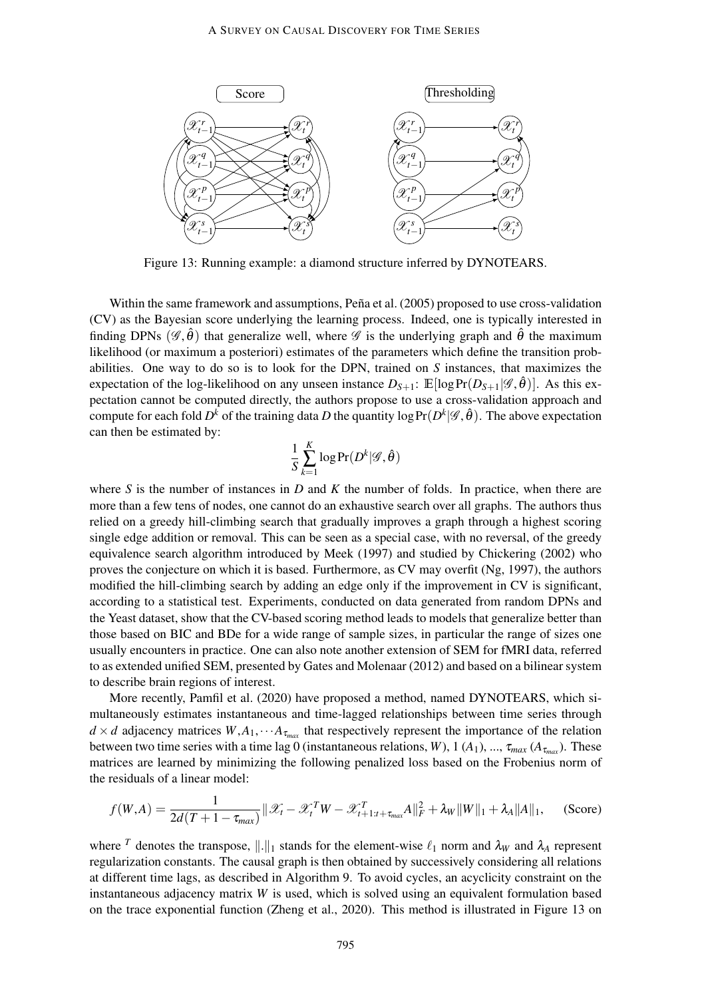

Figure 13: Running example: a diamond structure inferred by DYNOTEARS.

Within the same framework and assumptions, Peña et al. (2005) proposed to use cross-validation (CV) as the Bayesian score underlying the learning process. Indeed, one is typically interested in finding DPNs  $(\mathscr{G}, \hat{\theta})$  that generalize well, where  $\mathscr{G}$  is the underlying graph and  $\hat{\theta}$  the maximum likelihood (or maximum a posteriori) estimates of the parameters which define the transition probabilities. One way to do so is to look for the DPN, trained on *S* instances, that maximizes the expectation of the log-likelihood on any unseen instance  $D_{S+1}$ :  $\mathbb{E}[\log \Pr(D_{S+1}|\mathscr{G},\hat{\theta})]$ . As this expectation cannot be computed directly, the authors propose to use a cross-validation approach and compute for each fold  $D^k$  of the training data  $D$  the quantity log  $\Pr(D^k|\mathscr{G},\hat{\theta})$ . The above expectation can then be estimated by:

$$
\frac{1}{S}\sum_{k=1}^K \log \Pr(D^k|\mathscr{G}, \hat{\theta})
$$

where *S* is the number of instances in *D* and *K* the number of folds. In practice, when there are more than a few tens of nodes, one cannot do an exhaustive search over all graphs. The authors thus relied on a greedy hill-climbing search that gradually improves a graph through a highest scoring single edge addition or removal. This can be seen as a special case, with no reversal, of the greedy equivalence search algorithm introduced by Meek (1997) and studied by Chickering (2002) who proves the conjecture on which it is based. Furthermore, as CV may overfit (Ng, 1997), the authors modified the hill-climbing search by adding an edge only if the improvement in CV is significant, according to a statistical test. Experiments, conducted on data generated from random DPNs and the Yeast dataset, show that the CV-based scoring method leads to models that generalize better than those based on BIC and BDe for a wide range of sample sizes, in particular the range of sizes one usually encounters in practice. One can also note another extension of SEM for fMRI data, referred to as extended unified SEM, presented by Gates and Molenaar (2012) and based on a bilinear system to describe brain regions of interest.

More recently, Pamfil et al. (2020) have proposed a method, named DYNOTEARS, which simultaneously estimates instantaneous and time-lagged relationships between time series through  $d \times d$  adjacency matrices  $W, A_1, \cdots A_{\tau_{max}}$  that respectively represent the importance of the relation between two time series with a time lag 0 (instantaneous relations, *W*), 1 (*A*<sub>1</sub>), ...,  $\tau_{max}$  (*A*<sub> $\tau_{max}$ </sub>). These matrices are learned by minimizing the following penalized loss based on the Frobenius norm of the residuals of a linear model:

$$
f(W,A) = \frac{1}{2d(T+1-\tau_{max})} || \mathcal{X}_t - \mathcal{X}_t^T W - \mathcal{X}_{t+1:t+\tau_{max}}^T A ||_F^2 + \lambda_W ||W||_1 + \lambda_A ||A||_1,
$$
 (Score)

where <sup>*T*</sup> denotes the transpose,  $\|\cdot\|_1$  stands for the element-wise  $\ell_1$  norm and  $\lambda_W$  and  $\lambda_A$  represent regularization constants. The causal graph is then obtained by successively considering all relations at different time lags, as described in Algorithm 9. To avoid cycles, an acyclicity constraint on the instantaneous adjacency matrix *W* is used, which is solved using an equivalent formulation based on the trace exponential function (Zheng et al., 2020). This method is illustrated in Figure 13 on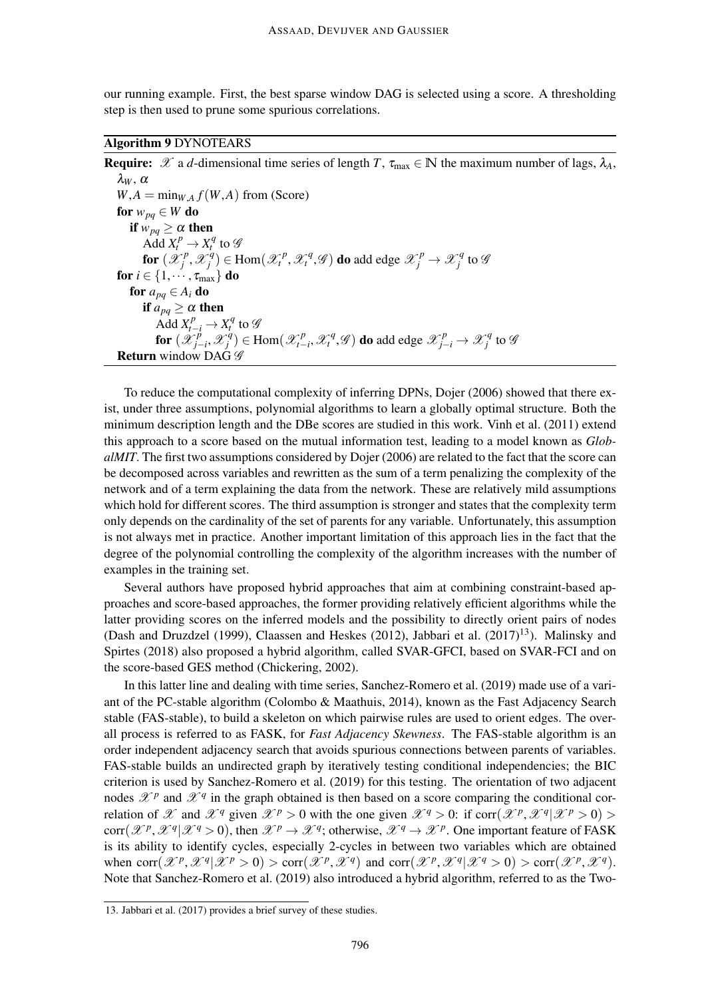our running example. First, the best sparse window DAG is selected using a score. A thresholding step is then used to prune some spurious correlations.

Algorithm 9 DYNOTEARS

**Require:**  $\mathscr X$  a *d*-dimensional time series of length *T*,  $\tau_{\text{max}} \in \mathbb N$  the maximum number of lags,  $\lambda_A$ ,  $λ$ *w* ,  $α$  $W, A = \min_{W, A} f(W, A)$  from (Score) for  $w_{pq} \in W$  do if  $w_{pq} \ge \alpha$  then  $\overrightarrow{Add} X_t^p \to X_t^q$  to  $\mathscr G$ for  $(\hat{\mathscr{X}}_{i}^{p})$  $\mathscr{X}_j^q$  $f_j^q$ )  $\in$  Hom $(\mathcal{X}_t^p, \mathcal{X}_t^q, \mathcal{G})$  do add edge  $\mathcal{X}_j^p \to \mathcal{X}_j^q$  $j^q$  to  $\mathscr G$ for  $i \in \{1, \cdots, \tau_{\text{max}}\}$  do for  $a_{pq} \in A_i$  do if  $a_{pa} \geq \alpha$  then Add  $X_{t-i}^p \to X_t^q$  to  $\mathscr G$ for  $(\mathscr{X}_{i}^{\rho})$ *j*−*i* ,X *q*  $\mathcal{L}_j^q$ )  $\in$  Hom $(\mathcal{X}_{t-1}^p)$  $\mathcal{X}_{t-i}^p$ ,  $\mathcal{X}_t^q$ ,  $\mathcal{G}$  ) do add edge  $\mathcal{X}_{j-i}^p$  →  $\mathcal{X}_j^q$  $\int\limits_{j}^{q}$  to  $\mathscr G$ **Return** window DAG  $\mathscr G$ 

To reduce the computational complexity of inferring DPNs, Dojer (2006) showed that there exist, under three assumptions, polynomial algorithms to learn a globally optimal structure. Both the minimum description length and the DBe scores are studied in this work. Vinh et al. (2011) extend this approach to a score based on the mutual information test, leading to a model known as *GlobalMIT*. The first two assumptions considered by Dojer (2006) are related to the fact that the score can be decomposed across variables and rewritten as the sum of a term penalizing the complexity of the network and of a term explaining the data from the network. These are relatively mild assumptions which hold for different scores. The third assumption is stronger and states that the complexity term only depends on the cardinality of the set of parents for any variable. Unfortunately, this assumption is not always met in practice. Another important limitation of this approach lies in the fact that the degree of the polynomial controlling the complexity of the algorithm increases with the number of examples in the training set.

Several authors have proposed hybrid approaches that aim at combining constraint-based approaches and score-based approaches, the former providing relatively efficient algorithms while the latter providing scores on the inferred models and the possibility to directly orient pairs of nodes (Dash and Druzdzel (1999), Claassen and Heskes (2012), Jabbari et al.  $(2017)^{13}$ ). Malinsky and Spirtes (2018) also proposed a hybrid algorithm, called SVAR-GFCI, based on SVAR-FCI and on the score-based GES method (Chickering, 2002).

In this latter line and dealing with time series, Sanchez-Romero et al. (2019) made use of a variant of the PC-stable algorithm (Colombo & Maathuis, 2014), known as the Fast Adjacency Search stable (FAS-stable), to build a skeleton on which pairwise rules are used to orient edges. The overall process is referred to as FASK, for *Fast Adjacency Skewness*. The FAS-stable algorithm is an order independent adjacency search that avoids spurious connections between parents of variables. FAS-stable builds an undirected graph by iteratively testing conditional independencies; the BIC criterion is used by Sanchez-Romero et al. (2019) for this testing. The orientation of two adjacent nodes  $\mathcal{X}^p$  and  $\mathcal{X}^q$  in the graph obtained is then based on a score comparing the conditional correlation of X and  $\mathcal{X}^q$  given  $\mathcal{X}^p > 0$  with the one given  $\mathcal{X}^q > 0$ : if corr $(\mathcal{X}^p, \mathcal{X}^q | \mathcal{X}^p > 0)$  $\text{corr}(\mathcal{X}^p, \mathcal{X}^q | \mathcal{X}^q > 0)$ , then  $\mathcal{X}^p \to \mathcal{X}^q$ ; otherwise,  $\mathcal{X}^q \to \mathcal{X}^p$ . One important feature of FASK is its ability to identify cycles, especially 2-cycles in between two variables which are obtained when  $\text{corr}(\mathcal{X}^p, \mathcal{X}^q | \mathcal{X}^p > 0) > \text{corr}(\mathcal{X}^p, \mathcal{X}^q)$  and  $\text{corr}(\mathcal{X}^p, \mathcal{X}^q | \mathcal{X}^q > 0) > \text{corr}(\mathcal{X}^p, \mathcal{X}^q)$ . Note that Sanchez-Romero et al. (2019) also introduced a hybrid algorithm, referred to as the Two-

<sup>13.</sup> Jabbari et al. (2017) provides a brief survey of these studies.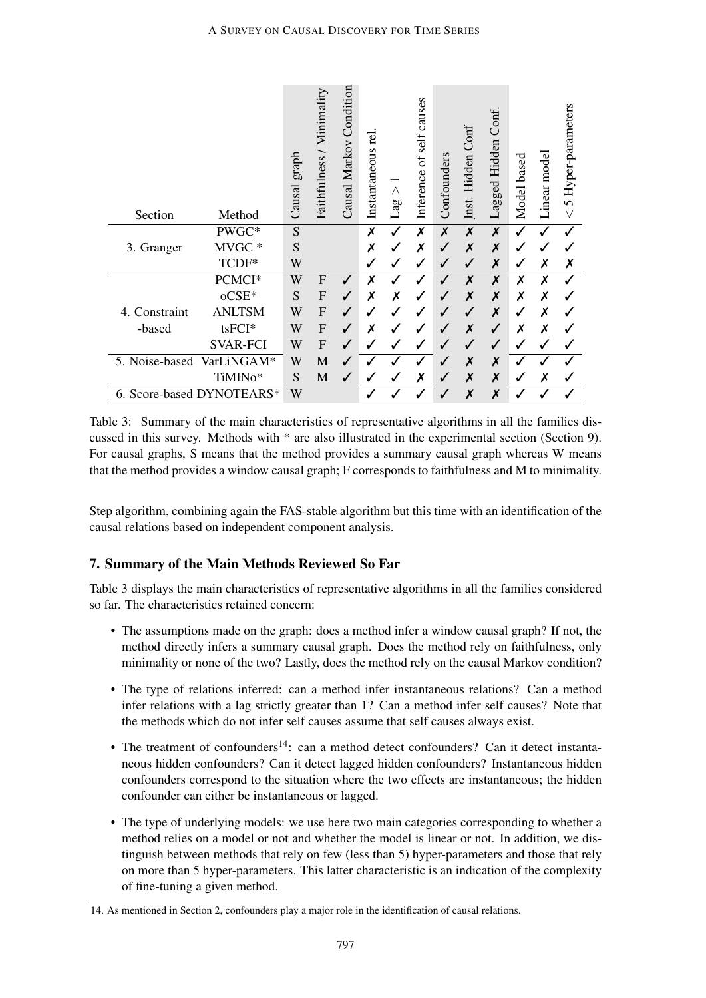| Section                   | Method          | graph<br>Causal | Faithfulness / Minimality | Causal Markov Condition | rei<br>Instantaneous | Λ<br>Lag | causes<br>self<br>ð<br>Inference | Confounders | Hidden Conf<br>Inst. | Conf.<br>Hidden<br>Lagged | based<br>Model <sup>®</sup> | Linear mode | 5 Hyper-parameters |
|---------------------------|-----------------|-----------------|---------------------------|-------------------------|----------------------|----------|----------------------------------|-------------|----------------------|---------------------------|-----------------------------|-------------|--------------------|
|                           | PWGC*           | S               |                           |                         | X                    |          | Х                                | X           | X                    | X                         |                             | √           |                    |
| 3. Granger                | MVGC*           | S               |                           |                         | χ                    |          | Х                                |             | X                    | X                         |                             |             |                    |
|                           | TCDF*           | W               |                           |                         | $\checkmark$         |          | $\checkmark$                     |             |                      | X                         |                             | Х           | Х                  |
|                           | PCMCI*          | W               | $\mathbf{F}$              | ✓                       | Х                    |          |                                  |             | X                    | X                         | X                           | Х           |                    |
|                           | oCSE*           | S               | $\mathbf F$               | ✓                       | Х                    | Х        | $\checkmark$                     |             | X                    | X                         | Х                           | Х           |                    |
| Constraint<br>4.          | <b>ANLTSM</b>   | W               | $\overline{F}$            | ✔                       |                      |          |                                  |             |                      | X                         |                             | X           |                    |
| -based                    | tsFCI*          | W               | $\mathbf F$               | J                       | Х                    |          |                                  |             | Х                    |                           | х                           | Х           |                    |
|                           | <b>SVAR-FCI</b> | W               | $\overline{F}$            | J                       |                      |          |                                  |             |                      |                           |                             | ✔           |                    |
| 5. Noise-based            | VarLiNGAM*      | W               | M                         | $\sqrt{2}$              |                      |          |                                  |             | X                    | X                         |                             |             |                    |
|                           | TiMINo*         | S               | M                         | ✔                       |                      |          | Х                                |             | X                    | X                         |                             | Х           |                    |
| 6. Score-based DYNOTEARS* |                 | W               |                           |                         |                      |          |                                  |             | X                    | X                         |                             |             |                    |

Table 3: Summary of the main characteristics of representative algorithms in all the families discussed in this survey. Methods with \* are also illustrated in the experimental section (Section 9). For causal graphs, S means that the method provides a summary causal graph whereas W means that the method provides a window causal graph; F corresponds to faithfulness and M to minimality.

Step algorithm, combining again the FAS-stable algorithm but this time with an identification of the causal relations based on independent component analysis.

# 7. Summary of the Main Methods Reviewed So Far

Table 3 displays the main characteristics of representative algorithms in all the families considered so far. The characteristics retained concern:

- The assumptions made on the graph: does a method infer a window causal graph? If not, the method directly infers a summary causal graph. Does the method rely on faithfulness, only minimality or none of the two? Lastly, does the method rely on the causal Markov condition?
- The type of relations inferred: can a method infer instantaneous relations? Can a method infer relations with a lag strictly greater than 1? Can a method infer self causes? Note that the methods which do not infer self causes assume that self causes always exist.
- The treatment of confounders<sup>14</sup>: can a method detect confounders? Can it detect instantaneous hidden confounders? Can it detect lagged hidden confounders? Instantaneous hidden confounders correspond to the situation where the two effects are instantaneous; the hidden confounder can either be instantaneous or lagged.
- The type of underlying models: we use here two main categories corresponding to whether a method relies on a model or not and whether the model is linear or not. In addition, we distinguish between methods that rely on few (less than 5) hyper-parameters and those that rely on more than 5 hyper-parameters. This latter characteristic is an indication of the complexity of fine-tuning a given method.

<sup>14.</sup> As mentioned in Section 2, confounders play a major role in the identification of causal relations.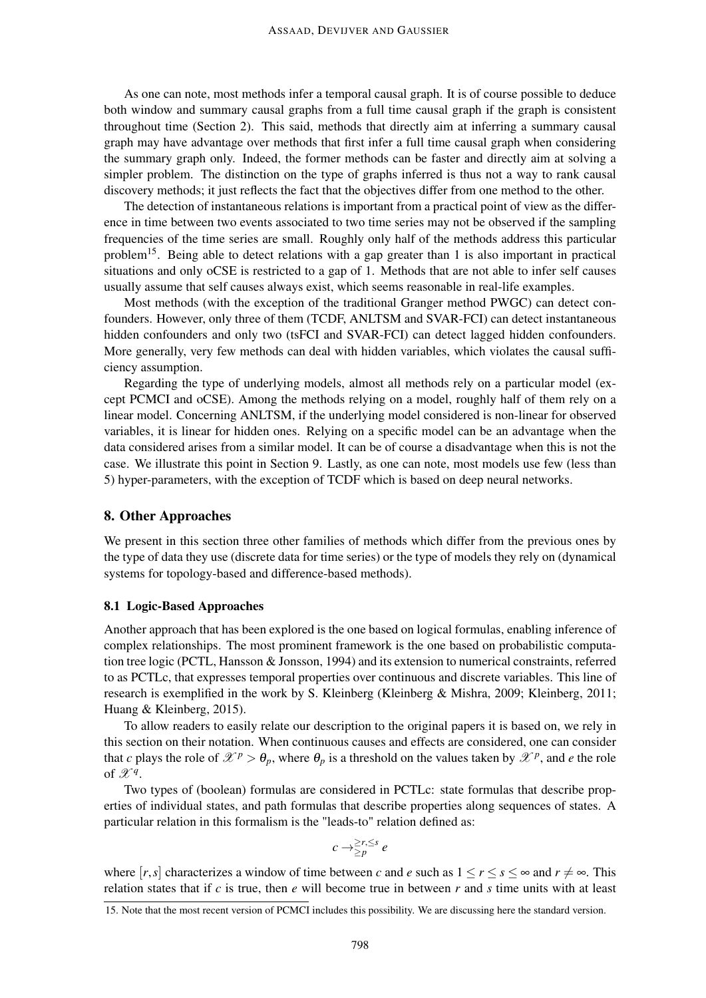As one can note, most methods infer a temporal causal graph. It is of course possible to deduce both window and summary causal graphs from a full time causal graph if the graph is consistent throughout time (Section 2). This said, methods that directly aim at inferring a summary causal graph may have advantage over methods that first infer a full time causal graph when considering the summary graph only. Indeed, the former methods can be faster and directly aim at solving a simpler problem. The distinction on the type of graphs inferred is thus not a way to rank causal discovery methods; it just reflects the fact that the objectives differ from one method to the other.

The detection of instantaneous relations is important from a practical point of view as the difference in time between two events associated to two time series may not be observed if the sampling frequencies of the time series are small. Roughly only half of the methods address this particular problem<sup>15</sup>. Being able to detect relations with a gap greater than 1 is also important in practical situations and only oCSE is restricted to a gap of 1. Methods that are not able to infer self causes usually assume that self causes always exist, which seems reasonable in real-life examples.

Most methods (with the exception of the traditional Granger method PWGC) can detect confounders. However, only three of them (TCDF, ANLTSM and SVAR-FCI) can detect instantaneous hidden confounders and only two (tsFCI and SVAR-FCI) can detect lagged hidden confounders. More generally, very few methods can deal with hidden variables, which violates the causal sufficiency assumption.

Regarding the type of underlying models, almost all methods rely on a particular model (except PCMCI and oCSE). Among the methods relying on a model, roughly half of them rely on a linear model. Concerning ANLTSM, if the underlying model considered is non-linear for observed variables, it is linear for hidden ones. Relying on a specific model can be an advantage when the data considered arises from a similar model. It can be of course a disadvantage when this is not the case. We illustrate this point in Section 9. Lastly, as one can note, most models use few (less than 5) hyper-parameters, with the exception of TCDF which is based on deep neural networks.

# 8. Other Approaches

We present in this section three other families of methods which differ from the previous ones by the type of data they use (discrete data for time series) or the type of models they rely on (dynamical systems for topology-based and difference-based methods).

# 8.1 Logic-Based Approaches

Another approach that has been explored is the one based on logical formulas, enabling inference of complex relationships. The most prominent framework is the one based on probabilistic computation tree logic (PCTL, Hansson & Jonsson, 1994) and its extension to numerical constraints, referred to as PCTLc, that expresses temporal properties over continuous and discrete variables. This line of research is exemplified in the work by S. Kleinberg (Kleinberg & Mishra, 2009; Kleinberg, 2011; Huang & Kleinberg, 2015).

To allow readers to easily relate our description to the original papers it is based on, we rely in this section on their notation. When continuous causes and effects are considered, one can consider that *c* plays the role of  $\mathscr{X}^p > \theta_p$ , where  $\theta_p$  is a threshold on the values taken by  $\mathscr{X}^p$ , and *e* the role of  $\mathscr{X}^q$ .

Two types of (boolean) formulas are considered in PCTLc: state formulas that describe properties of individual states, and path formulas that describe properties along sequences of states. A particular relation in this formalism is the "leads-to" relation defined as:

$$
c \to \geq_p^{2r, \leq s} e
$$

where  $[r, s]$  characterizes a window of time between *c* and *e* such as  $1 \le r \le s \le \infty$  and  $r \ne \infty$ . This relation states that if *c* is true, then *e* will become true in between *r* and *s* time units with at least

<sup>15.</sup> Note that the most recent version of PCMCI includes this possibility. We are discussing here the standard version.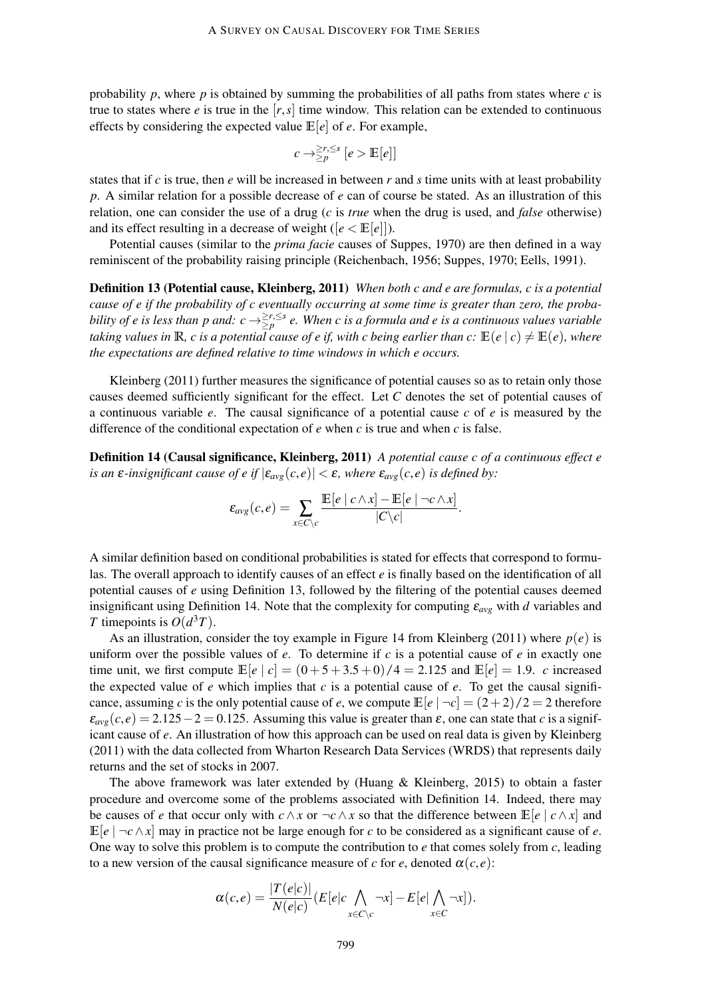probability  $p$ , where  $p$  is obtained by summing the probabilities of all paths from states where  $c$  is true to states where *e* is true in the  $[r, s]$  time window. This relation can be extended to continuous effects by considering the expected value  $\mathbb{E}[e]$  of *e*. For example,

$$
c \to \geq_p^{2r,\leq s} [e > \mathbb{E}[e]]
$$

states that if *c* is true, then *e* will be increased in between *r* and *s* time units with at least probability *p*. A similar relation for a possible decrease of *e* can of course be stated. As an illustration of this relation, one can consider the use of a drug (*c* is *true* when the drug is used, and *false* otherwise) and its effect resulting in a decrease of weight ( $[e \leq \mathbb{E}[e]]$ ).

Potential causes (similar to the *prima facie* causes of Suppes, 1970) are then defined in a way reminiscent of the probability raising principle (Reichenbach, 1956; Suppes, 1970; Eells, 1991).

Definition 13 (Potential cause, Kleinberg, 2011) *When both c and e are formulas, c is a potential cause of e if the probability of c eventually occurring at some time is greater than zero, the probability of e is less than p and:*  $c \to \geq^{\geq r, \leq s}_{\geq p}$  e. When c is a formula and e is a continuous values variable *taking values in* **R***, c is a potential cause of e if, with c being earlier than c:*  $\mathbb{E}(e \mid c) \neq \mathbb{E}(e)$ *, where the expectations are defined relative to time windows in which e occurs.*

Kleinberg (2011) further measures the significance of potential causes so as to retain only those causes deemed sufficiently significant for the effect. Let *C* denotes the set of potential causes of a continuous variable *e*. The causal significance of a potential cause *c* of *e* is measured by the difference of the conditional expectation of *e* when *c* is true and when *c* is false.

Definition 14 (Causal significance, Kleinberg, 2011) *A potential cause c of a continuous effect e is an*  $\varepsilon$ *-insignificant cause of e if*  $|\varepsilon_{avg}(c, e)| < \varepsilon$ *, where*  $\varepsilon_{avg}(c, e)$  *is defined by:* 

$$
\varepsilon_{avg}(c,e) = \sum_{x \in C \setminus c} \frac{\mathbb{E}[e \mid c \wedge x] - \mathbb{E}[e \mid \neg c \wedge x]}{|C \setminus c|}.
$$

A similar definition based on conditional probabilities is stated for effects that correspond to formulas. The overall approach to identify causes of an effect *e* is finally based on the identification of all potential causes of *e* using Definition 13, followed by the filtering of the potential causes deemed insignificant using Definition 14. Note that the complexity for computing ε*avg* with *d* variables and *T* timepoints is  $O(d^3T)$ .

As an illustration, consider the toy example in Figure 14 from Kleinberg (2011) where  $p(e)$  is uniform over the possible values of *e*. To determine if *c* is a potential cause of *e* in exactly one time unit, we first compute  $\mathbb{E}[e | c] = (0+5+3.5+0)/4 = 2.125$  and  $\mathbb{E}[e] = 1.9$ . *c* increased the expected value of  $e$  which implies that  $c$  is a potential cause of  $e$ . To get the causal significance, assuming *c* is the only potential cause of *e*, we compute  $\mathbb{E}[e | \neg c] = (2+2)/2 = 2$  therefore  $\varepsilon_{\alpha\nu\rho}(c, e) = 2.125 - 2 = 0.125$ . Assuming this value is greater than  $\varepsilon$ , one can state that *c* is a significant cause of *e*. An illustration of how this approach can be used on real data is given by Kleinberg (2011) with the data collected from Wharton Research Data Services (WRDS) that represents daily returns and the set of stocks in 2007.

The above framework was later extended by (Huang & Kleinberg, 2015) to obtain a faster procedure and overcome some of the problems associated with Definition 14. Indeed, there may be causes of *e* that occur only with  $c \wedge x$  or  $\neg c \wedge x$  so that the difference between  $\mathbb{E}[e \mid c \wedge x]$  and  $\mathbb{E}[e]$   $\neg c \wedge x$  may in practice not be large enough for *c* to be considered as a significant cause of *e*. One way to solve this problem is to compute the contribution to *e* that comes solely from *c*, leading to a new version of the causal significance measure of *c* for *e*, denoted  $\alpha(c, e)$ :

$$
\alpha(c,e) = \frac{|T(e|c)|}{N(e|c)} (E[e|c \bigwedge_{x \in C \setminus c} \neg x] - E[e] \bigwedge_{x \in C} \neg x]).
$$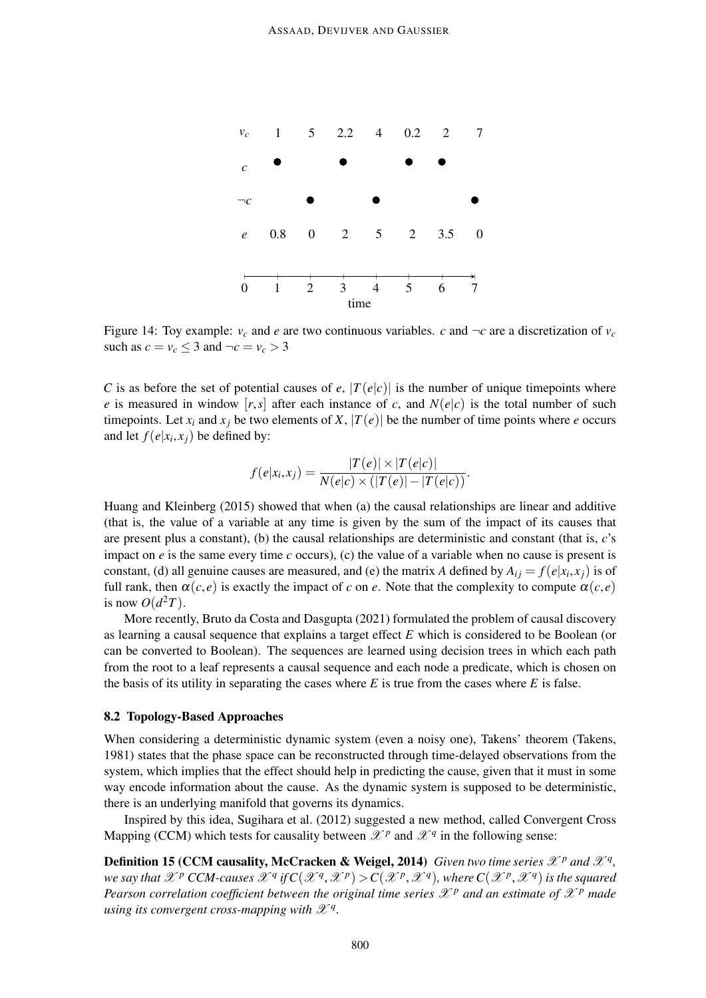

Figure 14: Toy example:  $v_c$  and *e* are two continuous variables. *c* and  $\neg c$  are a discretization of  $v_c$ such as  $c = v_c \leq 3$  and  $\neg c = v_c > 3$ 

*C* is as before the set of potential causes of *e*,  $|T(e|c)|$  is the number of unique timepoints where *e* is measured in window  $[r,s]$  after each instance of *c*, and  $N(e|c)$  is the total number of such timepoints. Let  $x_i$  and  $x_j$  be two elements of  $X$ ,  $|T(e)|$  be the number of time points where *e* occurs and let  $f(e|x_i, x_j)$  be defined by:

$$
f(e|x_i,x_j) = \frac{|T(e)| \times |T(e|c)|}{N(e|c) \times (|T(e)| - |T(e|c))}.
$$

Huang and Kleinberg (2015) showed that when (a) the causal relationships are linear and additive (that is, the value of a variable at any time is given by the sum of the impact of its causes that are present plus a constant), (b) the causal relationships are deterministic and constant (that is, *c*'s impact on *e* is the same every time *c* occurs), (c) the value of a variable when no cause is present is constant, (d) all genuine causes are measured, and (e) the matrix *A* defined by  $A_{ij} = f(e|x_i, x_j)$  is of full rank, then  $\alpha(c, e)$  is exactly the impact of *c* on *e*. Note that the complexity to compute  $\alpha(c, e)$ is now  $O(d^2T)$ .

More recently, Bruto da Costa and Dasgupta (2021) formulated the problem of causal discovery as learning a causal sequence that explains a target effect *E* which is considered to be Boolean (or can be converted to Boolean). The sequences are learned using decision trees in which each path from the root to a leaf represents a causal sequence and each node a predicate, which is chosen on the basis of its utility in separating the cases where  $E$  is true from the cases where  $E$  is false.

### 8.2 Topology-Based Approaches

When considering a deterministic dynamic system (even a noisy one), Takens' theorem (Takens, 1981) states that the phase space can be reconstructed through time-delayed observations from the system, which implies that the effect should help in predicting the cause, given that it must in some way encode information about the cause. As the dynamic system is supposed to be deterministic, there is an underlying manifold that governs its dynamics.

Inspired by this idea, Sugihara et al. (2012) suggested a new method, called Convergent Cross Mapping (CCM) which tests for causality between  $\mathscr{X}^p$  and  $\mathscr{X}^q$  in the following sense:

**Definition 15 (CCM causality, McCracken & Weigel, 2014)** *Given two time series*  $\mathscr{X}^p$  *and*  $\mathscr{X}^q$ *, we say that*  $\mathscr{X}^p$  *CCM-causes*  $\mathscr{X}^q$  *if*  $C(\mathscr{X}^q, \mathscr{X}^p) > C(\mathscr{X}^p, \mathscr{X}^q)$ , where  $C(\mathscr{X}^p, \mathscr{X}^q)$  is the squared *Pearson correlation coefficient between the original time series*  $\mathscr{X}^p$  *and an estimate of*  $\mathscr{X}^p$  *made using its convergent cross-mapping with*  $\mathscr{X}^q$ *.*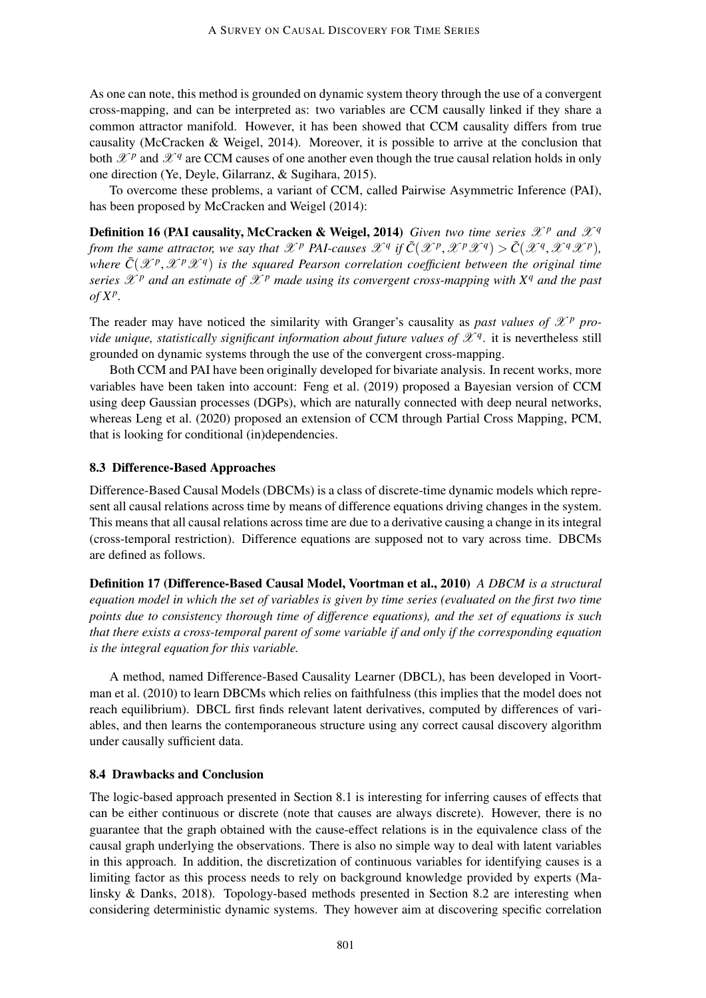As one can note, this method is grounded on dynamic system theory through the use of a convergent cross-mapping, and can be interpreted as: two variables are CCM causally linked if they share a common attractor manifold. However, it has been showed that CCM causality differs from true causality (McCracken & Weigel, 2014). Moreover, it is possible to arrive at the conclusion that both  $\mathcal{X}^p$  and  $\mathcal{X}^q$  are CCM causes of one another even though the true causal relation holds in only one direction (Ye, Deyle, Gilarranz, & Sugihara, 2015).

To overcome these problems, a variant of CCM, called Pairwise Asymmetric Inference (PAI), has been proposed by McCracken and Weigel (2014):

**Definition 16 (PAI causality, McCracken & Weigel, 2014)** *Given two time series*  $\mathscr{X}^p$  *and*  $\mathscr{X}^q$ *from the same attractor, we say that*  $\mathscr{X}^p$  *PAI-causes*  $\mathscr{X}^q$  *if*  $\tilde{C}(\mathscr{X}^p, \mathscr{X}^p\mathscr{X}^q) > \tilde{C}(\mathscr{X}^q, \mathscr{X}^q\mathscr{X}^p)$ , where  $\tilde{C}(\mathscr{X}^p,\mathscr{X}^p\mathscr{X}^q)$  is the squared Pearson correlation coefficient between the original time *series*  $\mathscr{X}^p$  *and an estimate of*  $\mathscr{X}^p$  *made using its convergent cross-mapping with*  $X^q$  *and the past of X<sup>p</sup> .*

The reader may have noticed the similarity with Granger's causality as *past values of*  $\mathcal{X}^p$  *provide unique, statistically significant information about future values of*  $\mathscr{X}^q$ *.* it is nevertheless still grounded on dynamic systems through the use of the convergent cross-mapping.

Both CCM and PAI have been originally developed for bivariate analysis. In recent works, more variables have been taken into account: Feng et al. (2019) proposed a Bayesian version of CCM using deep Gaussian processes (DGPs), which are naturally connected with deep neural networks, whereas Leng et al. (2020) proposed an extension of CCM through Partial Cross Mapping, PCM, that is looking for conditional (in)dependencies.

# 8.3 Difference-Based Approaches

Difference-Based Causal Models (DBCMs) is a class of discrete-time dynamic models which represent all causal relations across time by means of difference equations driving changes in the system. This means that all causal relations across time are due to a derivative causing a change in its integral (cross-temporal restriction). Difference equations are supposed not to vary across time. DBCMs are defined as follows.

Definition 17 (Difference-Based Causal Model, Voortman et al., 2010) *A DBCM is a structural equation model in which the set of variables is given by time series (evaluated on the first two time points due to consistency thorough time of difference equations), and the set of equations is such that there exists a cross-temporal parent of some variable if and only if the corresponding equation is the integral equation for this variable.*

A method, named Difference-Based Causality Learner (DBCL), has been developed in Voortman et al. (2010) to learn DBCMs which relies on faithfulness (this implies that the model does not reach equilibrium). DBCL first finds relevant latent derivatives, computed by differences of variables, and then learns the contemporaneous structure using any correct causal discovery algorithm under causally sufficient data.

# 8.4 Drawbacks and Conclusion

The logic-based approach presented in Section 8.1 is interesting for inferring causes of effects that can be either continuous or discrete (note that causes are always discrete). However, there is no guarantee that the graph obtained with the cause-effect relations is in the equivalence class of the causal graph underlying the observations. There is also no simple way to deal with latent variables in this approach. In addition, the discretization of continuous variables for identifying causes is a limiting factor as this process needs to rely on background knowledge provided by experts (Malinsky & Danks, 2018). Topology-based methods presented in Section 8.2 are interesting when considering deterministic dynamic systems. They however aim at discovering specific correlation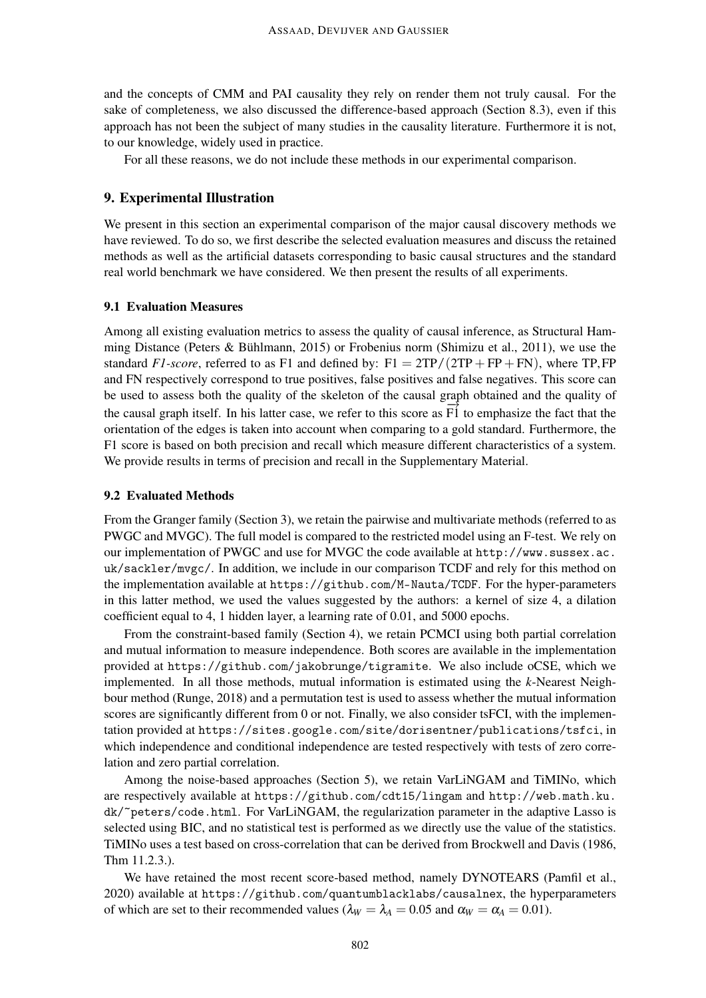and the concepts of CMM and PAI causality they rely on render them not truly causal. For the sake of completeness, we also discussed the difference-based approach (Section 8.3), even if this approach has not been the subject of many studies in the causality literature. Furthermore it is not, to our knowledge, widely used in practice.

For all these reasons, we do not include these methods in our experimental comparison.

# 9. Experimental Illustration

We present in this section an experimental comparison of the major causal discovery methods we have reviewed. To do so, we first describe the selected evaluation measures and discuss the retained methods as well as the artificial datasets corresponding to basic causal structures and the standard real world benchmark we have considered. We then present the results of all experiments.

# 9.1 Evaluation Measures

Among all existing evaluation metrics to assess the quality of causal inference, as Structural Hamming Distance (Peters & Bühlmann, 2015) or Frobenius norm (Shimizu et al., 2011), we use the standard *F1-score*, referred to as F1 and defined by:  $F1 = 2TP/(2TP + FP + FN)$ , where TP, FP and FN respectively correspond to true positives, false positives and false negatives. This score can be used to assess both the quality of the skeleton of the causal graph obtained and the quality of the causal graph itself. In his latter case, we refer to this score as  $\overline{F1}$  to emphasize the fact that the orientation of the edges is taken into account when comparing to a gold standard. Furthermore, the F1 score is based on both precision and recall which measure different characteristics of a system. We provide results in terms of precision and recall in the Supplementary Material.

### 9.2 Evaluated Methods

From the Granger family (Section 3), we retain the pairwise and multivariate methods (referred to as PWGC and MVGC). The full model is compared to the restricted model using an F-test. We rely on our implementation of PWGC and use for MVGC the code available at http://www.sussex.ac. uk/sackler/mvgc/. In addition, we include in our comparison TCDF and rely for this method on the implementation available at https://github.com/M-Nauta/TCDF. For the hyper-parameters in this latter method, we used the values suggested by the authors: a kernel of size 4, a dilation coefficient equal to 4, 1 hidden layer, a learning rate of 0.01, and 5000 epochs.

From the constraint-based family (Section 4), we retain PCMCI using both partial correlation and mutual information to measure independence. Both scores are available in the implementation provided at https://github.com/jakobrunge/tigramite. We also include oCSE, which we implemented. In all those methods, mutual information is estimated using the *k*-Nearest Neighbour method (Runge, 2018) and a permutation test is used to assess whether the mutual information scores are significantly different from 0 or not. Finally, we also consider tsFCI, with the implementation provided at https://sites.google.com/site/dorisentner/publications/tsfci, in which independence and conditional independence are tested respectively with tests of zero correlation and zero partial correlation.

Among the noise-based approaches (Section 5), we retain VarLiNGAM and TiMINo, which are respectively available at https://github.com/cdt15/lingam and http://web.math.ku. dk/~peters/code.html. For VarLiNGAM, the regularization parameter in the adaptive Lasso is selected using BIC, and no statistical test is performed as we directly use the value of the statistics. TiMINo uses a test based on cross-correlation that can be derived from Brockwell and Davis (1986, Thm 11.2.3.).

We have retained the most recent score-based method, namely DYNOTEARS (Pamfil et al., 2020) available at https://github.com/quantumblacklabs/causalnex, the hyperparameters of which are set to their recommended values ( $\lambda_W = \lambda_A = 0.05$  and  $\alpha_W = \alpha_A = 0.01$ ).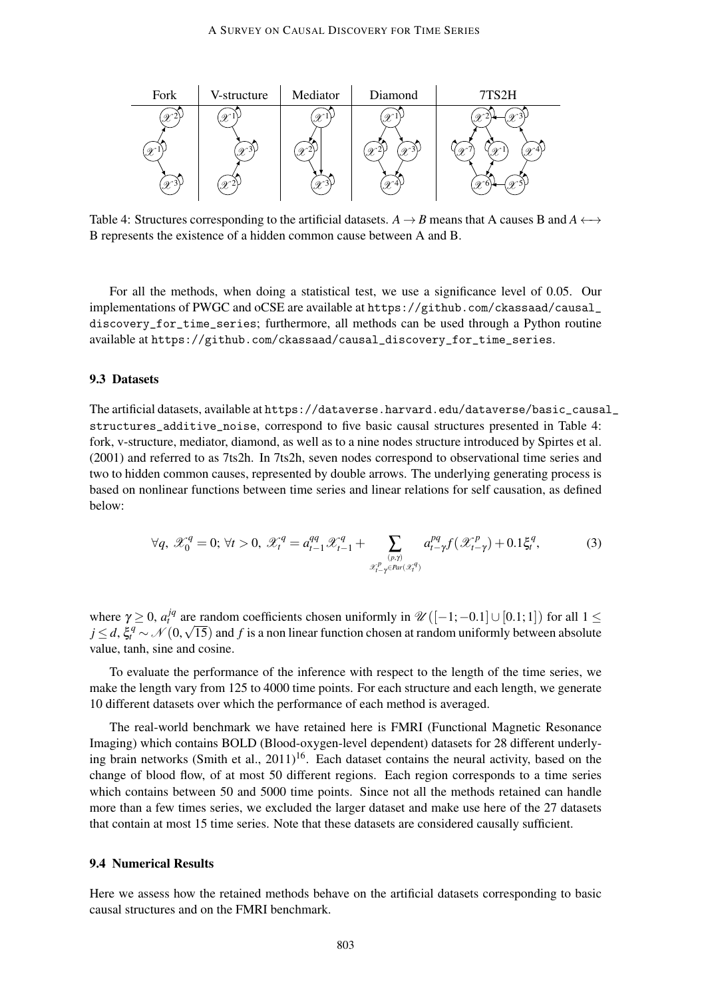

Table 4: Structures corresponding to the artificial datasets.  $A \rightarrow B$  means that A causes B and  $A \leftrightarrow$ B represents the existence of a hidden common cause between A and B.

For all the methods, when doing a statistical test, we use a significance level of 0.05. Our implementations of PWGC and oCSE are available at https://github.com/ckassaad/causal\_ discovery\_for\_time\_series; furthermore, all methods can be used through a Python routine available at https://github.com/ckassaad/causal\_discovery\_for\_time\_series.

### 9.3 Datasets

The artificial datasets, available at https://dataverse.harvard.edu/dataverse/basic\_causal\_ structures\_additive\_noise, correspond to five basic causal structures presented in Table 4: fork, v-structure, mediator, diamond, as well as to a nine nodes structure introduced by Spirtes et al. (2001) and referred to as 7ts2h. In 7ts2h, seven nodes correspond to observational time series and two to hidden common causes, represented by double arrows. The underlying generating process is based on nonlinear functions between time series and linear relations for self causation, as defined below:

$$
\forall q, \ \mathcal{X}_0^q = 0; \ \forall t > 0, \ \mathcal{X}_t^q = a_{t-1}^{qq} \mathcal{X}_{t-1}^q + \sum_{\substack{(p,\gamma) \\ \mathcal{X}_{t-\gamma}^p \in \text{Par}(\mathcal{X}_t^q)}} a_{t-\gamma}^{pq} f(\mathcal{X}_{t-\gamma}^p) + 0.1 \xi_t^q,\tag{3}
$$

where  $\gamma \ge 0$ ,  $a_t^{jq}$  are random coefficients chosen uniformly in  $\mathscr{U}([-1;-0.1] \cup [0.1;1])$  for all  $1 \le$ where  $\gamma \geq 0$ ,  $a_t^2$  are random coefficients chosen uniformly in  $\mathcal{U}([-1; -0.1] \cup [0.1; 1])$  for all  $1 \leq j \leq d$ ,  $\xi_t^q \sim \mathcal{N}(0, \sqrt{15})$  and *f* is a non linear function chosen at random uniformly between absolute value, tanh, sine and cosine.

To evaluate the performance of the inference with respect to the length of the time series, we make the length vary from 125 to 4000 time points. For each structure and each length, we generate 10 different datasets over which the performance of each method is averaged.

The real-world benchmark we have retained here is FMRI (Functional Magnetic Resonance Imaging) which contains BOLD (Blood-oxygen-level dependent) datasets for 28 different underlying brain networks (Smith et al.,  $2011$ )<sup>16</sup>. Each dataset contains the neural activity, based on the change of blood flow, of at most 50 different regions. Each region corresponds to a time series which contains between 50 and 5000 time points. Since not all the methods retained can handle more than a few times series, we excluded the larger dataset and make use here of the 27 datasets that contain at most 15 time series. Note that these datasets are considered causally sufficient.

### 9.4 Numerical Results

Here we assess how the retained methods behave on the artificial datasets corresponding to basic causal structures and on the FMRI benchmark.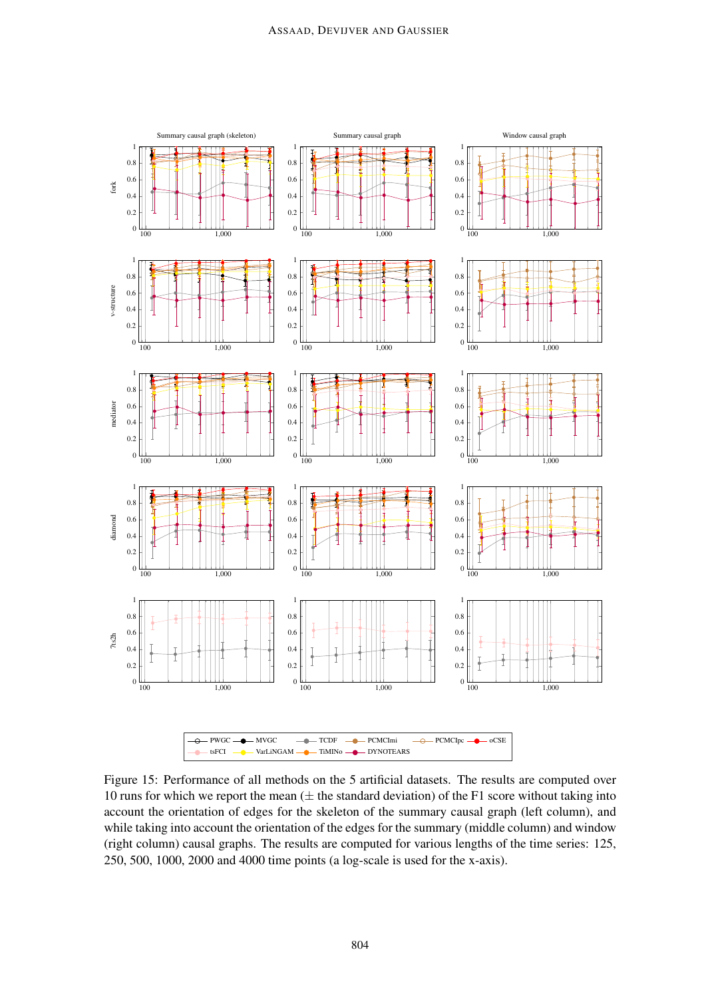

Figure 15: Performance of all methods on the 5 artificial datasets. The results are computed over 10 runs for which we report the mean  $(±$  the standard deviation) of the F1 score without taking into account the orientation of edges for the skeleton of the summary causal graph (left column), and while taking into account the orientation of the edges for the summary (middle column) and window (right column) causal graphs. The results are computed for various lengths of the time series: 125, 250, 500, 1000, 2000 and 4000 time points (a log-scale is used for the x-axis).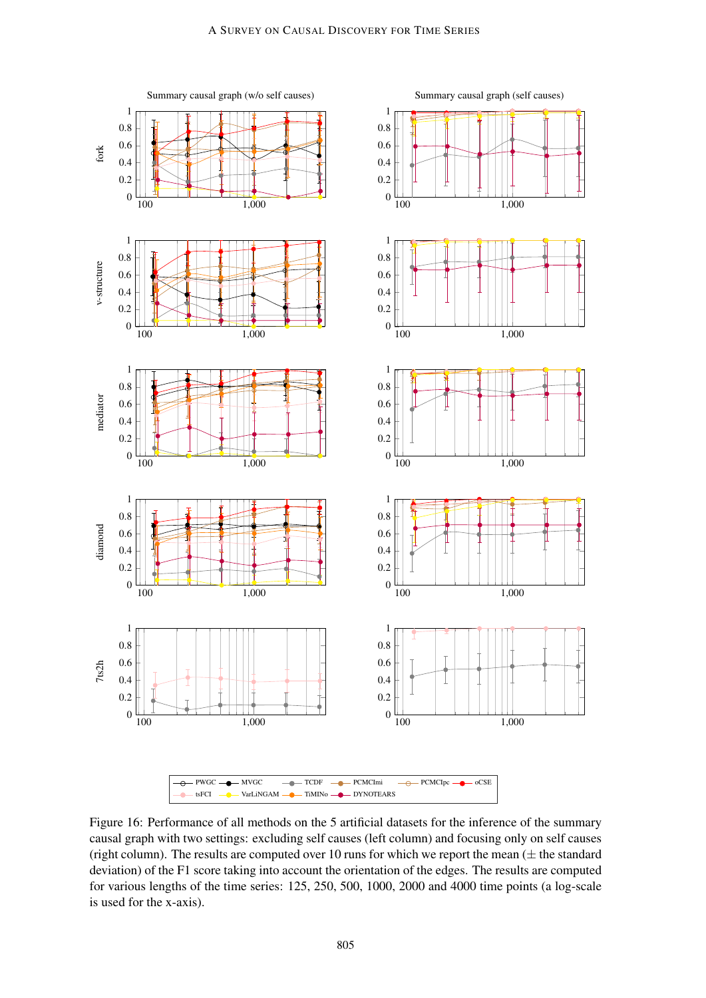

Figure 16: Performance of all methods on the 5 artificial datasets for the inference of the summary causal graph with two settings: excluding self causes (left column) and focusing only on self causes (right column). The results are computed over 10 runs for which we report the mean  $(\pm$  the standard deviation) of the F1 score taking into account the orientation of the edges. The results are computed for various lengths of the time series: 125, 250, 500, 1000, 2000 and 4000 time points (a log-scale is used for the x-axis).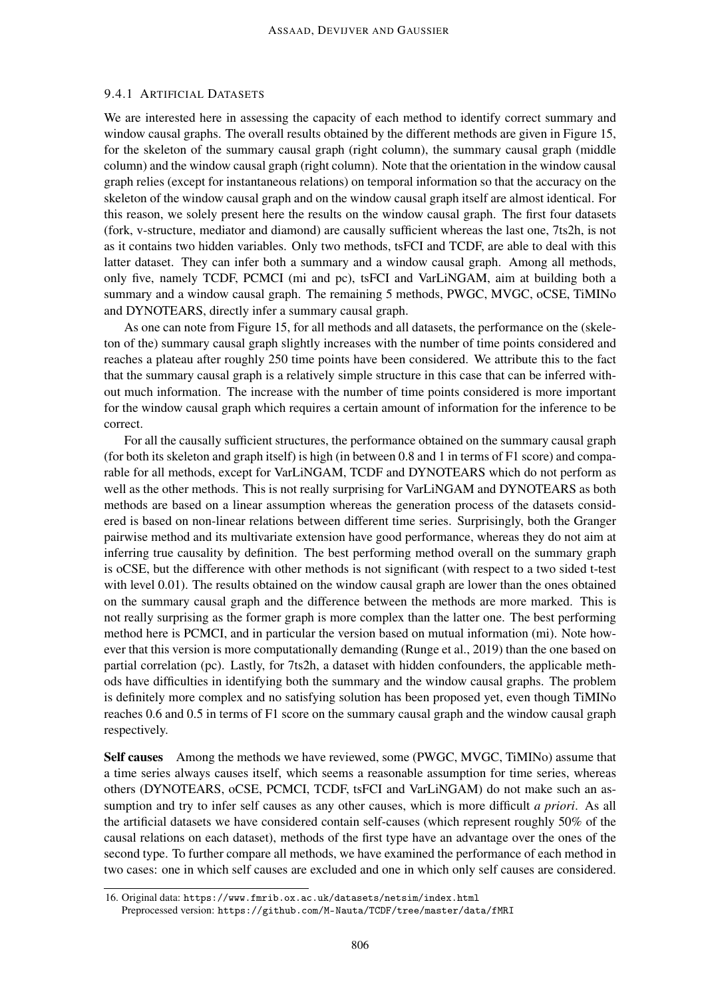# 9.4.1 ARTIFICIAL DATASETS

We are interested here in assessing the capacity of each method to identify correct summary and window causal graphs. The overall results obtained by the different methods are given in Figure 15, for the skeleton of the summary causal graph (right column), the summary causal graph (middle column) and the window causal graph (right column). Note that the orientation in the window causal graph relies (except for instantaneous relations) on temporal information so that the accuracy on the skeleton of the window causal graph and on the window causal graph itself are almost identical. For this reason, we solely present here the results on the window causal graph. The first four datasets (fork, v-structure, mediator and diamond) are causally sufficient whereas the last one, 7ts2h, is not as it contains two hidden variables. Only two methods, tsFCI and TCDF, are able to deal with this latter dataset. They can infer both a summary and a window causal graph. Among all methods, only five, namely TCDF, PCMCI (mi and pc), tsFCI and VarLiNGAM, aim at building both a summary and a window causal graph. The remaining 5 methods, PWGC, MVGC, oCSE, TiMINo and DYNOTEARS, directly infer a summary causal graph.

As one can note from Figure 15, for all methods and all datasets, the performance on the (skeleton of the) summary causal graph slightly increases with the number of time points considered and reaches a plateau after roughly 250 time points have been considered. We attribute this to the fact that the summary causal graph is a relatively simple structure in this case that can be inferred without much information. The increase with the number of time points considered is more important for the window causal graph which requires a certain amount of information for the inference to be correct.

For all the causally sufficient structures, the performance obtained on the summary causal graph (for both its skeleton and graph itself) is high (in between 0.8 and 1 in terms of F1 score) and comparable for all methods, except for VarLiNGAM, TCDF and DYNOTEARS which do not perform as well as the other methods. This is not really surprising for VarLiNGAM and DYNOTEARS as both methods are based on a linear assumption whereas the generation process of the datasets considered is based on non-linear relations between different time series. Surprisingly, both the Granger pairwise method and its multivariate extension have good performance, whereas they do not aim at inferring true causality by definition. The best performing method overall on the summary graph is oCSE, but the difference with other methods is not significant (with respect to a two sided t-test with level 0.01). The results obtained on the window causal graph are lower than the ones obtained on the summary causal graph and the difference between the methods are more marked. This is not really surprising as the former graph is more complex than the latter one. The best performing method here is PCMCI, and in particular the version based on mutual information (mi). Note however that this version is more computationally demanding (Runge et al., 2019) than the one based on partial correlation (pc). Lastly, for 7ts2h, a dataset with hidden confounders, the applicable methods have difficulties in identifying both the summary and the window causal graphs. The problem is definitely more complex and no satisfying solution has been proposed yet, even though TiMINo reaches 0.6 and 0.5 in terms of F1 score on the summary causal graph and the window causal graph respectively.

Self causes Among the methods we have reviewed, some (PWGC, MVGC, TiMINo) assume that a time series always causes itself, which seems a reasonable assumption for time series, whereas others (DYNOTEARS, oCSE, PCMCI, TCDF, tsFCI and VarLiNGAM) do not make such an assumption and try to infer self causes as any other causes, which is more difficult *a priori*. As all the artificial datasets we have considered contain self-causes (which represent roughly 50% of the causal relations on each dataset), methods of the first type have an advantage over the ones of the second type. To further compare all methods, we have examined the performance of each method in two cases: one in which self causes are excluded and one in which only self causes are considered.

<sup>16.</sup> Original data: https://www.fmrib.ox.ac.uk/datasets/netsim/index.html

Preprocessed version: https://github.com/M-Nauta/TCDF/tree/master/data/fMRI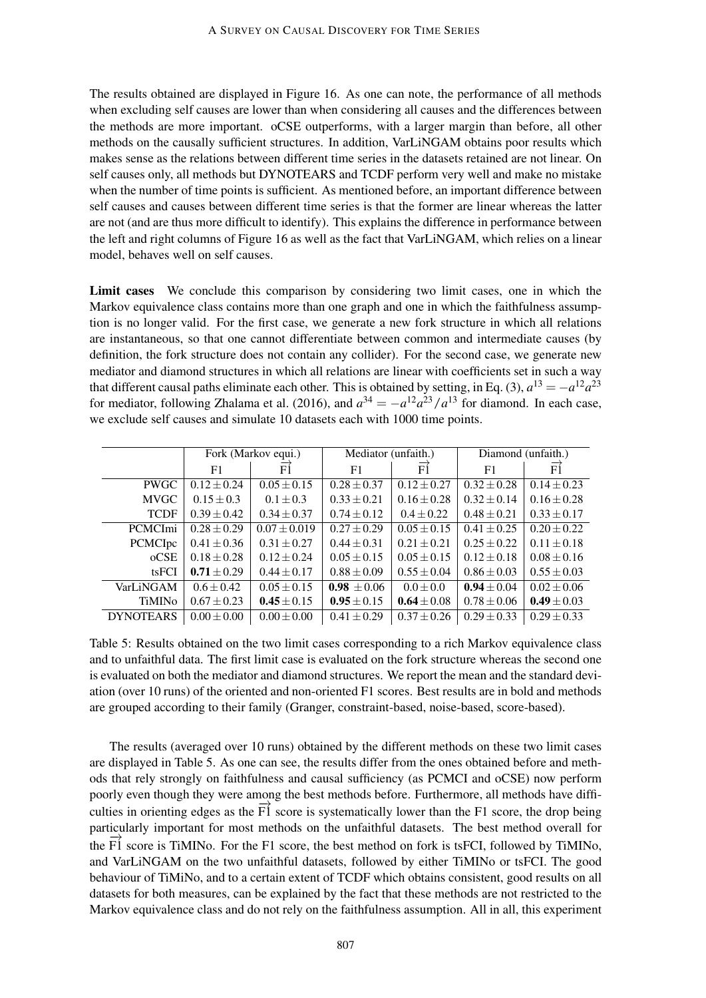The results obtained are displayed in Figure 16. As one can note, the performance of all methods when excluding self causes are lower than when considering all causes and the differences between the methods are more important. oCSE outperforms, with a larger margin than before, all other methods on the causally sufficient structures. In addition, VarLiNGAM obtains poor results which makes sense as the relations between different time series in the datasets retained are not linear. On self causes only, all methods but DYNOTEARS and TCDF perform very well and make no mistake when the number of time points is sufficient. As mentioned before, an important difference between self causes and causes between different time series is that the former are linear whereas the latter are not (and are thus more difficult to identify). This explains the difference in performance between the left and right columns of Figure 16 as well as the fact that VarLiNGAM, which relies on a linear model, behaves well on self causes.

Limit cases We conclude this comparison by considering two limit cases, one in which the Markov equivalence class contains more than one graph and one in which the faithfulness assumption is no longer valid. For the first case, we generate a new fork structure in which all relations are instantaneous, so that one cannot differentiate between common and intermediate causes (by definition, the fork structure does not contain any collider). For the second case, we generate new mediator and diamond structures in which all relations are linear with coefficients set in such a way that different causal paths eliminate each other. This is obtained by setting, in Eq. (3),  $a^{13} = -a^{12}a^{23}$ for mediator, following Zhalama et al. (2016), and  $a^{34} = -a^{12}a^{23}/a^{13}$  for diamond. In each case, we exclude self causes and simulate 10 datasets each with 1000 time points.

|                  | Fork (Markov equi.) |                  | Mediator (unfaith.) |                       | Diamond (unfaith.) |                 |  |
|------------------|---------------------|------------------|---------------------|-----------------------|--------------------|-----------------|--|
|                  | F1                  | FÍ               | F1                  | $\overrightarrow{F1}$ | F1                 | $\overline{F1}$ |  |
| <b>PWGC</b>      | $0.12 \pm 0.24$     | $0.05 \pm 0.15$  | $0.28 + 0.37$       | $0.12 \pm 0.27$       | $0.32 \pm 0.28$    | $0.14 \pm 0.23$ |  |
| <b>MVGC</b>      | $0.15 \pm 0.3$      | $0.1 + 0.3$      | $0.33 \pm 0.21$     | $0.16 \pm 0.28$       | $0.32 \pm 0.14$    | $0.16 \pm 0.28$ |  |
| <b>TCDF</b>      | $0.39 \pm 0.42$     | $0.34 \pm 0.37$  | $0.74 \pm 0.12$     | $0.4 + 0.22$          | $0.48 \pm 0.21$    | $0.33 \pm 0.17$ |  |
| <b>PCMCImi</b>   | $0.28 + 0.29$       | $0.07 \pm 0.019$ | $0.27 \pm 0.29$     | $0.05 \pm 0.15$       | $0.41 \pm 0.25$    | $0.20 \pm 0.22$ |  |
| PCMCIpc          | $0.41 \pm 0.36$     | $0.31 \pm 0.27$  | $0.44 \pm 0.31$     | $0.21 \pm 0.21$       | $0.25 + 0.22$      | $0.11 \pm 0.18$ |  |
| ocSE             | $0.18 \pm 0.28$     | $0.12 \pm 0.24$  | $0.05 \pm 0.15$     | $0.05 \pm 0.15$       | $0.12 \pm 0.18$    | $0.08 \pm 0.16$ |  |
| tsFCI            | $0.71 \pm 0.29$     | $0.44 \pm 0.17$  | $0.88 \pm 0.09$     | $0.55 \pm 0.04$       | $0.86 \pm 0.03$    | $0.55 \pm 0.03$ |  |
| VarLiNGAM        | $0.6 \pm 0.42$      | $0.05 \pm 0.15$  | $0.98 \pm 0.06$     | $0.0 \pm 0.0$         | $0.94 \pm 0.04$    | $0.02 \pm 0.06$ |  |
| <b>TiMINo</b>    | $0.67 \pm 0.23$     | $0.45 \pm 0.15$  | $0.95 \pm 0.15$     | $0.64 \pm 0.08$       | $0.78 \pm 0.06$    | $0.49 \pm 0.03$ |  |
| <b>DYNOTEARS</b> | $0.00 \pm 0.00$     | $0.00 \pm 0.00$  | $0.41 \pm 0.29$     | $0.37 \pm 0.26$       | $0.29 \pm 0.33$    | $0.29 + 0.33$   |  |

Table 5: Results obtained on the two limit cases corresponding to a rich Markov equivalence class and to unfaithful data. The first limit case is evaluated on the fork structure whereas the second one is evaluated on both the mediator and diamond structures. We report the mean and the standard deviation (over 10 runs) of the oriented and non-oriented F1 scores. Best results are in bold and methods are grouped according to their family (Granger, constraint-based, noise-based, score-based).

The results (averaged over 10 runs) obtained by the different methods on these two limit cases are displayed in Table 5. As one can see, the results differ from the ones obtained before and methods that rely strongly on faithfulness and causal sufficiency (as PCMCI and oCSE) now perform poorly even though they were among the best methods before. Furthermore, all methods have difficulties in orienting edges as the  $\overrightarrow{FI}$  score is systematically lower than the F1 score, the drop being particularly important for most methods on the unfaithful datasets. The best method overall for the  $F_1$  score is TiMINo. For the F1 score, the best method on fork is tsFCI, followed by TiMINo, and VarLiNGAM on the two unfaithful datasets, followed by either TiMINo or tsFCI. The good behaviour of TiMiNo, and to a certain extent of TCDF which obtains consistent, good results on all datasets for both measures, can be explained by the fact that these methods are not restricted to the Markov equivalence class and do not rely on the faithfulness assumption. All in all, this experiment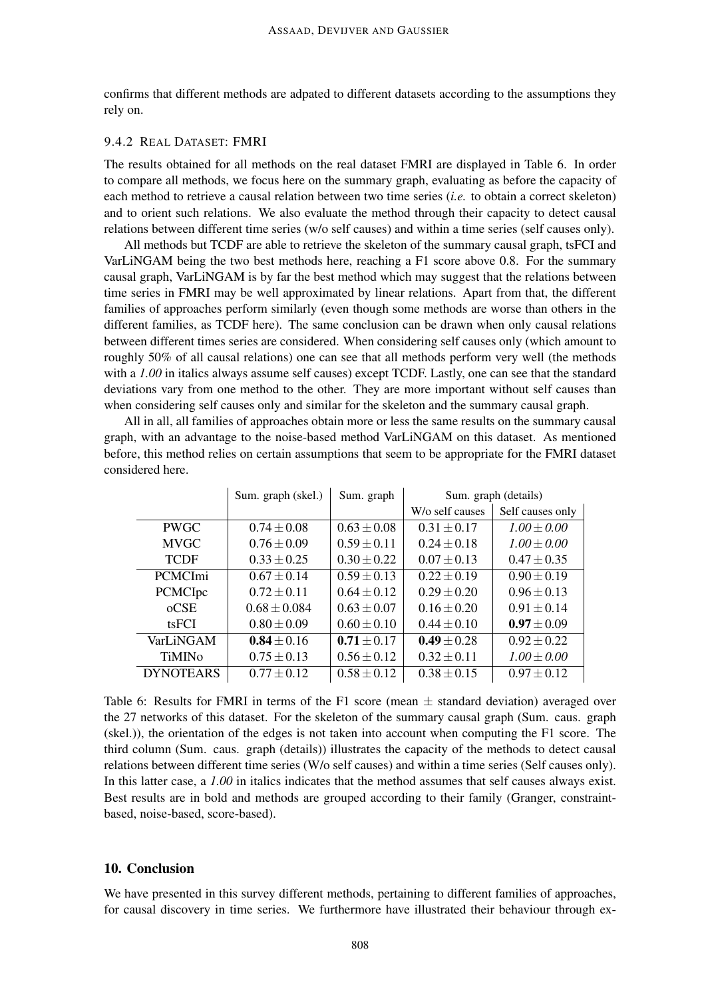confirms that different methods are adpated to different datasets according to the assumptions they rely on.

### 9.4.2 REAL DATASET: FMRI

The results obtained for all methods on the real dataset FMRI are displayed in Table 6. In order to compare all methods, we focus here on the summary graph, evaluating as before the capacity of each method to retrieve a causal relation between two time series (*i.e.* to obtain a correct skeleton) and to orient such relations. We also evaluate the method through their capacity to detect causal relations between different time series (w/o self causes) and within a time series (self causes only).

All methods but TCDF are able to retrieve the skeleton of the summary causal graph, tsFCI and VarLiNGAM being the two best methods here, reaching a F1 score above 0.8. For the summary causal graph, VarLiNGAM is by far the best method which may suggest that the relations between time series in FMRI may be well approximated by linear relations. Apart from that, the different families of approaches perform similarly (even though some methods are worse than others in the different families, as TCDF here). The same conclusion can be drawn when only causal relations between different times series are considered. When considering self causes only (which amount to roughly 50% of all causal relations) one can see that all methods perform very well (the methods with a 1.00 in italics always assume self causes) except TCDF. Lastly, one can see that the standard deviations vary from one method to the other. They are more important without self causes than when considering self causes only and similar for the skeleton and the summary causal graph.

All in all, all families of approaches obtain more or less the same results on the summary causal graph, with an advantage to the noise-based method VarLiNGAM on this dataset. As mentioned before, this method relies on certain assumptions that seem to be appropriate for the FMRI dataset considered here.

|                  | Sum. graph (skel.) | Sum. graph      | Sum. graph (details) |                  |  |
|------------------|--------------------|-----------------|----------------------|------------------|--|
|                  |                    |                 | W/o self causes      | Self causes only |  |
| <b>PWGC</b>      | $0.74 \pm 0.08$    | $0.63 \pm 0.08$ | $0.31 \pm 0.17$      | $1.00 \pm 0.00$  |  |
| <b>MVGC</b>      | $0.76 \pm 0.09$    | $0.59 \pm 0.11$ | $0.24 \pm 0.18$      | $1.00 \pm 0.00$  |  |
| <b>TCDF</b>      | $0.33 \pm 0.25$    | $0.30 \pm 0.22$ | $0.07 \pm 0.13$      | $0.47 \pm 0.35$  |  |
| <b>PCMCImi</b>   | $0.67 \pm 0.14$    | $0.59 \pm 0.13$ | $0.22 \pm 0.19$      | $0.90 \pm 0.19$  |  |
| <b>PCMCIpc</b>   | $0.72 \pm 0.11$    | $0.64 + 0.12$   | $0.29 \pm 0.20$      | $0.96 \pm 0.13$  |  |
| ocSE             | $0.68 \pm 0.084$   | $0.63 \pm 0.07$ | $0.16 \pm 0.20$      | $0.91 \pm 0.14$  |  |
| tsFCI            | $0.80 \pm 0.09$    | $0.60 \pm 0.10$ | $0.44 \pm 0.10$      | $0.97 \pm 0.09$  |  |
| VarLiNGAM        | $0.84 \pm 0.16$    | $0.71 \pm 0.17$ | $0.49 \pm 0.28$      | $0.92 \pm 0.22$  |  |
| <b>TiMINO</b>    | $0.75 \pm 0.13$    | $0.56 \pm 0.12$ | $0.32 \pm 0.11$      | $1.00 \pm 0.00$  |  |
| <b>DYNOTEARS</b> | $0.77 \pm 0.12$    | $0.58 \pm 0.12$ | $0.38 \pm 0.15$      | $0.97 \pm 0.12$  |  |

Table 6: Results for FMRI in terms of the F1 score (mean  $\pm$  standard deviation) averaged over the 27 networks of this dataset. For the skeleton of the summary causal graph (Sum. caus. graph (skel.)), the orientation of the edges is not taken into account when computing the F1 score. The third column (Sum. caus. graph (details)) illustrates the capacity of the methods to detect causal relations between different time series (W/o self causes) and within a time series (Self causes only). In this latter case, a *1.00* in italics indicates that the method assumes that self causes always exist. Best results are in bold and methods are grouped according to their family (Granger, constraintbased, noise-based, score-based).

### 10. Conclusion

We have presented in this survey different methods, pertaining to different families of approaches, for causal discovery in time series. We furthermore have illustrated their behaviour through ex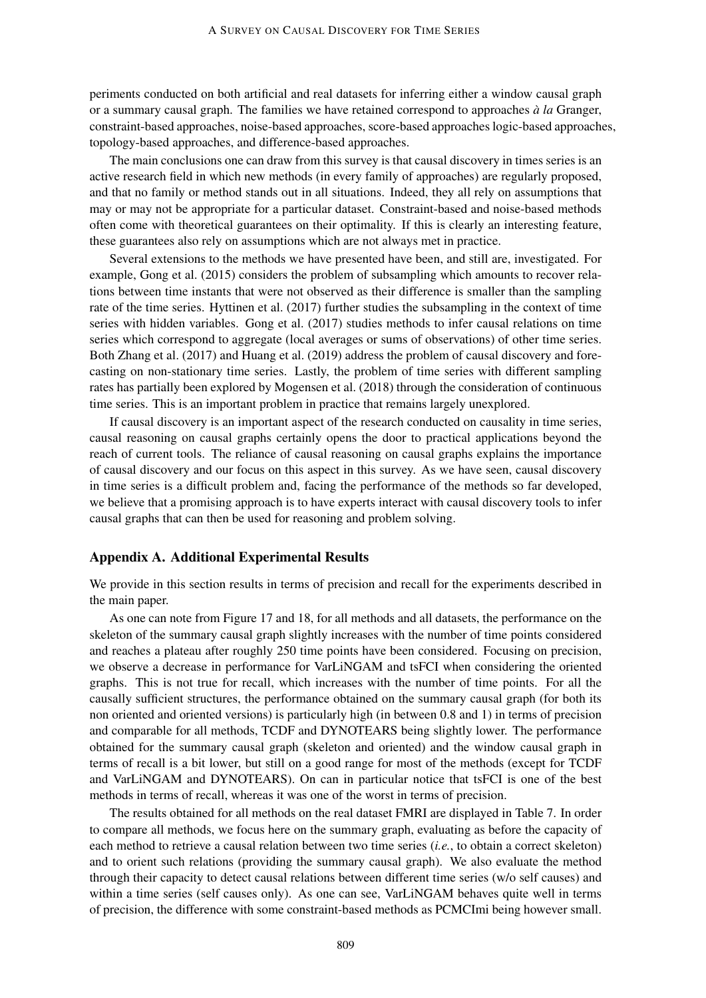periments conducted on both artificial and real datasets for inferring either a window causal graph or a summary causal graph. The families we have retained correspond to approaches *à la* Granger, constraint-based approaches, noise-based approaches, score-based approaches logic-based approaches, topology-based approaches, and difference-based approaches.

The main conclusions one can draw from this survey is that causal discovery in times series is an active research field in which new methods (in every family of approaches) are regularly proposed, and that no family or method stands out in all situations. Indeed, they all rely on assumptions that may or may not be appropriate for a particular dataset. Constraint-based and noise-based methods often come with theoretical guarantees on their optimality. If this is clearly an interesting feature, these guarantees also rely on assumptions which are not always met in practice.

Several extensions to the methods we have presented have been, and still are, investigated. For example, Gong et al. (2015) considers the problem of subsampling which amounts to recover relations between time instants that were not observed as their difference is smaller than the sampling rate of the time series. Hyttinen et al. (2017) further studies the subsampling in the context of time series with hidden variables. Gong et al. (2017) studies methods to infer causal relations on time series which correspond to aggregate (local averages or sums of observations) of other time series. Both Zhang et al. (2017) and Huang et al. (2019) address the problem of causal discovery and forecasting on non-stationary time series. Lastly, the problem of time series with different sampling rates has partially been explored by Mogensen et al. (2018) through the consideration of continuous time series. This is an important problem in practice that remains largely unexplored.

If causal discovery is an important aspect of the research conducted on causality in time series, causal reasoning on causal graphs certainly opens the door to practical applications beyond the reach of current tools. The reliance of causal reasoning on causal graphs explains the importance of causal discovery and our focus on this aspect in this survey. As we have seen, causal discovery in time series is a difficult problem and, facing the performance of the methods so far developed, we believe that a promising approach is to have experts interact with causal discovery tools to infer causal graphs that can then be used for reasoning and problem solving.

### Appendix A. Additional Experimental Results

We provide in this section results in terms of precision and recall for the experiments described in the main paper.

As one can note from Figure 17 and 18, for all methods and all datasets, the performance on the skeleton of the summary causal graph slightly increases with the number of time points considered and reaches a plateau after roughly 250 time points have been considered. Focusing on precision, we observe a decrease in performance for VarLiNGAM and tsFCI when considering the oriented graphs. This is not true for recall, which increases with the number of time points. For all the causally sufficient structures, the performance obtained on the summary causal graph (for both its non oriented and oriented versions) is particularly high (in between 0.8 and 1) in terms of precision and comparable for all methods, TCDF and DYNOTEARS being slightly lower. The performance obtained for the summary causal graph (skeleton and oriented) and the window causal graph in terms of recall is a bit lower, but still on a good range for most of the methods (except for TCDF and VarLiNGAM and DYNOTEARS). On can in particular notice that tsFCI is one of the best methods in terms of recall, whereas it was one of the worst in terms of precision.

The results obtained for all methods on the real dataset FMRI are displayed in Table 7. In order to compare all methods, we focus here on the summary graph, evaluating as before the capacity of each method to retrieve a causal relation between two time series (*i.e.*, to obtain a correct skeleton) and to orient such relations (providing the summary causal graph). We also evaluate the method through their capacity to detect causal relations between different time series (w/o self causes) and within a time series (self causes only). As one can see, VarLiNGAM behaves quite well in terms of precision, the difference with some constraint-based methods as PCMCImi being however small.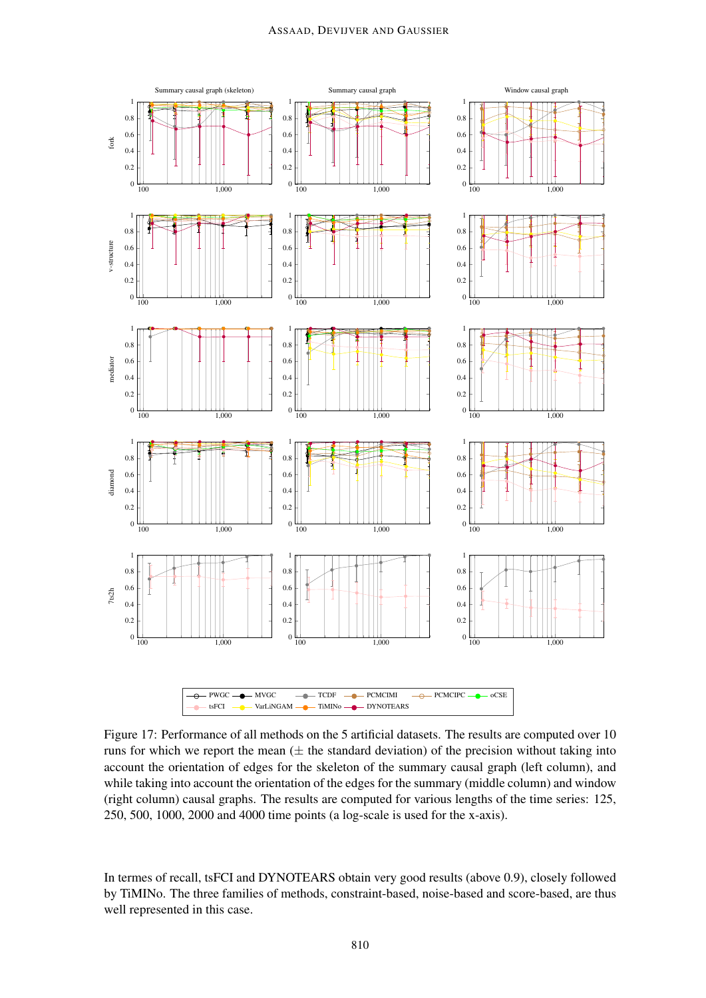

Figure 17: Performance of all methods on the 5 artificial datasets. The results are computed over 10 runs for which we report the mean  $(\pm$  the standard deviation) of the precision without taking into account the orientation of edges for the skeleton of the summary causal graph (left column), and while taking into account the orientation of the edges for the summary (middle column) and window (right column) causal graphs. The results are computed for various lengths of the time series: 125, 250, 500, 1000, 2000 and 4000 time points (a log-scale is used for the x-axis).

In termes of recall, tsFCI and DYNOTEARS obtain very good results (above 0.9), closely followed by TiMINo. The three families of methods, constraint-based, noise-based and score-based, are thus well represented in this case.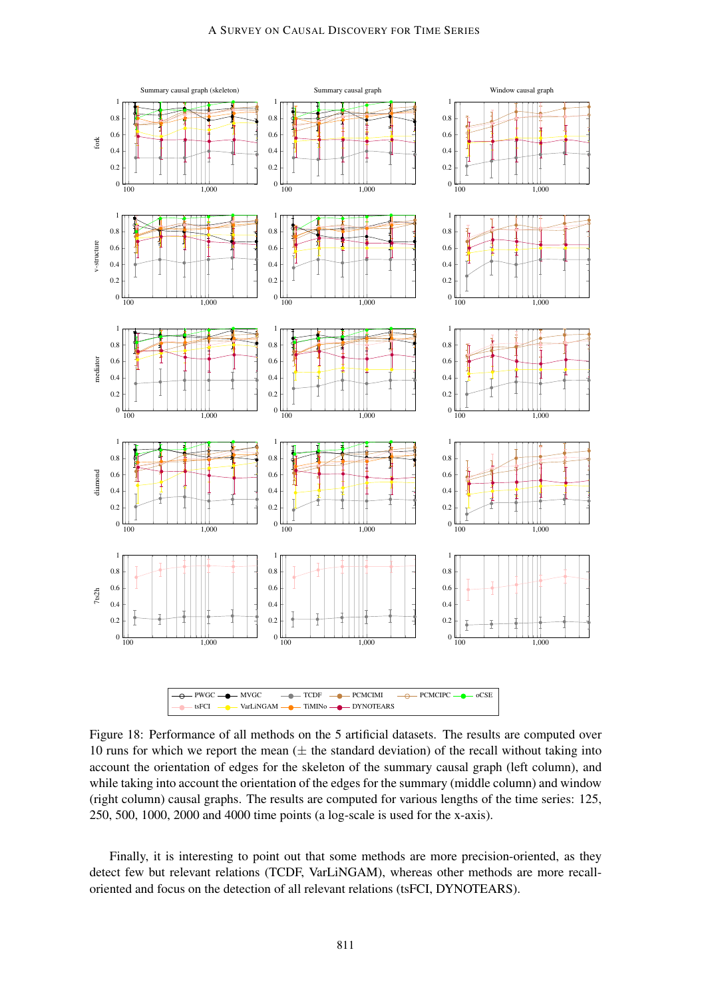

Figure 18: Performance of all methods on the 5 artificial datasets. The results are computed over 10 runs for which we report the mean  $(\pm$  the standard deviation) of the recall without taking into account the orientation of edges for the skeleton of the summary causal graph (left column), and while taking into account the orientation of the edges for the summary (middle column) and window (right column) causal graphs. The results are computed for various lengths of the time series: 125, 250, 500, 1000, 2000 and 4000 time points (a log-scale is used for the x-axis).

Finally, it is interesting to point out that some methods are more precision-oriented, as they detect few but relevant relations (TCDF, VarLiNGAM), whereas other methods are more recalloriented and focus on the detection of all relevant relations (tsFCI, DYNOTEARS).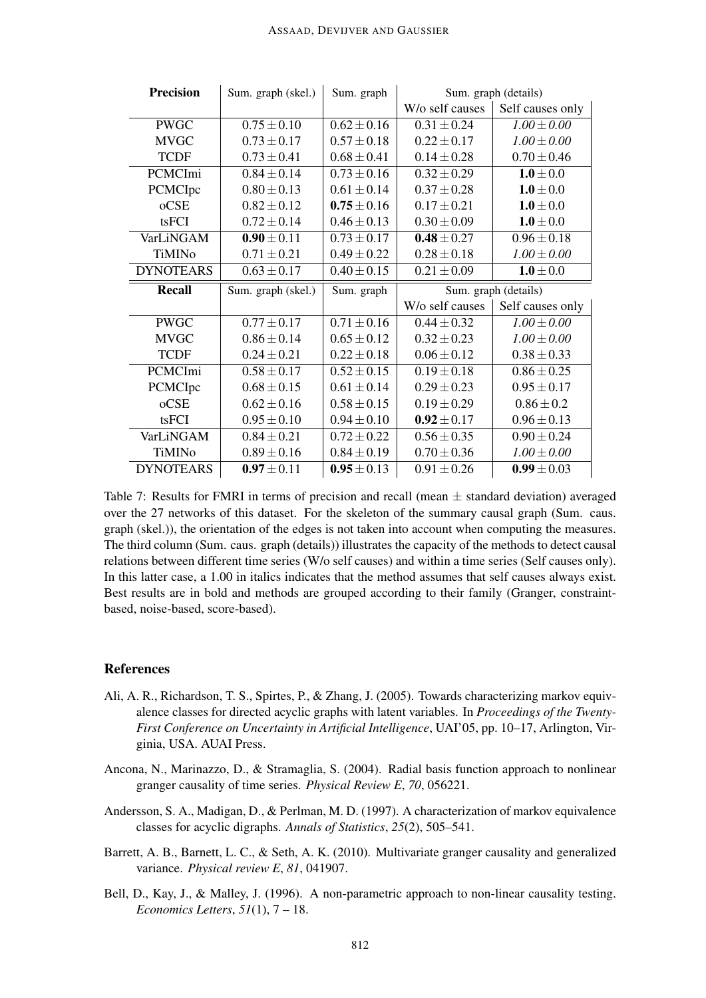| <b>Precision</b> | Sum. graph (skel.) | Sum. graph      | Sum. graph (details) |                      |  |
|------------------|--------------------|-----------------|----------------------|----------------------|--|
|                  |                    |                 | W/o self causes      | Self causes only     |  |
| <b>PWGC</b>      | $0.75 \pm 0.10$    | $0.62 \pm 0.16$ | $0.31 \pm 0.24$      | $1.00 \pm 0.00$      |  |
| <b>MVGC</b>      | $0.73 \pm 0.17$    | $0.57 \pm 0.18$ | $0.22 \pm 0.17$      | $1.00 \pm 0.00$      |  |
| <b>TCDF</b>      | $0.73 \pm 0.41$    | $0.68 \pm 0.41$ | $0.14 \pm 0.28$      | $0.70 \pm 0.46$      |  |
| PCMCImi          | $0.84 \pm 0.14$    | $0.73 \pm 0.16$ | $0.32 \pm 0.29$      | $1.0\pm0.0$          |  |
| PCMCIpc          | $0.80 \pm 0.13$    | $0.61 \pm 0.14$ | $0.37 \pm 0.28$      | $1.0\pm0.0$          |  |
| oCSE             | $0.82 \pm 0.12$    | $0.75 \pm 0.16$ | $0.17 \pm 0.21$      | $1.0\pm0.0$          |  |
| tsFCI            | $0.72 \pm 0.14$    | $0.46 \pm 0.13$ | $0.30 \pm 0.09$      | $1.0 \pm 0.0$        |  |
| VarLiNGAM        | $0.90 \pm 0.11$    | $0.73 \pm 0.17$ | $0.48 \pm 0.27$      | $0.96 \pm 0.18$      |  |
| <b>TiMINo</b>    | $0.71 \pm 0.21$    | $0.49 \pm 0.22$ | $0.28 \pm 0.18$      | $1.00 \pm 0.00$      |  |
| <b>DYNOTEARS</b> | $0.63 \pm 0.17$    | $0.40 \pm 0.15$ | $0.21 \pm 0.09$      | $1.0\pm0.0$          |  |
|                  |                    |                 |                      |                      |  |
| <b>Recall</b>    | Sum. graph (skel.) | Sum. graph      |                      | Sum. graph (details) |  |
|                  |                    |                 | W/o self causes      | Self causes only     |  |
| <b>PWGC</b>      | $0.77 \pm 0.17$    | $0.71 \pm 0.16$ | $0.44 \pm 0.32$      | $1.00 \pm 0.00$      |  |
| <b>MVGC</b>      | $0.86 \pm 0.14$    | $0.65 \pm 0.12$ | $0.32 \pm 0.23$      | $1.00 \pm 0.00$      |  |
| <b>TCDF</b>      | $0.24 \pm 0.21$    | $0.22 \pm 0.18$ | $0.06 \pm 0.12$      | $0.38 \pm 0.33$      |  |
| PCMCImi          | $0.58 \pm 0.17$    | $0.52 \pm 0.15$ | $0.19 \pm 0.18$      | $0.86 \pm 0.25$      |  |
| PCMCIpc          | $0.68 \pm 0.15$    | $0.61 \pm 0.14$ | $0.29 \pm 0.23$      | $0.95 \pm 0.17$      |  |
| oCSE             | $0.62 \pm 0.16$    | $0.58 \pm 0.15$ | $0.19 \pm 0.29$      | $0.86 \pm 0.2$       |  |
| tsFCI            | $0.95 \pm 0.10$    | $0.94 \pm 0.10$ | $0.92 \pm 0.17$      | $0.96 \pm 0.13$      |  |
| VarLiNGAM        | $0.84 \pm 0.21$    | $0.72 \pm 0.22$ | $0.56 \pm 0.35$      | $0.90 \pm 0.24$      |  |
| TiMINo           | $0.89 \pm 0.16$    | $0.84 \pm 0.19$ | $0.70 \pm 0.36$      | $1.00 \pm 0.00$      |  |

Table 7: Results for FMRI in terms of precision and recall (mean  $\pm$  standard deviation) averaged over the 27 networks of this dataset. For the skeleton of the summary causal graph (Sum. caus. graph (skel.)), the orientation of the edges is not taken into account when computing the measures. The third column (Sum. caus. graph (details)) illustrates the capacity of the methods to detect causal relations between different time series (W/o self causes) and within a time series (Self causes only). In this latter case, a 1.00 in italics indicates that the method assumes that self causes always exist. Best results are in bold and methods are grouped according to their family (Granger, constraintbased, noise-based, score-based).

# References

- Ali, A. R., Richardson, T. S., Spirtes, P., & Zhang, J. (2005). Towards characterizing markov equivalence classes for directed acyclic graphs with latent variables. In *Proceedings of the Twenty-First Conference on Uncertainty in Artificial Intelligence*, UAI'05, pp. 10–17, Arlington, Virginia, USA. AUAI Press.
- Ancona, N., Marinazzo, D., & Stramaglia, S. (2004). Radial basis function approach to nonlinear granger causality of time series. *Physical Review E*, *70*, 056221.
- Andersson, S. A., Madigan, D., & Perlman, M. D. (1997). A characterization of markov equivalence classes for acyclic digraphs. *Annals of Statistics*, *25*(2), 505–541.
- Barrett, A. B., Barnett, L. C., & Seth, A. K. (2010). Multivariate granger causality and generalized variance. *Physical review E*, *81*, 041907.
- Bell, D., Kay, J., & Malley, J. (1996). A non-parametric approach to non-linear causality testing. *Economics Letters*, *51*(1), 7 – 18.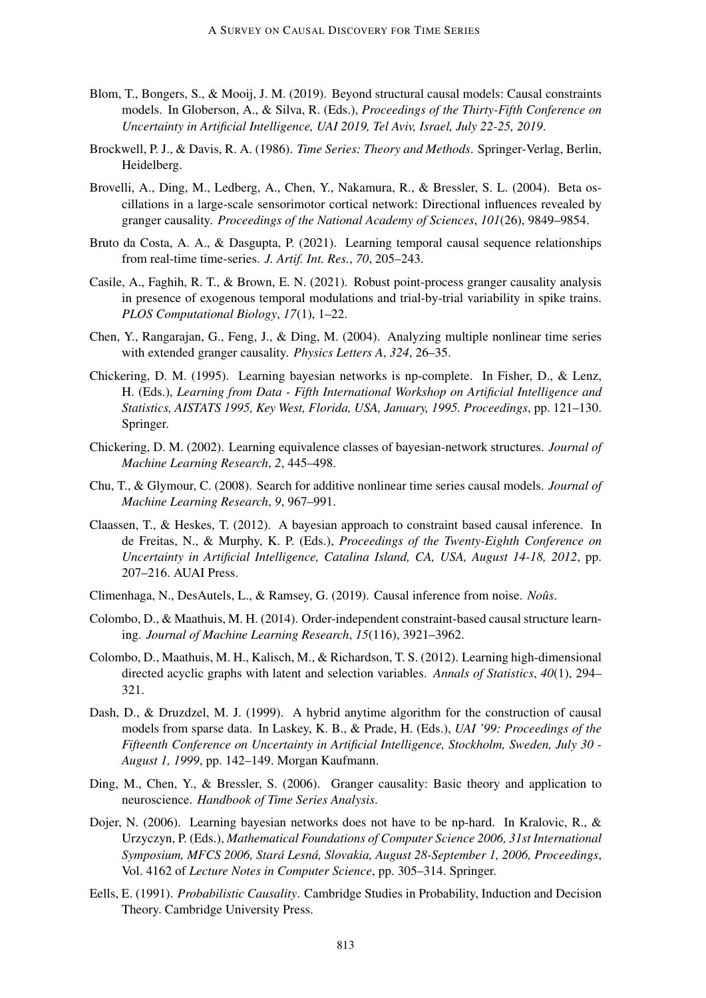- Blom, T., Bongers, S., & Mooij, J. M. (2019). Beyond structural causal models: Causal constraints models. In Globerson, A., & Silva, R. (Eds.), *Proceedings of the Thirty-Fifth Conference on Uncertainty in Artificial Intelligence, UAI 2019, Tel Aviv, Israel, July 22-25, 2019*.
- Brockwell, P. J., & Davis, R. A. (1986). *Time Series: Theory and Methods*. Springer-Verlag, Berlin, Heidelberg.
- Brovelli, A., Ding, M., Ledberg, A., Chen, Y., Nakamura, R., & Bressler, S. L. (2004). Beta oscillations in a large-scale sensorimotor cortical network: Directional influences revealed by granger causality. *Proceedings of the National Academy of Sciences*, *101*(26), 9849–9854.
- Bruto da Costa, A. A., & Dasgupta, P. (2021). Learning temporal causal sequence relationships from real-time time-series. *J. Artif. Int. Res.*, *70*, 205–243.
- Casile, A., Faghih, R. T., & Brown, E. N. (2021). Robust point-process granger causality analysis in presence of exogenous temporal modulations and trial-by-trial variability in spike trains. *PLOS Computational Biology*, *17*(1), 1–22.
- Chen, Y., Rangarajan, G., Feng, J., & Ding, M. (2004). Analyzing multiple nonlinear time series with extended granger causality. *Physics Letters A*, *324*, 26–35.
- Chickering, D. M. (1995). Learning bayesian networks is np-complete. In Fisher, D., & Lenz, H. (Eds.), *Learning from Data - Fifth International Workshop on Artificial Intelligence and Statistics, AISTATS 1995, Key West, Florida, USA, January, 1995. Proceedings*, pp. 121–130. Springer.
- Chickering, D. M. (2002). Learning equivalence classes of bayesian-network structures. *Journal of Machine Learning Research*, *2*, 445–498.
- Chu, T., & Glymour, C. (2008). Search for additive nonlinear time series causal models. *Journal of Machine Learning Research*, *9*, 967–991.
- Claassen, T., & Heskes, T. (2012). A bayesian approach to constraint based causal inference. In de Freitas, N., & Murphy, K. P. (Eds.), *Proceedings of the Twenty-Eighth Conference on Uncertainty in Artificial Intelligence, Catalina Island, CA, USA, August 14-18, 2012*, pp. 207–216. AUAI Press.
- Climenhaga, N., DesAutels, L., & Ramsey, G. (2019). Causal inference from noise. *Noûs*.
- Colombo, D., & Maathuis, M. H. (2014). Order-independent constraint-based causal structure learning. *Journal of Machine Learning Research*, *15*(116), 3921–3962.
- Colombo, D., Maathuis, M. H., Kalisch, M., & Richardson, T. S. (2012). Learning high-dimensional directed acyclic graphs with latent and selection variables. *Annals of Statistics*, *40*(1), 294– 321.
- Dash, D., & Druzdzel, M. J. (1999). A hybrid anytime algorithm for the construction of causal models from sparse data. In Laskey, K. B., & Prade, H. (Eds.), *UAI '99: Proceedings of the Fifteenth Conference on Uncertainty in Artificial Intelligence, Stockholm, Sweden, July 30 - August 1, 1999*, pp. 142–149. Morgan Kaufmann.
- Ding, M., Chen, Y., & Bressler, S. (2006). Granger causality: Basic theory and application to neuroscience. *Handbook of Time Series Analysis*.
- Dojer, N. (2006). Learning bayesian networks does not have to be np-hard. In Kralovic, R., & Urzyczyn, P. (Eds.), *Mathematical Foundations of Computer Science 2006, 31st International Symposium, MFCS 2006, Stará Lesná, Slovakia, August 28-September 1, 2006, Proceedings*, Vol. 4162 of *Lecture Notes in Computer Science*, pp. 305–314. Springer.
- Eells, E. (1991). *Probabilistic Causality*. Cambridge Studies in Probability, Induction and Decision Theory. Cambridge University Press.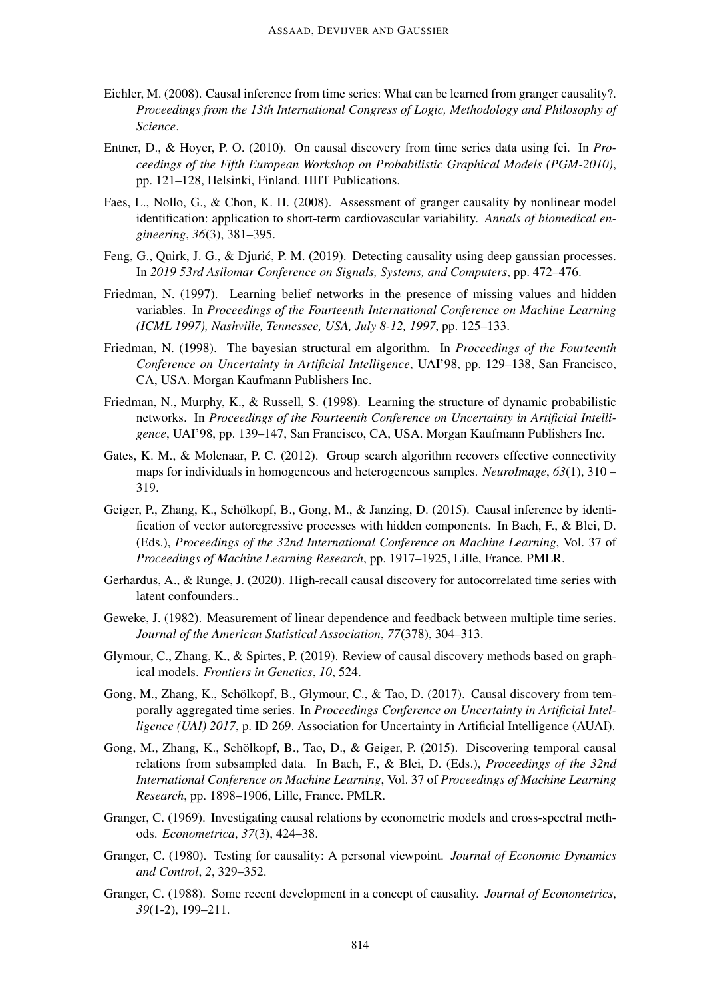- Eichler, M. (2008). Causal inference from time series: What can be learned from granger causality?. *Proceedings from the 13th International Congress of Logic, Methodology and Philosophy of Science*.
- Entner, D., & Hoyer, P. O. (2010). On causal discovery from time series data using fci. In *Proceedings of the Fifth European Workshop on Probabilistic Graphical Models (PGM-2010)*, pp. 121–128, Helsinki, Finland. HIIT Publications.
- Faes, L., Nollo, G., & Chon, K. H. (2008). Assessment of granger causality by nonlinear model identification: application to short-term cardiovascular variability. *Annals of biomedical engineering*, *36*(3), 381–395.
- Feng, G., Quirk, J. G., & Djuric, P. M. (2019). Detecting causality using deep gaussian processes. ´ In *2019 53rd Asilomar Conference on Signals, Systems, and Computers*, pp. 472–476.
- Friedman, N. (1997). Learning belief networks in the presence of missing values and hidden variables. In *Proceedings of the Fourteenth International Conference on Machine Learning (ICML 1997), Nashville, Tennessee, USA, July 8-12, 1997*, pp. 125–133.
- Friedman, N. (1998). The bayesian structural em algorithm. In *Proceedings of the Fourteenth Conference on Uncertainty in Artificial Intelligence*, UAI'98, pp. 129–138, San Francisco, CA, USA. Morgan Kaufmann Publishers Inc.
- Friedman, N., Murphy, K., & Russell, S. (1998). Learning the structure of dynamic probabilistic networks. In *Proceedings of the Fourteenth Conference on Uncertainty in Artificial Intelligence*, UAI'98, pp. 139–147, San Francisco, CA, USA. Morgan Kaufmann Publishers Inc.
- Gates, K. M., & Molenaar, P. C. (2012). Group search algorithm recovers effective connectivity maps for individuals in homogeneous and heterogeneous samples. *NeuroImage*, *63*(1), 310 – 319.
- Geiger, P., Zhang, K., Schölkopf, B., Gong, M., & Janzing, D. (2015). Causal inference by identification of vector autoregressive processes with hidden components. In Bach, F., & Blei, D. (Eds.), *Proceedings of the 32nd International Conference on Machine Learning*, Vol. 37 of *Proceedings of Machine Learning Research*, pp. 1917–1925, Lille, France. PMLR.
- Gerhardus, A., & Runge, J. (2020). High-recall causal discovery for autocorrelated time series with latent confounders..
- Geweke, J. (1982). Measurement of linear dependence and feedback between multiple time series. *Journal of the American Statistical Association*, *77*(378), 304–313.
- Glymour, C., Zhang, K., & Spirtes, P. (2019). Review of causal discovery methods based on graphical models. *Frontiers in Genetics*, *10*, 524.
- Gong, M., Zhang, K., Schölkopf, B., Glymour, C., & Tao, D. (2017). Causal discovery from temporally aggregated time series. In *Proceedings Conference on Uncertainty in Artificial Intelligence (UAI) 2017*, p. ID 269. Association for Uncertainty in Artificial Intelligence (AUAI).
- Gong, M., Zhang, K., Schölkopf, B., Tao, D., & Geiger, P. (2015). Discovering temporal causal relations from subsampled data. In Bach, F., & Blei, D. (Eds.), *Proceedings of the 32nd International Conference on Machine Learning*, Vol. 37 of *Proceedings of Machine Learning Research*, pp. 1898–1906, Lille, France. PMLR.
- Granger, C. (1969). Investigating causal relations by econometric models and cross-spectral methods. *Econometrica*, *37*(3), 424–38.
- Granger, C. (1980). Testing for causality: A personal viewpoint. *Journal of Economic Dynamics and Control*, *2*, 329–352.
- Granger, C. (1988). Some recent development in a concept of causality. *Journal of Econometrics*, *39*(1-2), 199–211.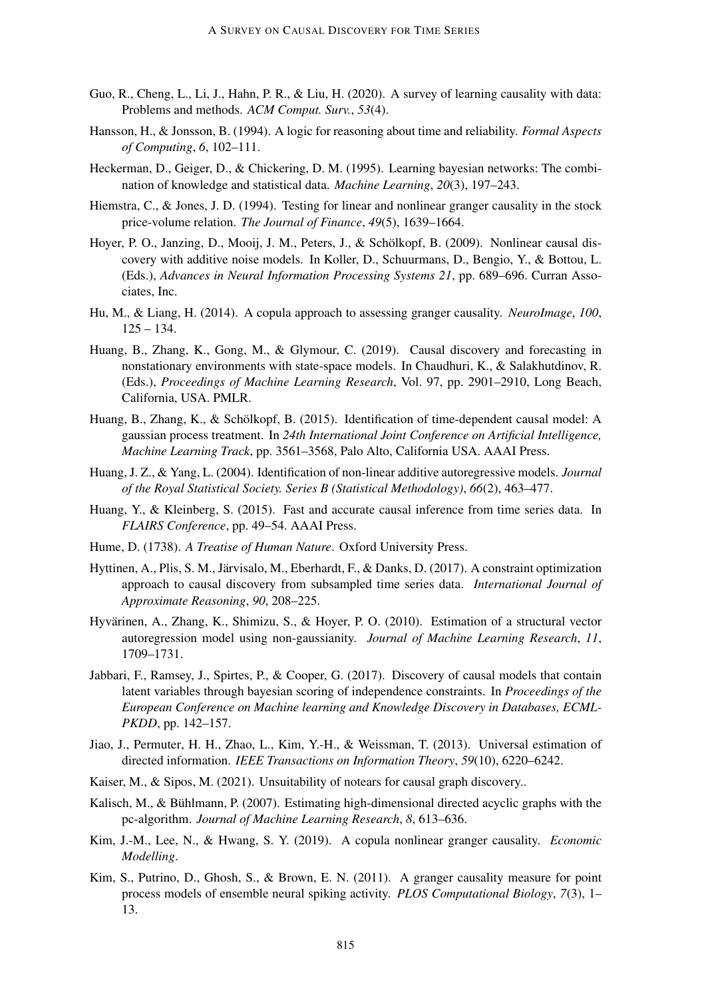- Guo, R., Cheng, L., Li, J., Hahn, P. R., & Liu, H. (2020). A survey of learning causality with data: Problems and methods. *ACM Comput. Surv.*, *53*(4).
- Hansson, H., & Jonsson, B. (1994). A logic for reasoning about time and reliability. *Formal Aspects of Computing*, *6*, 102–111.
- Heckerman, D., Geiger, D., & Chickering, D. M. (1995). Learning bayesian networks: The combination of knowledge and statistical data. *Machine Learning*, *20*(3), 197–243.
- Hiemstra, C., & Jones, J. D. (1994). Testing for linear and nonlinear granger causality in the stock price-volume relation. *The Journal of Finance*, *49*(5), 1639–1664.
- Hoyer, P. O., Janzing, D., Mooij, J. M., Peters, J., & Schölkopf, B. (2009). Nonlinear causal discovery with additive noise models. In Koller, D., Schuurmans, D., Bengio, Y., & Bottou, L. (Eds.), *Advances in Neural Information Processing Systems 21*, pp. 689–696. Curran Associates, Inc.
- Hu, M., & Liang, H. (2014). A copula approach to assessing granger causality. *NeuroImage*, *100*,  $125 - 134.$
- Huang, B., Zhang, K., Gong, M., & Glymour, C. (2019). Causal discovery and forecasting in nonstationary environments with state-space models. In Chaudhuri, K., & Salakhutdinov, R. (Eds.), *Proceedings of Machine Learning Research*, Vol. 97, pp. 2901–2910, Long Beach, California, USA. PMLR.
- Huang, B., Zhang, K., & Schölkopf, B. (2015). Identification of time-dependent causal model: A gaussian process treatment. In *24th International Joint Conference on Artificial Intelligence, Machine Learning Track*, pp. 3561–3568, Palo Alto, California USA. AAAI Press.
- Huang, J. Z., & Yang, L. (2004). Identification of non-linear additive autoregressive models. *Journal of the Royal Statistical Society. Series B (Statistical Methodology)*, *66*(2), 463–477.
- Huang, Y., & Kleinberg, S. (2015). Fast and accurate causal inference from time series data. In *FLAIRS Conference*, pp. 49–54. AAAI Press.
- Hume, D. (1738). *A Treatise of Human Nature*. Oxford University Press.
- Hyttinen, A., Plis, S. M., Järvisalo, M., Eberhardt, F., & Danks, D. (2017). A constraint optimization approach to causal discovery from subsampled time series data. *International Journal of Approximate Reasoning*, *90*, 208–225.
- Hyvärinen, A., Zhang, K., Shimizu, S., & Hoyer, P. O. (2010). Estimation of a structural vector autoregression model using non-gaussianity. *Journal of Machine Learning Research*, *11*, 1709–1731.
- Jabbari, F., Ramsey, J., Spirtes, P., & Cooper, G. (2017). Discovery of causal models that contain latent variables through bayesian scoring of independence constraints. In *Proceedings of the European Conference on Machine learning and Knowledge Discovery in Databases, ECML-PKDD*, pp. 142–157.
- Jiao, J., Permuter, H. H., Zhao, L., Kim, Y.-H., & Weissman, T. (2013). Universal estimation of directed information. *IEEE Transactions on Information Theory*, *59*(10), 6220–6242.
- Kaiser, M., & Sipos, M. (2021). Unsuitability of notears for causal graph discovery..
- Kalisch, M., & Bühlmann, P. (2007). Estimating high-dimensional directed acyclic graphs with the pc-algorithm. *Journal of Machine Learning Research*, *8*, 613–636.
- Kim, J.-M., Lee, N., & Hwang, S. Y. (2019). A copula nonlinear granger causality. *Economic Modelling*.
- Kim, S., Putrino, D., Ghosh, S., & Brown, E. N. (2011). A granger causality measure for point process models of ensemble neural spiking activity. *PLOS Computational Biology*, *7*(3), 1– 13.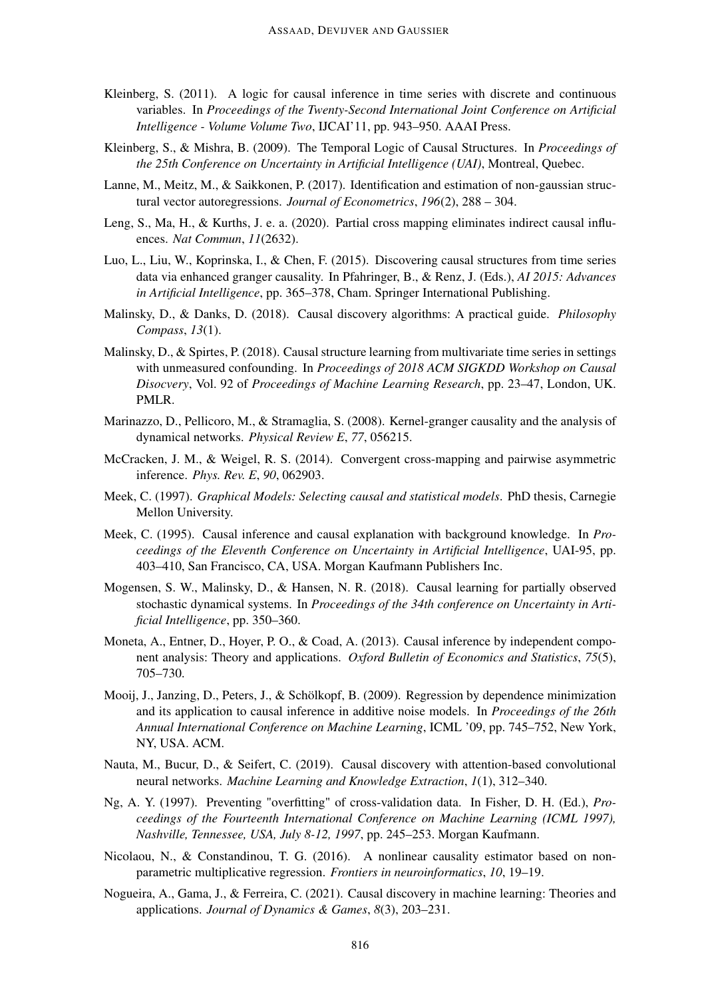- Kleinberg, S. (2011). A logic for causal inference in time series with discrete and continuous variables. In *Proceedings of the Twenty-Second International Joint Conference on Artificial Intelligence - Volume Volume Two*, IJCAI'11, pp. 943–950. AAAI Press.
- Kleinberg, S., & Mishra, B. (2009). The Temporal Logic of Causal Structures. In *Proceedings of the 25th Conference on Uncertainty in Artificial Intelligence (UAI)*, Montreal, Quebec.
- Lanne, M., Meitz, M., & Saikkonen, P. (2017). Identification and estimation of non-gaussian structural vector autoregressions. *Journal of Econometrics*, *196*(2), 288 – 304.
- Leng, S., Ma, H., & Kurths, J. e. a. (2020). Partial cross mapping eliminates indirect causal influences. *Nat Commun*, *11*(2632).
- Luo, L., Liu, W., Koprinska, I., & Chen, F. (2015). Discovering causal structures from time series data via enhanced granger causality. In Pfahringer, B., & Renz, J. (Eds.), *AI 2015: Advances in Artificial Intelligence*, pp. 365–378, Cham. Springer International Publishing.
- Malinsky, D., & Danks, D. (2018). Causal discovery algorithms: A practical guide. *Philosophy Compass*, *13*(1).
- Malinsky, D., & Spirtes, P. (2018). Causal structure learning from multivariate time series in settings with unmeasured confounding. In *Proceedings of 2018 ACM SIGKDD Workshop on Causal Disocvery*, Vol. 92 of *Proceedings of Machine Learning Research*, pp. 23–47, London, UK. PMLR.
- Marinazzo, D., Pellicoro, M., & Stramaglia, S. (2008). Kernel-granger causality and the analysis of dynamical networks. *Physical Review E*, *77*, 056215.
- McCracken, J. M., & Weigel, R. S. (2014). Convergent cross-mapping and pairwise asymmetric inference. *Phys. Rev. E*, *90*, 062903.
- Meek, C. (1997). *Graphical Models: Selecting causal and statistical models*. PhD thesis, Carnegie Mellon University.
- Meek, C. (1995). Causal inference and causal explanation with background knowledge. In *Proceedings of the Eleventh Conference on Uncertainty in Artificial Intelligence*, UAI-95, pp. 403–410, San Francisco, CA, USA. Morgan Kaufmann Publishers Inc.
- Mogensen, S. W., Malinsky, D., & Hansen, N. R. (2018). Causal learning for partially observed stochastic dynamical systems. In *Proceedings of the 34th conference on Uncertainty in Artificial Intelligence*, pp. 350–360.
- Moneta, A., Entner, D., Hoyer, P. O., & Coad, A. (2013). Causal inference by independent component analysis: Theory and applications. *Oxford Bulletin of Economics and Statistics*, *75*(5), 705–730.
- Mooij, J., Janzing, D., Peters, J., & Schölkopf, B. (2009). Regression by dependence minimization and its application to causal inference in additive noise models. In *Proceedings of the 26th Annual International Conference on Machine Learning*, ICML '09, pp. 745–752, New York, NY, USA. ACM.
- Nauta, M., Bucur, D., & Seifert, C. (2019). Causal discovery with attention-based convolutional neural networks. *Machine Learning and Knowledge Extraction*, *1*(1), 312–340.
- Ng, A. Y. (1997). Preventing "overfitting" of cross-validation data. In Fisher, D. H. (Ed.), *Proceedings of the Fourteenth International Conference on Machine Learning (ICML 1997), Nashville, Tennessee, USA, July 8-12, 1997*, pp. 245–253. Morgan Kaufmann.
- Nicolaou, N., & Constandinou, T. G. (2016). A nonlinear causality estimator based on nonparametric multiplicative regression. *Frontiers in neuroinformatics*, *10*, 19–19.
- Nogueira, A., Gama, J., & Ferreira, C. (2021). Causal discovery in machine learning: Theories and applications. *Journal of Dynamics & Games*, *8*(3), 203–231.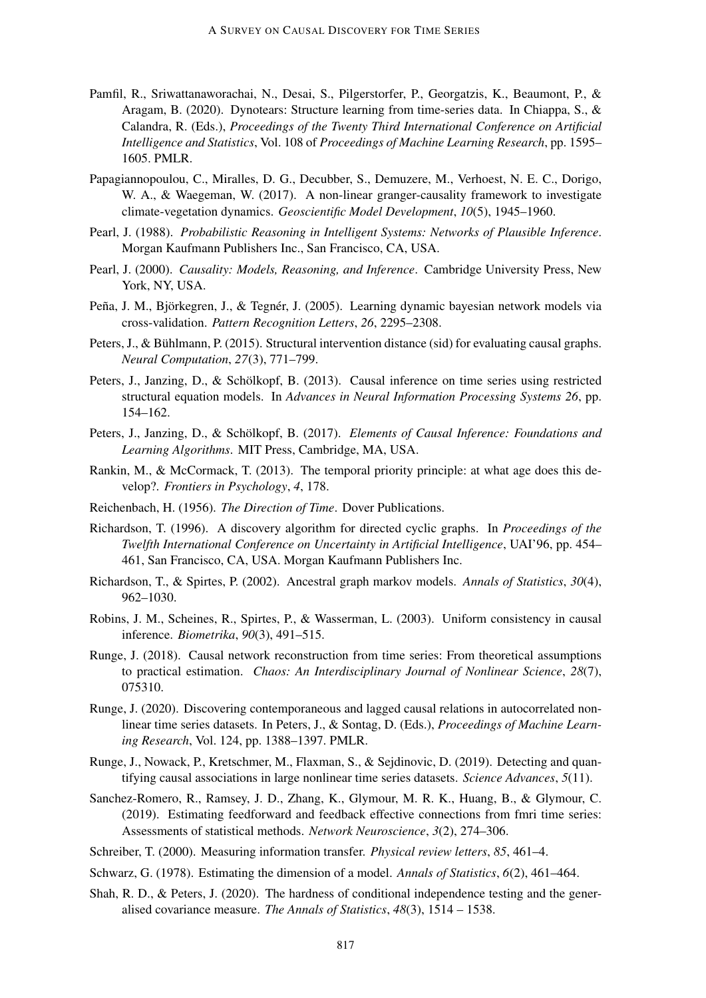- Pamfil, R., Sriwattanaworachai, N., Desai, S., Pilgerstorfer, P., Georgatzis, K., Beaumont, P., & Aragam, B. (2020). Dynotears: Structure learning from time-series data. In Chiappa, S., & Calandra, R. (Eds.), *Proceedings of the Twenty Third International Conference on Artificial Intelligence and Statistics*, Vol. 108 of *Proceedings of Machine Learning Research*, pp. 1595– 1605. PMLR.
- Papagiannopoulou, C., Miralles, D. G., Decubber, S., Demuzere, M., Verhoest, N. E. C., Dorigo, W. A., & Waegeman, W. (2017). A non-linear granger-causality framework to investigate climate-vegetation dynamics. *Geoscientific Model Development*, *10*(5), 1945–1960.
- Pearl, J. (1988). *Probabilistic Reasoning in Intelligent Systems: Networks of Plausible Inference*. Morgan Kaufmann Publishers Inc., San Francisco, CA, USA.
- Pearl, J. (2000). *Causality: Models, Reasoning, and Inference*. Cambridge University Press, New York, NY, USA.
- Peña, J. M., Björkegren, J., & Tegnér, J. (2005). Learning dynamic bayesian network models via cross-validation. *Pattern Recognition Letters*, *26*, 2295–2308.
- Peters, J., & Bühlmann, P. (2015). Structural intervention distance (sid) for evaluating causal graphs. *Neural Computation*, *27*(3), 771–799.
- Peters, J., Janzing, D., & Schölkopf, B. (2013). Causal inference on time series using restricted structural equation models. In *Advances in Neural Information Processing Systems 26*, pp. 154–162.
- Peters, J., Janzing, D., & Schölkopf, B. (2017). *Elements of Causal Inference: Foundations and Learning Algorithms*. MIT Press, Cambridge, MA, USA.
- Rankin, M., & McCormack, T. (2013). The temporal priority principle: at what age does this develop?. *Frontiers in Psychology*, *4*, 178.
- Reichenbach, H. (1956). *The Direction of Time*. Dover Publications.
- Richardson, T. (1996). A discovery algorithm for directed cyclic graphs. In *Proceedings of the Twelfth International Conference on Uncertainty in Artificial Intelligence*, UAI'96, pp. 454– 461, San Francisco, CA, USA. Morgan Kaufmann Publishers Inc.
- Richardson, T., & Spirtes, P. (2002). Ancestral graph markov models. *Annals of Statistics*, *30*(4), 962–1030.
- Robins, J. M., Scheines, R., Spirtes, P., & Wasserman, L. (2003). Uniform consistency in causal inference. *Biometrika*, *90*(3), 491–515.
- Runge, J. (2018). Causal network reconstruction from time series: From theoretical assumptions to practical estimation. *Chaos: An Interdisciplinary Journal of Nonlinear Science*, *28*(7), 075310.
- Runge, J. (2020). Discovering contemporaneous and lagged causal relations in autocorrelated nonlinear time series datasets. In Peters, J., & Sontag, D. (Eds.), *Proceedings of Machine Learning Research*, Vol. 124, pp. 1388–1397. PMLR.
- Runge, J., Nowack, P., Kretschmer, M., Flaxman, S., & Sejdinovic, D. (2019). Detecting and quantifying causal associations in large nonlinear time series datasets. *Science Advances*, *5*(11).
- Sanchez-Romero, R., Ramsey, J. D., Zhang, K., Glymour, M. R. K., Huang, B., & Glymour, C. (2019). Estimating feedforward and feedback effective connections from fmri time series: Assessments of statistical methods. *Network Neuroscience*, *3*(2), 274–306.
- Schreiber, T. (2000). Measuring information transfer. *Physical review letters*, *85*, 461–4.
- Schwarz, G. (1978). Estimating the dimension of a model. *Annals of Statistics*, *6*(2), 461–464.
- Shah, R. D., & Peters, J. (2020). The hardness of conditional independence testing and the generalised covariance measure. *The Annals of Statistics*, *48*(3), 1514 – 1538.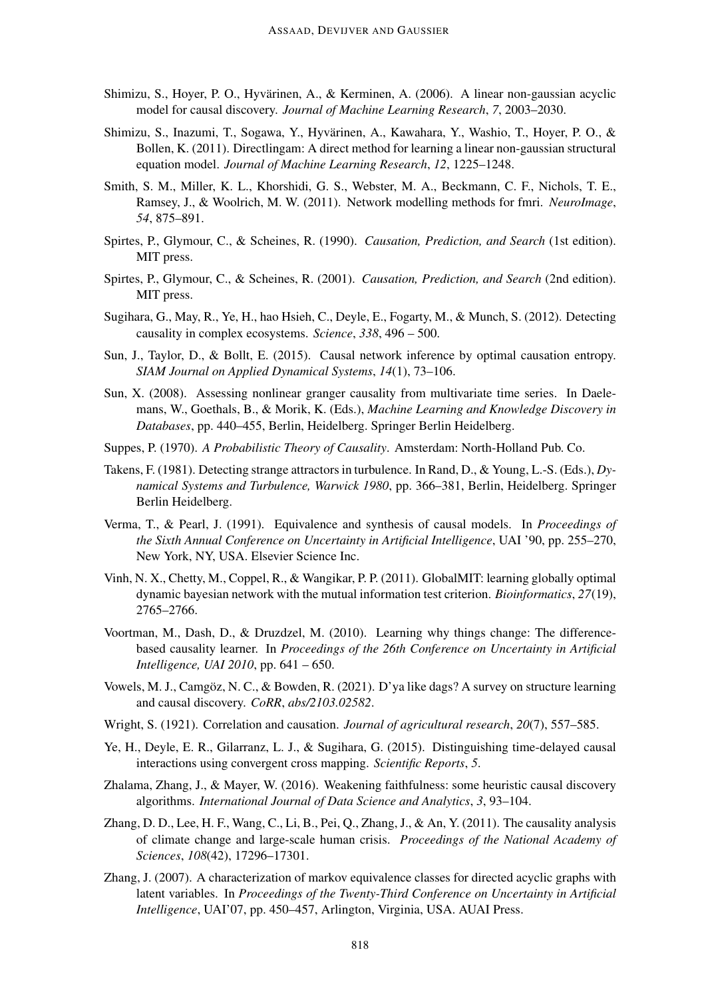- Shimizu, S., Hoyer, P. O., Hyvärinen, A., & Kerminen, A. (2006). A linear non-gaussian acyclic model for causal discovery. *Journal of Machine Learning Research*, *7*, 2003–2030.
- Shimizu, S., Inazumi, T., Sogawa, Y., Hyvärinen, A., Kawahara, Y., Washio, T., Hoyer, P. O., & Bollen, K. (2011). Directlingam: A direct method for learning a linear non-gaussian structural equation model. *Journal of Machine Learning Research*, *12*, 1225–1248.
- Smith, S. M., Miller, K. L., Khorshidi, G. S., Webster, M. A., Beckmann, C. F., Nichols, T. E., Ramsey, J., & Woolrich, M. W. (2011). Network modelling methods for fmri. *NeuroImage*, *54*, 875–891.
- Spirtes, P., Glymour, C., & Scheines, R. (1990). *Causation, Prediction, and Search* (1st edition). MIT press.
- Spirtes, P., Glymour, C., & Scheines, R. (2001). *Causation, Prediction, and Search* (2nd edition). MIT press.
- Sugihara, G., May, R., Ye, H., hao Hsieh, C., Deyle, E., Fogarty, M., & Munch, S. (2012). Detecting causality in complex ecosystems. *Science*, *338*, 496 – 500.
- Sun, J., Taylor, D., & Bollt, E. (2015). Causal network inference by optimal causation entropy. *SIAM Journal on Applied Dynamical Systems*, *14*(1), 73–106.
- Sun, X. (2008). Assessing nonlinear granger causality from multivariate time series. In Daelemans, W., Goethals, B., & Morik, K. (Eds.), *Machine Learning and Knowledge Discovery in Databases*, pp. 440–455, Berlin, Heidelberg. Springer Berlin Heidelberg.
- Suppes, P. (1970). *A Probabilistic Theory of Causality*. Amsterdam: North-Holland Pub. Co.
- Takens, F. (1981). Detecting strange attractors in turbulence. In Rand, D., & Young, L.-S. (Eds.), *Dynamical Systems and Turbulence, Warwick 1980*, pp. 366–381, Berlin, Heidelberg. Springer Berlin Heidelberg.
- Verma, T., & Pearl, J. (1991). Equivalence and synthesis of causal models. In *Proceedings of the Sixth Annual Conference on Uncertainty in Artificial Intelligence*, UAI '90, pp. 255–270, New York, NY, USA. Elsevier Science Inc.
- Vinh, N. X., Chetty, M., Coppel, R., & Wangikar, P. P. (2011). GlobalMIT: learning globally optimal dynamic bayesian network with the mutual information test criterion. *Bioinformatics*, *27*(19), 2765–2766.
- Voortman, M., Dash, D., & Druzdzel, M. (2010). Learning why things change: The differencebased causality learner. In *Proceedings of the 26th Conference on Uncertainty in Artificial Intelligence, UAI 2010*, pp. 641 – 650.
- Vowels, M. J., Camgöz, N. C., & Bowden, R. (2021). D'ya like dags? A survey on structure learning and causal discovery. *CoRR*, *abs/2103.02582*.
- Wright, S. (1921). Correlation and causation. *Journal of agricultural research*, *20*(7), 557–585.
- Ye, H., Deyle, E. R., Gilarranz, L. J., & Sugihara, G. (2015). Distinguishing time-delayed causal interactions using convergent cross mapping. *Scientific Reports*, *5*.
- Zhalama, Zhang, J., & Mayer, W. (2016). Weakening faithfulness: some heuristic causal discovery algorithms. *International Journal of Data Science and Analytics*, *3*, 93–104.
- Zhang, D. D., Lee, H. F., Wang, C., Li, B., Pei, Q., Zhang, J., & An, Y. (2011). The causality analysis of climate change and large-scale human crisis. *Proceedings of the National Academy of Sciences*, *108*(42), 17296–17301.
- Zhang, J. (2007). A characterization of markov equivalence classes for directed acyclic graphs with latent variables. In *Proceedings of the Twenty-Third Conference on Uncertainty in Artificial Intelligence*, UAI'07, pp. 450–457, Arlington, Virginia, USA. AUAI Press.